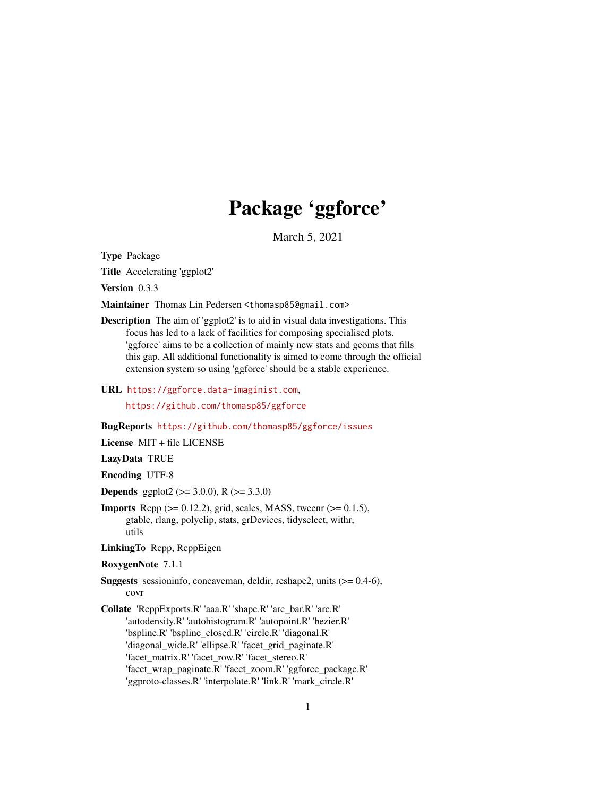# Package 'ggforce'

March 5, 2021

<span id="page-0-0"></span>Type Package

Title Accelerating 'ggplot2'

Version 0.3.3

Maintainer Thomas Lin Pedersen <thomasp85@gmail.com>

Description The aim of 'ggplot2' is to aid in visual data investigations. This focus has led to a lack of facilities for composing specialised plots. 'ggforce' aims to be a collection of mainly new stats and geoms that fills this gap. All additional functionality is aimed to come through the official extension system so using 'ggforce' should be a stable experience.

URL <https://ggforce.data-imaginist.com>,

<https://github.com/thomasp85/ggforce>

BugReports <https://github.com/thomasp85/ggforce/issues>

License MIT + file LICENSE

LazyData TRUE

Encoding UTF-8

**Depends** ggplot2 ( $>= 3.0.0$ ), R ( $>= 3.3.0$ )

**Imports** Rcpp  $(>= 0.12.2)$ , grid, scales, MASS, tweenr  $(>= 0.1.5)$ , gtable, rlang, polyclip, stats, grDevices, tidyselect, withr, utils

LinkingTo Rcpp, RcppEigen

RoxygenNote 7.1.1

- Suggests sessioninfo, concaveman, deldir, reshape2, units (>= 0.4-6), covr
- Collate 'RcppExports.R' 'aaa.R' 'shape.R' 'arc\_bar.R' 'arc.R' 'autodensity.R' 'autohistogram.R' 'autopoint.R' 'bezier.R' 'bspline.R' 'bspline\_closed.R' 'circle.R' 'diagonal.R' 'diagonal\_wide.R' 'ellipse.R' 'facet\_grid\_paginate.R' 'facet\_matrix.R' 'facet\_row.R' 'facet\_stereo.R' 'facet\_wrap\_paginate.R' 'facet\_zoom.R' 'ggforce\_package.R' 'ggproto-classes.R' 'interpolate.R' 'link.R' 'mark\_circle.R'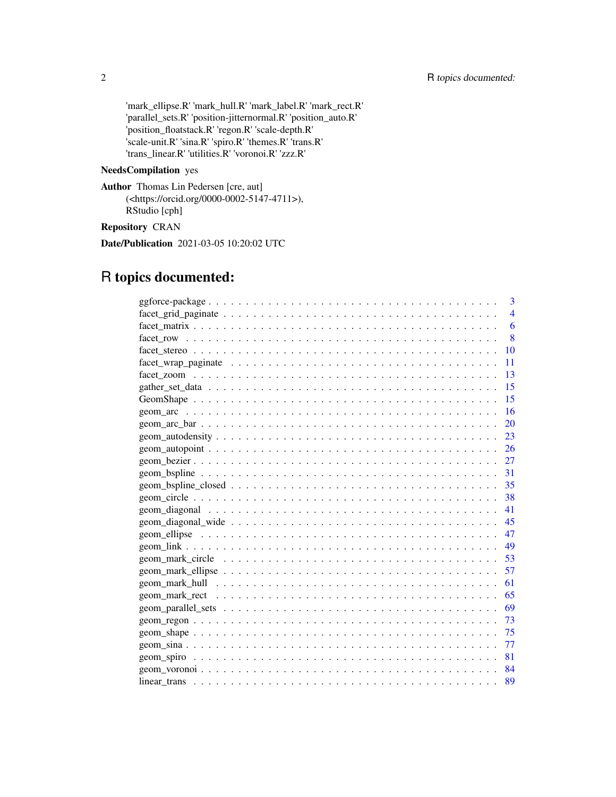'mark\_ellipse.R' 'mark\_hull.R' 'mark\_label.R' 'mark\_rect.R' 'parallel\_sets.R' 'position-jitternormal.R' 'position\_auto.R' 'position\_floatstack.R' 'regon.R' 'scale-depth.R' 'scale-unit.R' 'sina.R' 'spiro.R' 'themes.R' 'trans.R' 'trans\_linear.R' 'utilities.R' 'voronoi.R' 'zzz.R'

#### NeedsCompilation yes

Author Thomas Lin Pedersen [cre, aut] (<https://orcid.org/0000-0002-5147-4711>), RStudio [cph]

# Repository CRAN

Date/Publication 2021-03-05 10:20:02 UTC

# R topics documented:

|                                                                                                                | 3         |
|----------------------------------------------------------------------------------------------------------------|-----------|
|                                                                                                                | 4         |
|                                                                                                                | 6         |
|                                                                                                                | 8         |
|                                                                                                                | 10        |
|                                                                                                                | 11        |
|                                                                                                                | 13        |
|                                                                                                                | 15        |
|                                                                                                                | 15        |
|                                                                                                                | 16        |
|                                                                                                                | <b>20</b> |
|                                                                                                                | 23        |
|                                                                                                                |           |
|                                                                                                                |           |
|                                                                                                                |           |
|                                                                                                                | 35        |
|                                                                                                                | 38        |
|                                                                                                                | 41        |
|                                                                                                                |           |
|                                                                                                                | 47        |
|                                                                                                                | 49        |
| $geom\_mark\_circle \dots \dots \dots \dots \dots \dots \dots \dots \dots \dots \dots \dots \dots \dots \dots$ | 53        |
|                                                                                                                | 57        |
|                                                                                                                | 61        |
|                                                                                                                | 65        |
|                                                                                                                |           |
|                                                                                                                | - 73      |
|                                                                                                                | - 75      |
|                                                                                                                | 77        |
|                                                                                                                | 81        |
|                                                                                                                | 84        |
|                                                                                                                | 89        |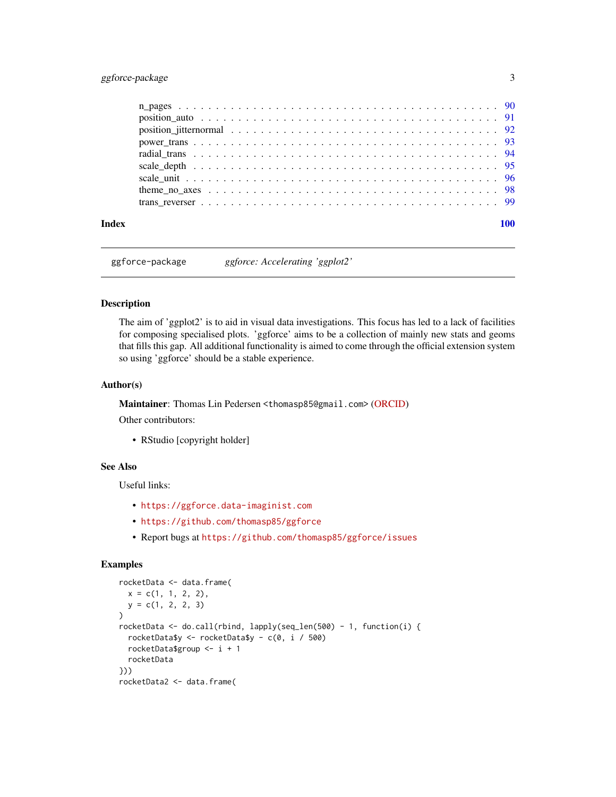# <span id="page-2-0"></span>ggforce-package 3

| Index |  |
|-------|--|

ggforce-package *ggforce: Accelerating 'ggplot2'*

#### Description

The aim of 'ggplot2' is to aid in visual data investigations. This focus has led to a lack of facilities for composing specialised plots. 'ggforce' aims to be a collection of mainly new stats and geoms that fills this gap. All additional functionality is aimed to come through the official extension system so using 'ggforce' should be a stable experience.

#### Author(s)

Maintainer: Thomas Lin Pedersen <thomasp85@gmail.com> [\(ORCID\)](https://orcid.org/0000-0002-5147-4711)

Other contributors:

• RStudio [copyright holder]

#### See Also

Useful links:

- <https://ggforce.data-imaginist.com>
- <https://github.com/thomasp85/ggforce>
- Report bugs at <https://github.com/thomasp85/ggforce/issues>

# Examples

```
rocketData <- data.frame(
 x = c(1, 1, 2, 2),
 y = c(1, 2, 2, 3)\overline{)}rocketData <- do.call(rbind, lapply(seq_len(500) - 1, function(i) {
 rocketData$y <- rocketData$y - c(0, i / 500)
 rocketData$group <- i + 1
 rocketData
}))
rocketData2 <- data.frame(
```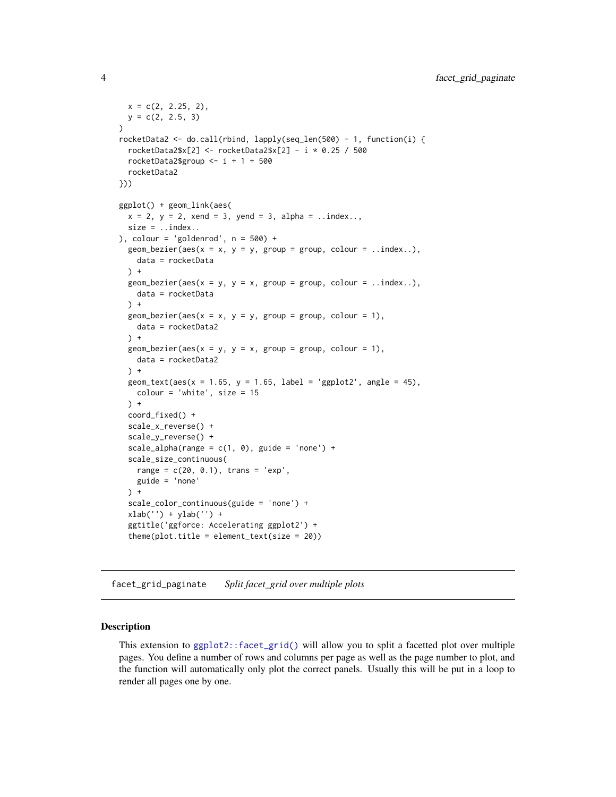```
x = c(2, 2.25, 2),
 y = c(2, 2.5, 3))
rocketData2 <- do.call(rbind, lapply(seq_len(500) - 1, function(i) {
  rocketData2$x[2] <- rocketData2$x[2] - i * 0.25 / 500
  rocketData2$group \le- i + 1 + 500
  rocketData2
}))
ggplot() + geom_link(aes(
  x = 2, y = 2, xend = 3, yend = 3, alpha = 3. index...size = .index.), colour = 'goldenrod', n = 500) +
  geom_bezier(aes(x = x, y = y, group = group, colour = ..index..),
   data = rocketData
 ) +
  geom_bezier(aes(x = y, y = x, group = group, colour = ..index..),
    data = rocketData
  ) +geom\_bezier(aes(x = x, y = y, group = group, colour = 1),data = rocketData2
  ) +geom\_bezier(aes(x = y, y = x, group = group, colour = 1),data = rocketData2
  \rightarrow +
  geom_text(aes(x = 1.65, y = 1.65, label = 'ggplot2', angle = 45),
   color = 'white', size = 15) +coord_fixed() +
  scale_x_reverse() +
  scale_y_reverse() +
  scale\_alpha(range = c(1, 0), guide = 'none') +scale_size_continuous(
   range = c(20, 0.1), trans = 'exp',guide = 'none'
  \rightarrow +
  scale_color_continuous(guide = 'none') +
  xlab('') + ylab('') +
  ggtitle('ggforce: Accelerating ggplot2') +
  theme(plot.title = element_text(size = 20))
```
<span id="page-3-1"></span>facet\_grid\_paginate *Split facet\_grid over multiple plots*

#### Description

This extension to [ggplot2::facet\\_grid\(\)](#page-0-0) will allow you to split a facetted plot over multiple pages. You define a number of rows and columns per page as well as the page number to plot, and the function will automatically only plot the correct panels. Usually this will be put in a loop to render all pages one by one.

<span id="page-3-0"></span>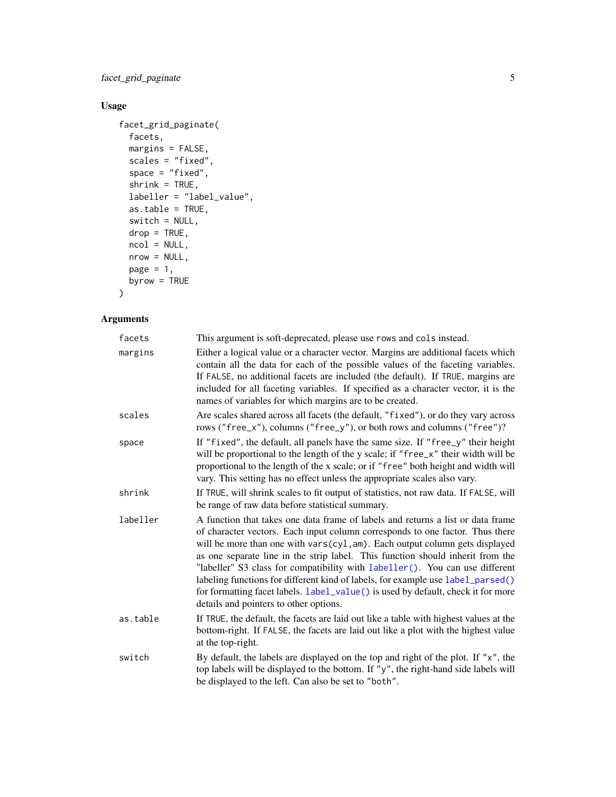facet\_grid\_paginate 5

# Usage

```
facet_grid_paginate(
 facets,
 margins = FALSE,scales = "fixed",
 space = "fixed",shrink = TRUE,
 labeller = "label_value",
 as.table = TRUE,
 switch = NULL,
 drop = TRUE,ncol = NULL,
 nrow = NULL,
 page = 1,
 byrow = TRUE
\mathcal{L}
```

| facets   | This argument is soft-deprecated, please use rows and cols instead.                                                                                                                                                                                                                                                                                                                                                                                                                                                                                                                                                                |
|----------|------------------------------------------------------------------------------------------------------------------------------------------------------------------------------------------------------------------------------------------------------------------------------------------------------------------------------------------------------------------------------------------------------------------------------------------------------------------------------------------------------------------------------------------------------------------------------------------------------------------------------------|
| margins  | Either a logical value or a character vector. Margins are additional facets which<br>contain all the data for each of the possible values of the faceting variables.<br>If FALSE, no additional facets are included (the default). If TRUE, margins are<br>included for all faceting variables. If specified as a character vector, it is the<br>names of variables for which margins are to be created.                                                                                                                                                                                                                           |
| scales   | Are scales shared across all facets (the default, "fixed"), or do they vary across<br>rows ("free_x"), columns ("free_y"), or both rows and columns ("free")?                                                                                                                                                                                                                                                                                                                                                                                                                                                                      |
| space    | If "fixed", the default, all panels have the same size. If "free_y" their height<br>will be proportional to the length of the y scale; if "free_x" their width will be<br>proportional to the length of the x scale; or if "free" both height and width will<br>vary. This setting has no effect unless the appropriate scales also vary.                                                                                                                                                                                                                                                                                          |
| shrink   | If TRUE, will shrink scales to fit output of statistics, not raw data. If FALSE, will<br>be range of raw data before statistical summary.                                                                                                                                                                                                                                                                                                                                                                                                                                                                                          |
| labeller | A function that takes one data frame of labels and returns a list or data frame<br>of character vectors. Each input column corresponds to one factor. Thus there<br>will be more than one with vars(cyl, am). Each output column gets displayed<br>as one separate line in the strip label. This function should inherit from the<br>"labeller" S3 class for compatibility with labeller(). You can use different<br>labeling functions for different kind of labels, for example use label_parsed()<br>for formatting facet labels. label_value() is used by default, check it for more<br>details and pointers to other options. |
| as.table | If TRUE, the default, the facets are laid out like a table with highest values at the<br>bottom-right. If FALSE, the facets are laid out like a plot with the highest value<br>at the top-right.                                                                                                                                                                                                                                                                                                                                                                                                                                   |
| switch   | By default, the labels are displayed on the top and right of the plot. If " $x$ ", the<br>top labels will be displayed to the bottom. If "y", the right-hand side labels will<br>be displayed to the left. Can also be set to "both".                                                                                                                                                                                                                                                                                                                                                                                              |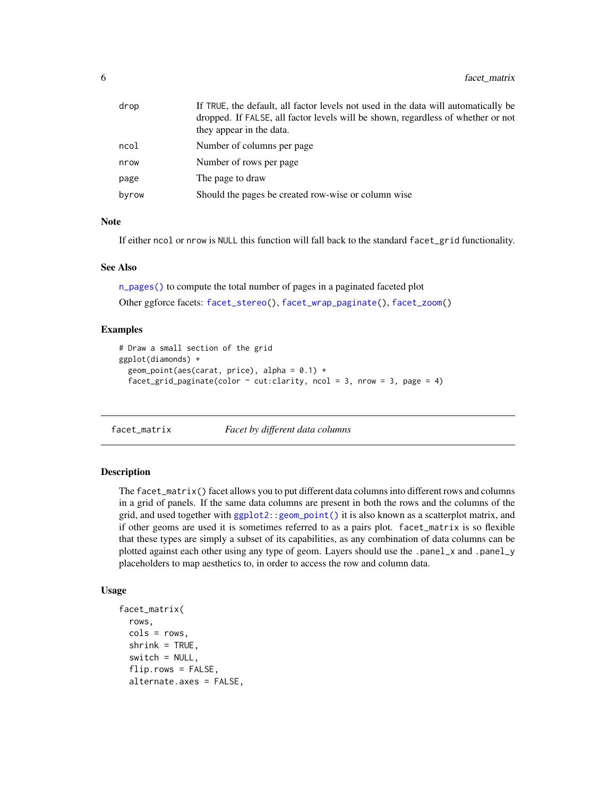<span id="page-5-0"></span>

| drop  | If TRUE, the default, all factor levels not used in the data will automatically be<br>dropped. If FALSE, all factor levels will be shown, regardless of whether or not<br>they appear in the data. |
|-------|----------------------------------------------------------------------------------------------------------------------------------------------------------------------------------------------------|
| ncol  | Number of columns per page                                                                                                                                                                         |
| nrow  | Number of rows per page.                                                                                                                                                                           |
| page  | The page to draw                                                                                                                                                                                   |
| byrow | Should the pages be created row-wise or column wise                                                                                                                                                |

#### Note

If either ncol or nrow is NULL this function will fall back to the standard facet\_grid functionality.

#### See Also

[n\\_pages\(\)](#page-89-1) to compute the total number of pages in a paginated faceted plot

Other ggforce facets: [facet\\_stereo\(](#page-9-1)), [facet\\_wrap\\_paginate\(](#page-10-1)), [facet\\_zoom\(](#page-12-1))

#### Examples

```
# Draw a small section of the grid
ggplot(diamonds) +
 geom\_point(aes(carat, price), alpha = 0.1) +facet_grid_paginate(color \sim cut:clarity, ncol = 3, nrow = 3, page = 4)
```
<span id="page-5-1"></span>

facet\_matrix *Facet by different data columns*

#### Description

The facet\_matrix() facet allows you to put different data columns into different rows and columns in a grid of panels. If the same data columns are present in both the rows and the columns of the grid, and used together with [ggplot2::geom\\_point\(\)](#page-0-0) it is also known as a scatterplot matrix, and if other geoms are used it is sometimes referred to as a pairs plot. facet\_matrix is so flexible that these types are simply a subset of its capabilities, as any combination of data columns can be plotted against each other using any type of geom. Layers should use the .panel\_x and .panel\_y placeholders to map aesthetics to, in order to access the row and column data.

#### Usage

```
facet_matrix(
  rows,
  cols = rows.
  shrink = TRUE,
  switch = NULL,flip.rows = FALSE,
  alternate.axes = FALSE,
```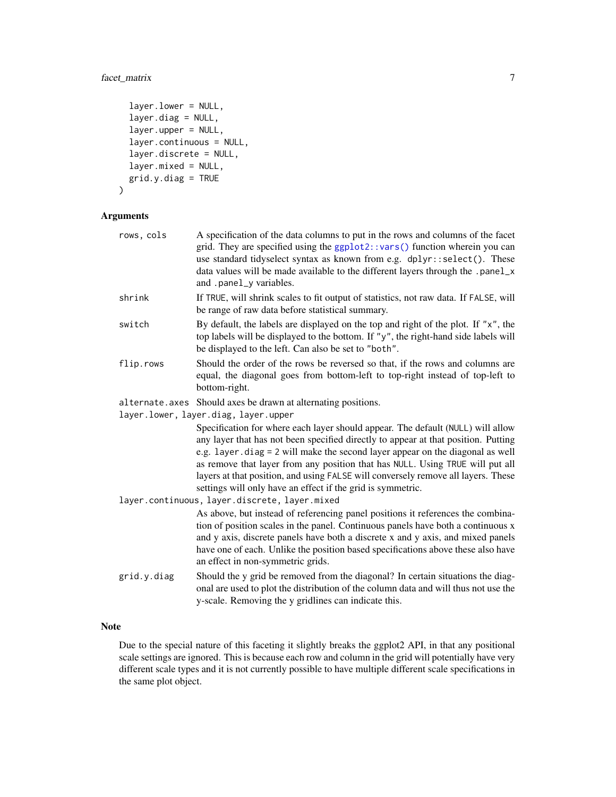# facet\_matrix 7

```
layer.lower = NULL,
  layer.diag = NULL,
  layer.upper = NULL,
  layer.continuous = NULL,
  layer.discrete = NULL,
  layer.mixed = NULL,
  grid.y.diag = TRUE
\mathcal{L}
```
### Arguments

| rows, cols  | A specification of the data columns to put in the rows and columns of the facet<br>grid. They are specified using the ggplot2::vars() function wherein you can<br>use standard tidyselect syntax as known from e.g. dplyr::select(). These<br>data values will be made available to the different layers through the .panel_x<br>and .panel_y variables.                                                                                                                                    |
|-------------|---------------------------------------------------------------------------------------------------------------------------------------------------------------------------------------------------------------------------------------------------------------------------------------------------------------------------------------------------------------------------------------------------------------------------------------------------------------------------------------------|
| shrink      | If TRUE, will shrink scales to fit output of statistics, not raw data. If FALSE, will<br>be range of raw data before statistical summary.                                                                                                                                                                                                                                                                                                                                                   |
| switch      | By default, the labels are displayed on the top and right of the plot. If "x", the<br>top labels will be displayed to the bottom. If "y", the right-hand side labels will<br>be displayed to the left. Can also be set to "both".                                                                                                                                                                                                                                                           |
| flip.rows   | Should the order of the rows be reversed so that, if the rows and columns are<br>equal, the diagonal goes from bottom-left to top-right instead of top-left to<br>bottom-right.                                                                                                                                                                                                                                                                                                             |
|             | alternate. axes Should axes be drawn at alternating positions.                                                                                                                                                                                                                                                                                                                                                                                                                              |
|             | layer.lower, layer.diag, layer.upper                                                                                                                                                                                                                                                                                                                                                                                                                                                        |
|             | Specification for where each layer should appear. The default (NULL) will allow<br>any layer that has not been specified directly to appear at that position. Putting<br>e.g. layer.diag = 2 will make the second layer appear on the diagonal as well<br>as remove that layer from any position that has NULL. Using TRUE will put all<br>layers at that position, and using FALSE will conversely remove all layers. These<br>settings will only have an effect if the grid is symmetric. |
|             | layer.continuous, layer.discrete, layer.mixed                                                                                                                                                                                                                                                                                                                                                                                                                                               |
|             | As above, but instead of referencing panel positions it references the combina-<br>tion of position scales in the panel. Continuous panels have both a continuous x<br>and y axis, discrete panels have both a discrete x and y axis, and mixed panels<br>have one of each. Unlike the position based specifications above these also have<br>an effect in non-symmetric grids.                                                                                                             |
| grid.y.diag | Should the y grid be removed from the diagonal? In certain situations the diag-<br>onal are used to plot the distribution of the column data and will thus not use the<br>y-scale. Removing the y gridlines can indicate this.                                                                                                                                                                                                                                                              |
|             |                                                                                                                                                                                                                                                                                                                                                                                                                                                                                             |

# Note

Due to the special nature of this faceting it slightly breaks the ggplot2 API, in that any positional scale settings are ignored. This is because each row and column in the grid will potentially have very different scale types and it is not currently possible to have multiple different scale specifications in the same plot object.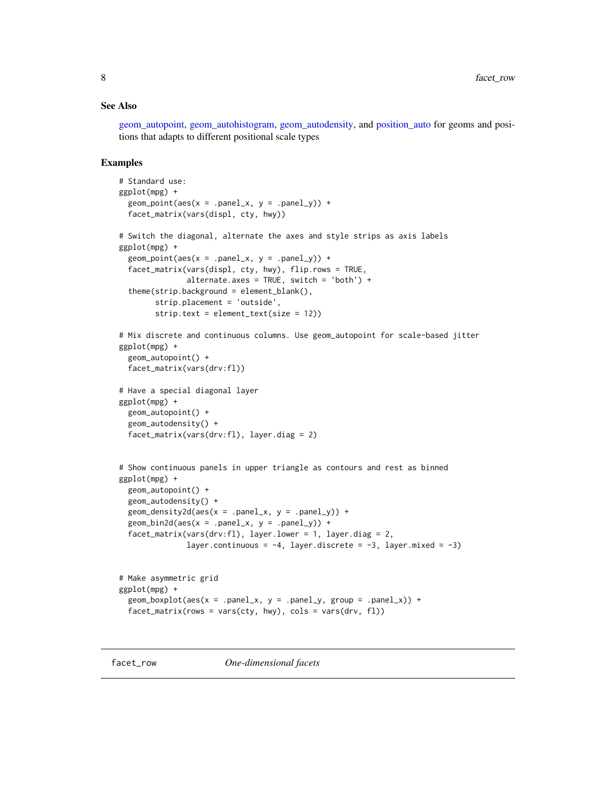#### <span id="page-7-0"></span>See Also

[geom\\_autopoint,](#page-25-1) [geom\\_autohistogram,](#page-22-1) [geom\\_autodensity,](#page-22-2) and [position\\_auto](#page-90-1) for geoms and positions that adapts to different positional scale types

#### Examples

```
# Standard use:
ggplot(mpg) +
 geom\_point(aes(x = .panel_x, y = .panel_y)) +facet_matrix(vars(displ, cty, hwy))
# Switch the diagonal, alternate the axes and style strips as axis labels
ggplot(mpg) +
 geom\_point(aes(x = .panel_x, y = .panel_y)) +facet_matrix(vars(displ, cty, hwy), flip.rows = TRUE,
               alternate.axes = TRUE, switch = 'both') +
 theme(strip.background = element_blank(),
       strip.placement = 'outside',
       strip.text = element_text(size = 12))
# Mix discrete and continuous columns. Use geom_autopoint for scale-based jitter
ggplot(mpg) +
 geom_autopoint() +
 facet_matrix(vars(drv:fl))
# Have a special diagonal layer
ggplot(mpg) +
 geom_autopoint() +
 geom_autodensity() +
 facet_matrix(vars(drv:fl), layer.diag = 2)
# Show continuous panels in upper triangle as contours and rest as binned
ggplot(mpg) +
 geom_autopoint() +
 geom_autodensity() +
 geom\_density2d(aes(x = .panel_x, y = .panel_y)) +geom\_bin2d(aes(x = .panel_x, y = .panel_y)) +factor_matrix(vars(drv:fl), layer.lower = 1, layer.diag = 2,layer.continuous = -4, layer.discrete = -3, layer.mixed = -3)
# Make asymmetric grid
ggplot(mpg) +
 geom_boxplot(aes(x = .panel_x, y = .panel_y, group = .panel_x)) +
```

```
facet_matrix(rows = vars(cty, hwy), cols = vars(drv, fl))
```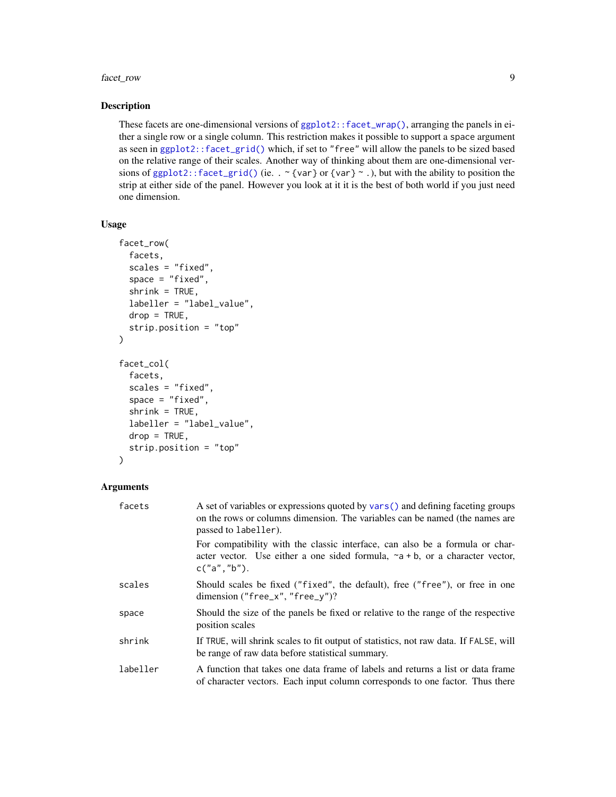#### facet\_row 9

#### Description

These facets are one-dimensional versions of [ggplot2::facet\\_wrap\(\)](#page-0-0), arranging the panels in either a single row or a single column. This restriction makes it possible to support a space argument as seen in [ggplot2::facet\\_grid\(\)](#page-0-0) which, if set to "free" will allow the panels to be sized based on the relative range of their scales. Another way of thinking about them are one-dimensional versions of [ggplot2::facet\\_grid\(\)](#page-0-0) (ie. .  $\sim$  {var} or {var}  $\sim$  .), but with the ability to position the strip at either side of the panel. However you look at it it is the best of both world if you just need one dimension.

#### Usage

```
facet_row(
  facets,
  scales = "fixed",
  space = "fixed",
  shrink = TRUE,labeller = "label_value",
  drop = TRUE,strip.position = "top"
\lambdafacet_col(
  facets,
  scales = "fixed",
  space = "fixed",shrink = TRUE,labeller = "label_value",
  drop = TRUE,strip.position = "top"
\lambda
```

| facets   | A set of variables or expressions quoted by vars () and defining faceting groups<br>on the rows or columns dimension. The variables can be named (the names are<br>passed to labeller). |
|----------|-----------------------------------------------------------------------------------------------------------------------------------------------------------------------------------------|
|          | For compatibility with the classic interface, can also be a formula or char-<br>acter vector. Use either a one sided formula, $\sim a + b$ , or a character vector,<br>c("a", "b").     |
| scales   | Should scales be fixed ("fixed", the default), free ("free"), or free in one<br>dimension ("free_x", "free_y")?                                                                         |
| space    | Should the size of the panels be fixed or relative to the range of the respective<br>position scales                                                                                    |
| shrink   | If TRUE, will shrink scales to fit output of statistics, not raw data. If FALSE, will<br>be range of raw data before statistical summary.                                               |
| labeller | A function that takes one data frame of labels and returns a list or data frame<br>of character vectors. Each input column corresponds to one factor. Thus there                        |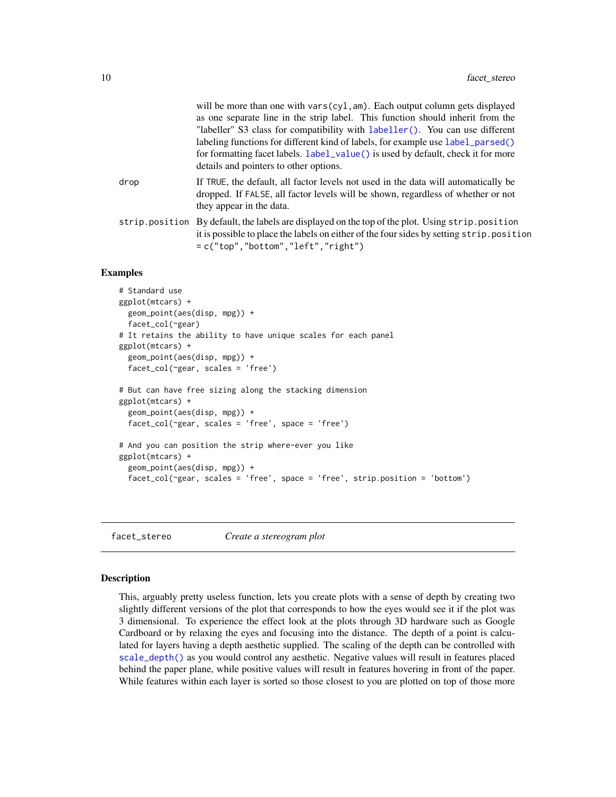<span id="page-9-0"></span>

|      | will be more than one with vars(cyl, am). Each output column gets displayed<br>as one separate line in the strip label. This function should inherit from the<br>"labeller" S3 class for compatibility with labeller(). You can use different<br>labeling functions for different kind of labels, for example use label_parsed()<br>for formatting facet labels. Label_value() is used by default, check it for more<br>details and pointers to other options. |
|------|----------------------------------------------------------------------------------------------------------------------------------------------------------------------------------------------------------------------------------------------------------------------------------------------------------------------------------------------------------------------------------------------------------------------------------------------------------------|
| drop | If TRUE, the default, all factor levels not used in the data will automatically be<br>dropped. If FALSE, all factor levels will be shown, regardless of whether or not<br>they appear in the data.                                                                                                                                                                                                                                                             |
|      | strip. position By default, the labels are displayed on the top of the plot. Using strip. position<br>it is possible to place the labels on either of the four sides by setting strip. position<br>$= c("top", "bottom", "left", "right")$                                                                                                                                                                                                                     |

#### Examples

```
# Standard use
ggplot(mtcars) +
 geom_point(aes(disp, mpg)) +
 facet_col(~gear)
# It retains the ability to have unique scales for each panel
ggplot(mtcars) +
 geom_point(aes(disp, mpg)) +
 facet_col(~gear, scales = 'free')
# But can have free sizing along the stacking dimension
ggplot(mtcars) +
 geom_point(aes(disp, mpg)) +
 facet_col(~gear, scales = 'free', space = 'free')
# And you can position the strip where-ever you like
ggplot(mtcars) +
 geom_point(aes(disp, mpg)) +
 facet_col(~gear, scales = 'free', space = 'free', strip.position = 'bottom')
```
<span id="page-9-1"></span>facet\_stereo *Create a stereogram plot*

#### Description

This, arguably pretty useless function, lets you create plots with a sense of depth by creating two slightly different versions of the plot that corresponds to how the eyes would see it if the plot was 3 dimensional. To experience the effect look at the plots through 3D hardware such as Google Cardboard or by relaxing the eyes and focusing into the distance. The depth of a point is calculated for layers having a depth aesthetic supplied. The scaling of the depth can be controlled with [scale\\_depth\(\)](#page-94-1) as you would control any aesthetic. Negative values will result in features placed behind the paper plane, while positive values will result in features hovering in front of the paper. While features within each layer is sorted so those closest to you are plotted on top of those more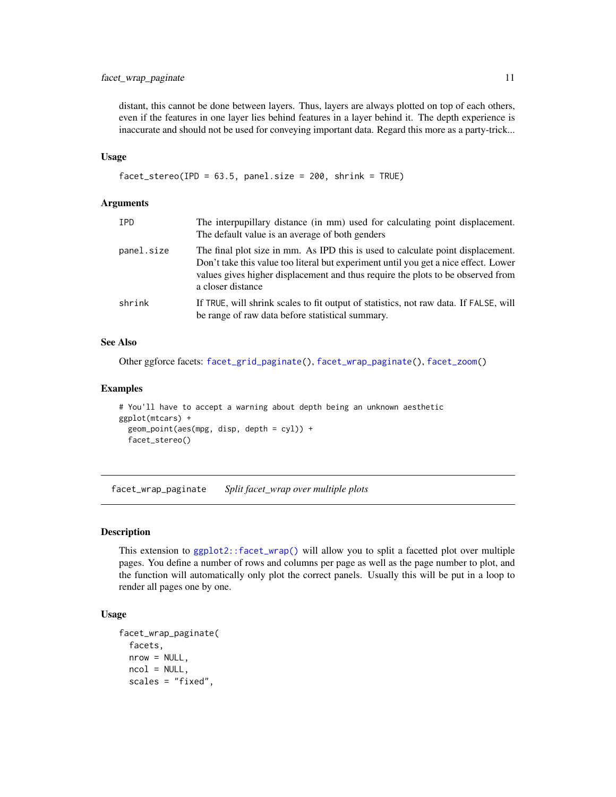#### <span id="page-10-0"></span>facet\_wrap\_paginate 11

distant, this cannot be done between layers. Thus, layers are always plotted on top of each others, even if the features in one layer lies behind features in a layer behind it. The depth experience is inaccurate and should not be used for conveying important data. Regard this more as a party-trick...

#### Usage

```
facet_stereo(IPD = 63.5, panel.size = 200, shrink = TRUE)
```
#### Arguments

| IPD        | The interpupillary distance (in mm) used for calculating point displacement.<br>The default value is an average of both genders                                                                                                                                                |
|------------|--------------------------------------------------------------------------------------------------------------------------------------------------------------------------------------------------------------------------------------------------------------------------------|
| panel.size | The final plot size in mm. As IPD this is used to calculate point displacement.<br>Don't take this value too literal but experiment until you get a nice effect. Lower<br>values gives higher displacement and thus require the plots to be observed from<br>a closer distance |
| shrink     | If TRUE, will shrink scales to fit output of statistics, not raw data. If FALSE, will<br>be range of raw data before statistical summary.                                                                                                                                      |

#### See Also

Other ggforce facets: [facet\\_grid\\_paginate\(](#page-3-1)), [facet\\_wrap\\_paginate\(](#page-10-1)), [facet\\_zoom\(](#page-12-1))

#### Examples

```
# You'll have to accept a warning about depth being an unknown aesthetic
ggplot(mtcars) +
 geom_point(aes(mpg, disp, depth = cyl)) +
 facet_stereo()
```
<span id="page-10-1"></span>facet\_wrap\_paginate *Split facet\_wrap over multiple plots*

#### Description

This extension to  $ggplot2$ ::facet\_wrap() will allow you to split a facetted plot over multiple pages. You define a number of rows and columns per page as well as the page number to plot, and the function will automatically only plot the correct panels. Usually this will be put in a loop to render all pages one by one.

#### Usage

```
facet_wrap_paginate(
  facets,
 nrow = NULL,
 ncol = NULL,scales = "fixed",
```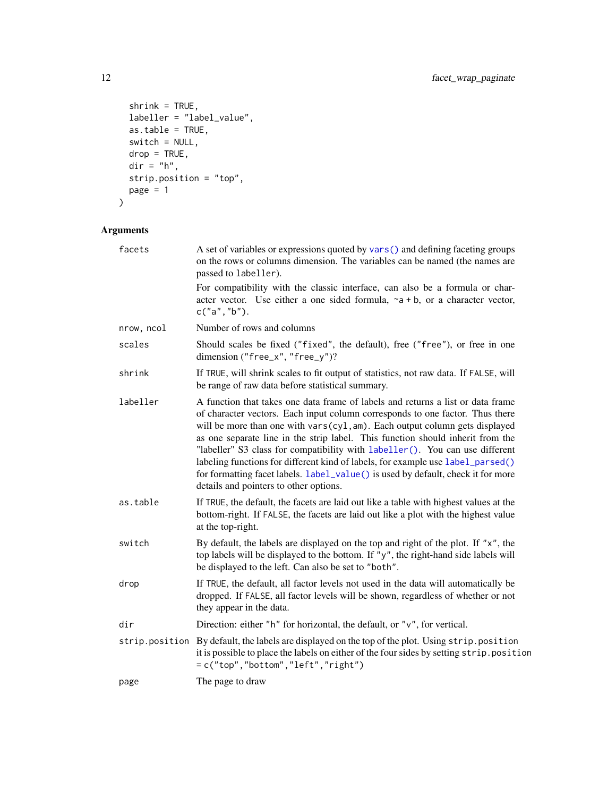```
shrink = TRUE,labeller = "label_value",
 as.table = TRUE,
 switch = NULL,
  drop = TRUE,
  dir = "h",
 strip.position = "top",
 page = 1\mathcal{L}
```

| facets         | A set of variables or expressions quoted by vars () and defining faceting groups<br>on the rows or columns dimension. The variables can be named (the names are<br>passed to labeller).<br>For compatibility with the classic interface, can also be a formula or char-<br>acter vector. Use either a one sided formula, $\sim a + b$ , or a character vector,<br>c("a", "b").                                                                                                                                                                                                                                                     |
|----------------|------------------------------------------------------------------------------------------------------------------------------------------------------------------------------------------------------------------------------------------------------------------------------------------------------------------------------------------------------------------------------------------------------------------------------------------------------------------------------------------------------------------------------------------------------------------------------------------------------------------------------------|
| nrow, ncol     | Number of rows and columns                                                                                                                                                                                                                                                                                                                                                                                                                                                                                                                                                                                                         |
| scales         | Should scales be fixed ("fixed", the default), free ("free"), or free in one<br>dimension ("free_x", "free_y")?                                                                                                                                                                                                                                                                                                                                                                                                                                                                                                                    |
| shrink         | If TRUE, will shrink scales to fit output of statistics, not raw data. If FALSE, will<br>be range of raw data before statistical summary.                                                                                                                                                                                                                                                                                                                                                                                                                                                                                          |
| labeller       | A function that takes one data frame of labels and returns a list or data frame<br>of character vectors. Each input column corresponds to one factor. Thus there<br>will be more than one with vars(cyl, am). Each output column gets displayed<br>as one separate line in the strip label. This function should inherit from the<br>"labeller" S3 class for compatibility with labeller(). You can use different<br>labeling functions for different kind of labels, for example use label_parsed()<br>for formatting facet labels. label_value() is used by default, check it for more<br>details and pointers to other options. |
| as.table       | If TRUE, the default, the facets are laid out like a table with highest values at the<br>bottom-right. If FALSE, the facets are laid out like a plot with the highest value<br>at the top-right.                                                                                                                                                                                                                                                                                                                                                                                                                                   |
| switch         | By default, the labels are displayed on the top and right of the plot. If "x", the<br>top labels will be displayed to the bottom. If "y", the right-hand side labels will<br>be displayed to the left. Can also be set to "both".                                                                                                                                                                                                                                                                                                                                                                                                  |
| drop           | If TRUE, the default, all factor levels not used in the data will automatically be<br>dropped. If FALSE, all factor levels will be shown, regardless of whether or not<br>they appear in the data.                                                                                                                                                                                                                                                                                                                                                                                                                                 |
| dir            | Direction: either "h" for horizontal, the default, or " $v$ ", for vertical.                                                                                                                                                                                                                                                                                                                                                                                                                                                                                                                                                       |
| strip.position | By default, the labels are displayed on the top of the plot. Using strip.position<br>it is possible to place the labels on either of the four sides by setting strip. position<br>$=c("top", "bottom", "left", "right")$                                                                                                                                                                                                                                                                                                                                                                                                           |
| page           | The page to draw                                                                                                                                                                                                                                                                                                                                                                                                                                                                                                                                                                                                                   |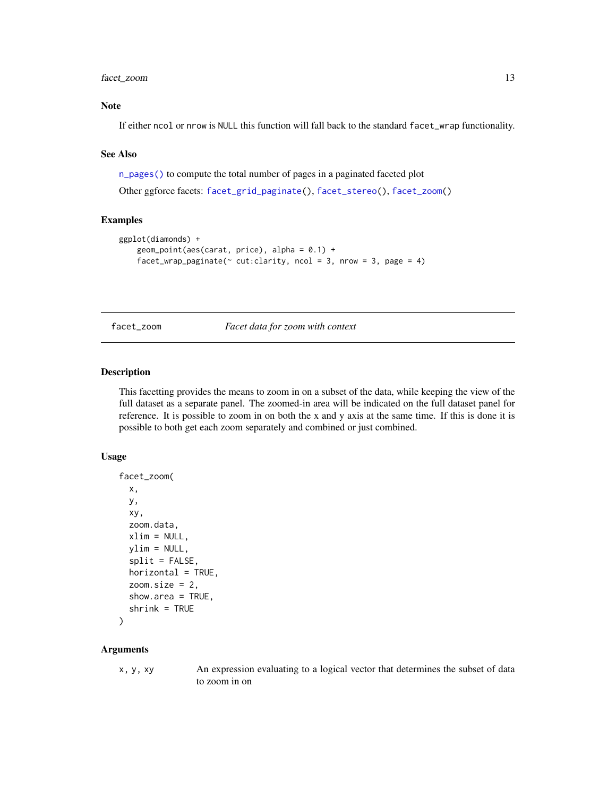#### <span id="page-12-0"></span>facet\_zoom 13

#### Note

If either ncol or nrow is NULL this function will fall back to the standard facet\_wrap functionality.

#### See Also

[n\\_pages\(\)](#page-89-1) to compute the total number of pages in a paginated faceted plot

Other ggforce facets: [facet\\_grid\\_paginate\(](#page-3-1)), [facet\\_stereo\(](#page-9-1)), [facet\\_zoom\(](#page-12-1))

#### Examples

```
ggplot(diamonds) +
    geom\_point(aes(carat, price), alpha = 0.1) +facet_wrap_paginate(\sim cut:clarity, ncol = 3, nrow = 3, page = 4)
```
<span id="page-12-1"></span>facet\_zoom *Facet data for zoom with context*

#### Description

This facetting provides the means to zoom in on a subset of the data, while keeping the view of the full dataset as a separate panel. The zoomed-in area will be indicated on the full dataset panel for reference. It is possible to zoom in on both the x and y axis at the same time. If this is done it is possible to both get each zoom separately and combined or just combined.

#### Usage

```
facet_zoom(
  x,
 y,
  xy,
 zoom.data,
  xlim = NULL,ylim = NULL,
  split = FALSE,
 horizontal = TRUE,
  zoom.size = 2,
  show.area = TRUE,
  shrink = TRUE
)
```
#### Arguments

x, y, xy An expression evaluating to a logical vector that determines the subset of data to zoom in on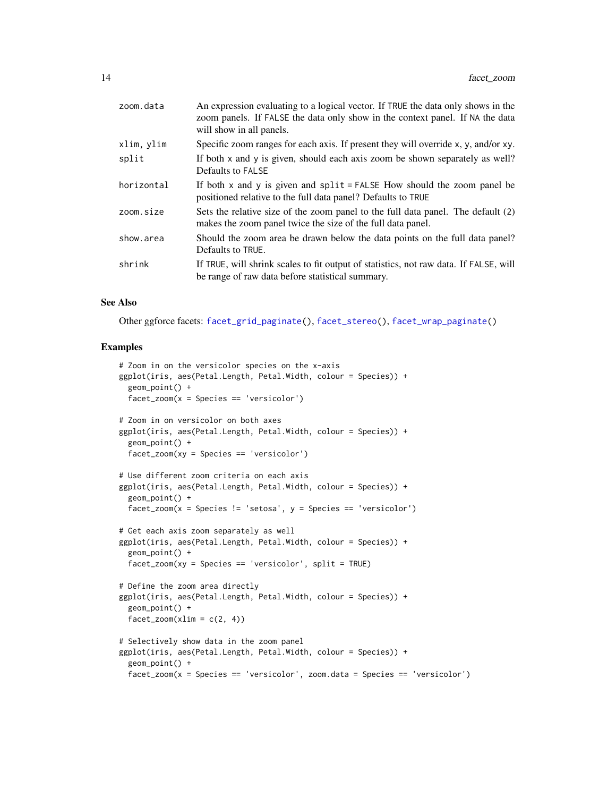| zoom.data  | An expression evaluating to a logical vector. If TRUE the data only shows in the<br>zoom panels. If FALSE the data only show in the context panel. If NA the data<br>will show in all panels. |
|------------|-----------------------------------------------------------------------------------------------------------------------------------------------------------------------------------------------|
| xlim, ylim | Specific zoom ranges for each axis. If present they will override x, y, and/or xy.                                                                                                            |
| split      | If both x and y is given, should each axis zoom be shown separately as well?<br>Defaults to FALSE                                                                                             |
| horizontal | If both $x$ and $y$ is given and $split = FALSE$ How should the zoom panel be<br>positioned relative to the full data panel? Defaults to TRUE                                                 |
| zoom.size  | Sets the relative size of the zoom panel to the full data panel. The default (2)<br>makes the zoom panel twice the size of the full data panel.                                               |
| show.area  | Should the zoom area be drawn below the data points on the full data panel?<br>Defaults to TRUE.                                                                                              |
| shrink     | If TRUE, will shrink scales to fit output of statistics, not raw data. If FALSE, will<br>be range of raw data before statistical summary.                                                     |

#### See Also

Other ggforce facets: [facet\\_grid\\_paginate\(](#page-3-1)), [facet\\_stereo\(](#page-9-1)), [facet\\_wrap\\_paginate\(](#page-10-1))

#### Examples

```
# Zoom in on the versicolor species on the x-axis
ggplot(iris, aes(Petal.Length, Petal.Width, colour = Species)) +
 geom_point() +
 facet_zoom(x = Species == 'versicolor')
# Zoom in on versicolor on both axes
ggplot(iris, aes(Petal.Length, Petal.Width, colour = Species)) +
 geom_point() +
 facet_zoom(xy = Species == 'versicolor')
# Use different zoom criteria on each axis
ggplot(iris, aes(Petal.Length, Petal.Width, colour = Species)) +
 geom_point() +
 facet_zoom(x = Species != 'setosa', y = Species == 'versicolor')
# Get each axis zoom separately as well
ggplot(iris, aes(Petal.Length, Petal.Width, colour = Species)) +
 geom_point() +
 facet_zoom(xy = Species == 'versicolor', split = TRUE)
# Define the zoom area directly
ggplot(iris, aes(Petal.Length, Petal.Width, colour = Species)) +
 geom_point() +
 factor_2oom(xlim = c(2, 4))# Selectively show data in the zoom panel
ggplot(iris, aes(Petal.Length, Petal.Width, colour = Species)) +
 geom_point() +
 facet_zoom(x = Species == 'versicolor', zoom.data = Species == 'versicolor')
```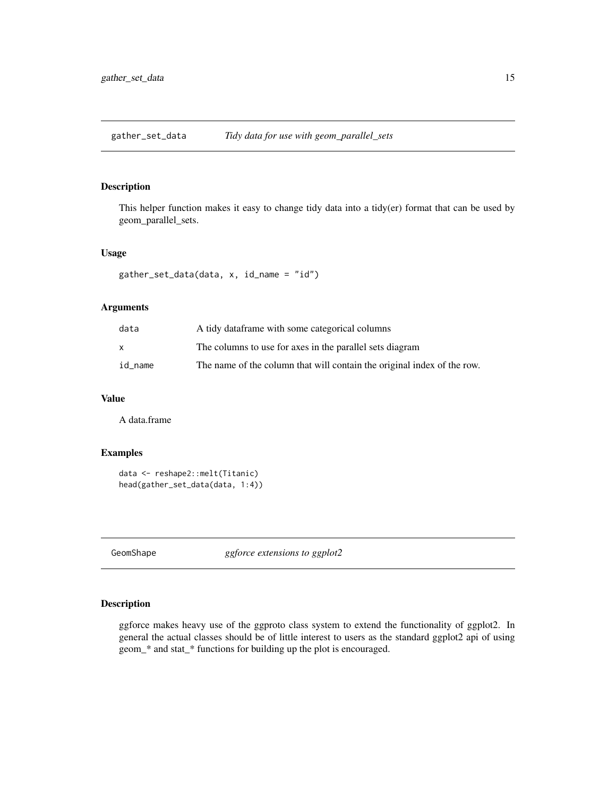<span id="page-14-0"></span>gather\_set\_data *Tidy data for use with geom\_parallel\_sets*

#### Description

This helper function makes it easy to change tidy data into a tidy(er) format that can be used by geom\_parallel\_sets.

#### Usage

```
gather_set_data(data, x, id_name = "id")
```
#### Arguments

| data    | A tidy data frame with some categorical columns                         |
|---------|-------------------------------------------------------------------------|
| X       | The columns to use for axes in the parallel sets diagram                |
| id name | The name of the column that will contain the original index of the row. |

#### Value

A data.frame

# Examples

```
data <- reshape2::melt(Titanic)
head(gather_set_data(data, 1:4))
```
GeomShape *ggforce extensions to ggplot2*

#### Description

ggforce makes heavy use of the ggproto class system to extend the functionality of ggplot2. In general the actual classes should be of little interest to users as the standard ggplot2 api of using geom\_\* and stat\_\* functions for building up the plot is encouraged.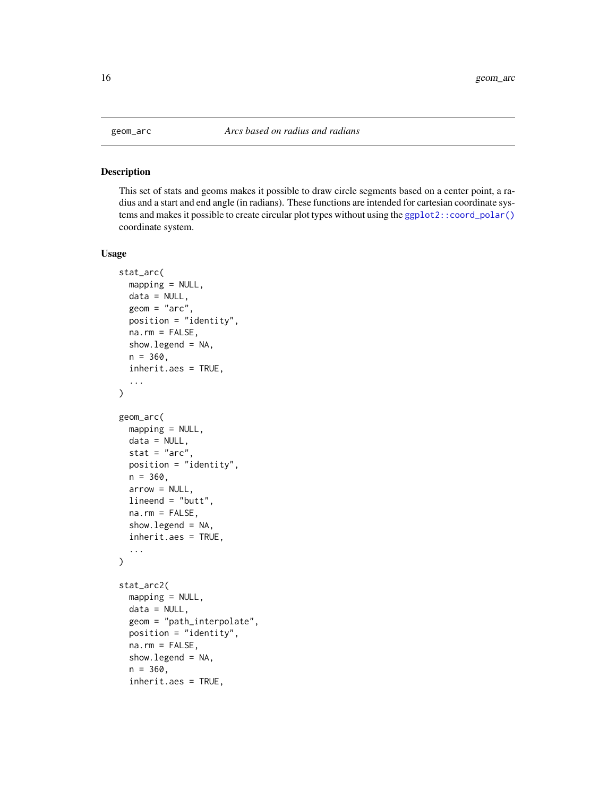<span id="page-15-1"></span><span id="page-15-0"></span>

#### Description

This set of stats and geoms makes it possible to draw circle segments based on a center point, a radius and a start and end angle (in radians). These functions are intended for cartesian coordinate systems and makes it possible to create circular plot types without using the [ggplot2::coord\\_polar\(\)](#page-0-0) coordinate system.

#### Usage

```
stat_arc(
 mapping = NULL,
 data = NULL,geom = "arc",
 position = "identity",
 na.rm = FALSE,show.legend = NA,
 n = 360,inherit.aes = TRUE,
  ...
)
geom_arc(
 mapping = NULL,
 data = NULL,
  stat = "arc",position = "identity",
 n = 360,arrow = NULL,lineend = "butt",
 na.rm = FALSE,show.legend = NA,
  inherit.aes = TRUE,
  ...
)
stat_arc2(
 mapping = NULL,
 data = NULL,
  geom = "path_interpolate",
 position = "identity",
  na.rm = FALSE,
  show.legend = NA,
  n = 360,inherit.aes = TRUE,
```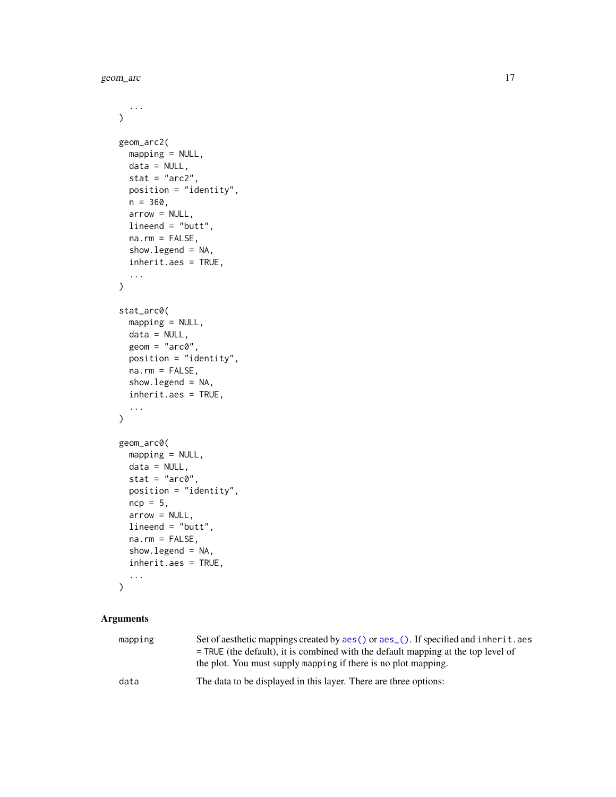geom\_arc 17

```
...
\mathcal{L}geom_arc2(
 mapping = NULL,
 data = NULL,stat = "arc2",position = "identity",
 n = 360,arrow = NULL,
 lineend = "butt",
  na.rm = FALSE,show.legend = NA,
  inherit.aes = TRUE,
  ...
\mathcal{L}stat_arc0(
 mapping = NULL,
 data = NULL,geom = "arc0",position = "identity",
 na.rm = FALSE,
  show.legend = NA,
  inherit.aes = TRUE,
  ...
\mathcal{L}geom_arc0(
 mapping = NULL,
 data = NULL,stat = "arc0",position = "identity",
 ncp = 5,
  arrow = NULL,
 lineend = "butt",
 na.rm = FALSE,
  show.legend = NA,
  inherit.aes = TRUE,
  ...
\mathcal{L}
```

| mapping | Set of aesthetic mappings created by aes () or aes (). If specified and inherit. aes |
|---------|--------------------------------------------------------------------------------------|
|         | $=$ TRUE (the default), it is combined with the default mapping at the top level of  |
|         | the plot. You must supply mapping if there is no plot mapping.                       |
| data    | The data to be displayed in this layer. There are three options:                     |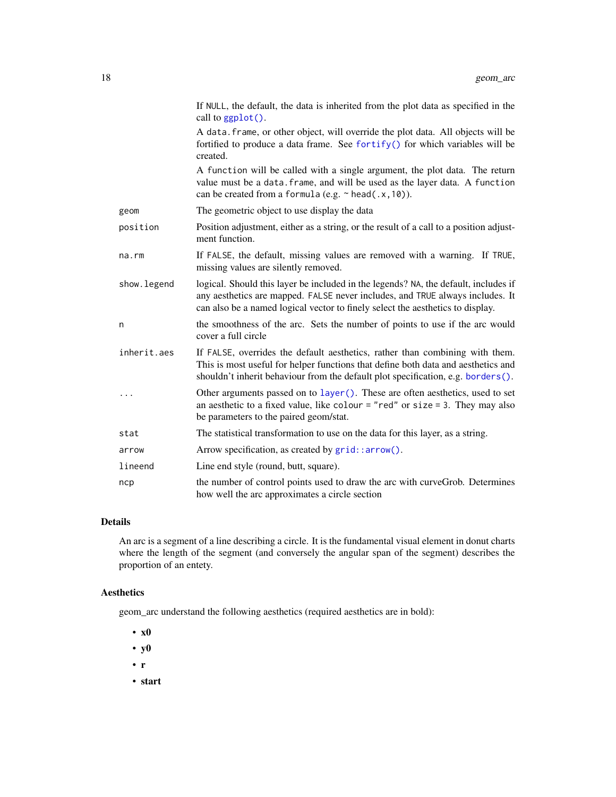|             | If NULL, the default, the data is inherited from the plot data as specified in the<br>call to ggplot().                                                                                                                                                |
|-------------|--------------------------------------------------------------------------------------------------------------------------------------------------------------------------------------------------------------------------------------------------------|
|             | A data. frame, or other object, will override the plot data. All objects will be<br>fortified to produce a data frame. See fortify() for which variables will be<br>created.                                                                           |
|             | A function will be called with a single argument, the plot data. The return<br>value must be a data. frame, and will be used as the layer data. A function<br>can be created from a formula (e.g. $\sim$ head(.x, 10)).                                |
| geom        | The geometric object to use display the data                                                                                                                                                                                                           |
| position    | Position adjustment, either as a string, or the result of a call to a position adjust-<br>ment function.                                                                                                                                               |
| na.rm       | If FALSE, the default, missing values are removed with a warning. If TRUE,<br>missing values are silently removed.                                                                                                                                     |
| show.legend | logical. Should this layer be included in the legends? NA, the default, includes if<br>any aesthetics are mapped. FALSE never includes, and TRUE always includes. It<br>can also be a named logical vector to finely select the aesthetics to display. |
| n           | the smoothness of the arc. Sets the number of points to use if the arc would<br>cover a full circle                                                                                                                                                    |
| inherit.aes | If FALSE, overrides the default aesthetics, rather than combining with them.<br>This is most useful for helper functions that define both data and aesthetics and<br>shouldn't inherit behaviour from the default plot specification, e.g. borders().  |
| .           | Other arguments passed on to layer (). These are often aesthetics, used to set<br>an aesthetic to a fixed value, like colour = "red" or size = 3. They may also<br>be parameters to the paired geom/stat.                                              |
| stat        | The statistical transformation to use on the data for this layer, as a string.                                                                                                                                                                         |
| arrow       | Arrow specification, as created by grid::arrow().                                                                                                                                                                                                      |
| lineend     | Line end style (round, butt, square).                                                                                                                                                                                                                  |
| ncp         | the number of control points used to draw the arc with curveGrob. Determines<br>how well the arc approximates a circle section                                                                                                                         |

### Details

An arc is a segment of a line describing a circle. It is the fundamental visual element in donut charts where the length of the segment (and conversely the angular span of the segment) describes the proportion of an entety.

# Aesthetics

geom\_arc understand the following aesthetics (required aesthetics are in bold):

- x0
- y0
- r
- start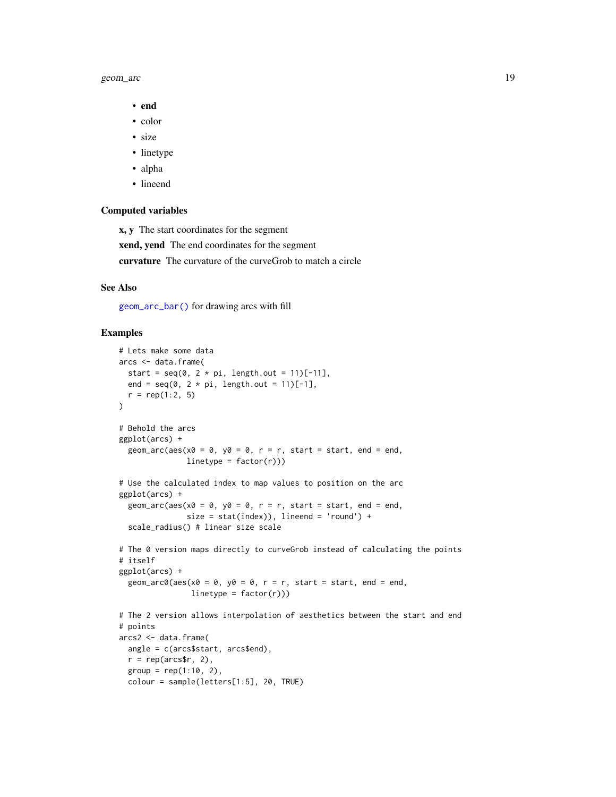#### geom\_arc 19

- end
- color
- size
- linetype
- alpha
- lineend

#### Computed variables

x, y The start coordinates for the segment

xend, yend The end coordinates for the segment

curvature The curvature of the curveGrob to match a circle

# See Also

[geom\\_arc\\_bar\(\)](#page-19-1) for drawing arcs with fill

#### Examples

```
# Lets make some data
arcs <- data.frame(
 start = seq(0, 2 * pi, length.out = 11)[-11],end = seq(0, 2 * pi, length.out = 11)[-1],r = rep(1:2, 5)\lambda# Behold the arcs
ggplot(arcs) +
  geom_arc(aes(x0 = 0, y0 = 0, r = r, start = start, end = end,
               linetype = factor(r))# Use the calculated index to map values to position on the arc
ggplot(arcs) +
  geom_arc(aes(x0 = 0, y0 = 0, r = r, start = start, end = end,
               size = stat(index)), lineend = 'round') +
  scale_radius() # linear size scale
# The 0 version maps directly to curveGrob instead of calculating the points
# itself
ggplot(arcs) +
  geom_arc0(aes(x0 = 0, y0 = 0, r = r, start = start, end = end,
                linetype = factor(r))# The 2 version allows interpolation of aesthetics between the start and end
# points
arcs2 <- data.frame(
 angle = c(arcs$start, arcs$end),
  r = rep(arcs$r, 2),
  group = rep(1:10, 2),colour = sample(letters[1:5], 20, TRUE)
```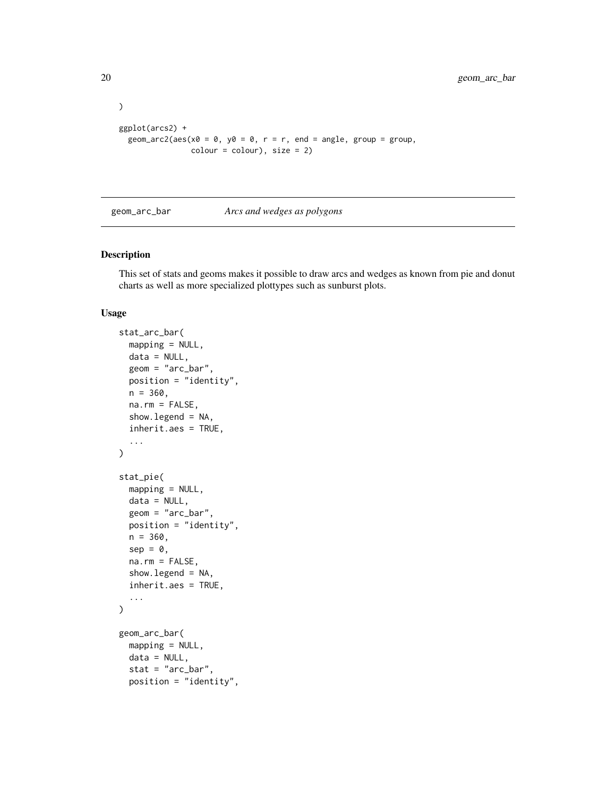```
ggplot(arcs2) +
 geom_arc2(aes(x0 = 0, y0 = 0, r = r, end = angle, group = group,
               color = colour, size = 2)
```
<span id="page-19-1"></span>geom\_arc\_bar *Arcs and wedges as polygons*

#### Description

This set of stats and geoms makes it possible to draw arcs and wedges as known from pie and donut charts as well as more specialized plottypes such as sunburst plots.

#### Usage

```
stat_arc_bar(
 mapping = NULL,
 data = NULL,
  geom = "arc_bar",
 position = "identity",
  n = 360,na.rm = FALSE,
  show.legend = NA,
  inherit.aes = TRUE,
  ...
)
stat_pie(
 mapping = NULL,
 data = NULL,geom = "arc_bar",
 position = "identity",
 n = 360,sep = 0,
 na.rm = FALSE,show.legend = NA,
  inherit.aes = TRUE,
  ...
\mathcal{L}geom_arc_bar(
 mapping = NULL,
 data = NULL,stat = "arc_bar",
  position = "identity",
```
<span id="page-19-0"></span>

)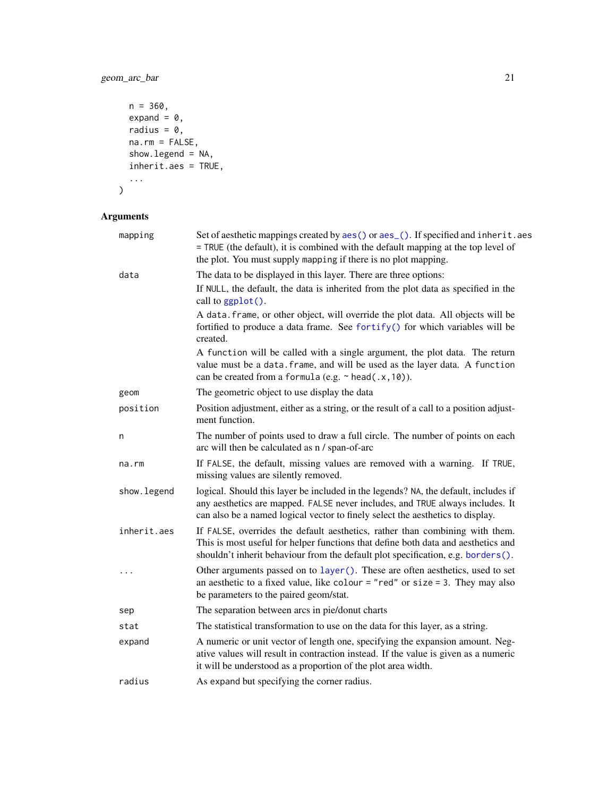# geom\_arc\_bar 21

```
n = 360,
   expand = 0,radius = 0,na.rm = FALSE,show.legend = NA,
  inherit.aes = TRUE,
  ...
\overline{)}
```

| mapping     | Set of aesthetic mappings created by aes() or aes_(). If specified and inherit.aes<br>= TRUE (the default), it is combined with the default mapping at the top level of                                                                                |
|-------------|--------------------------------------------------------------------------------------------------------------------------------------------------------------------------------------------------------------------------------------------------------|
|             | the plot. You must supply mapping if there is no plot mapping.                                                                                                                                                                                         |
| data        | The data to be displayed in this layer. There are three options:                                                                                                                                                                                       |
|             | If NULL, the default, the data is inherited from the plot data as specified in the<br>call to ggplot().                                                                                                                                                |
|             | A data. frame, or other object, will override the plot data. All objects will be<br>fortified to produce a data frame. See fortify() for which variables will be<br>created.                                                                           |
|             | A function will be called with a single argument, the plot data. The return<br>value must be a data. frame, and will be used as the layer data. A function<br>can be created from a formula (e.g. $\sim$ head(.x, 10)).                                |
| geom        | The geometric object to use display the data                                                                                                                                                                                                           |
| position    | Position adjustment, either as a string, or the result of a call to a position adjust-<br>ment function.                                                                                                                                               |
| n           | The number of points used to draw a full circle. The number of points on each<br>arc will then be calculated as n / span-of-arc                                                                                                                        |
| na.rm       | If FALSE, the default, missing values are removed with a warning. If TRUE,<br>missing values are silently removed.                                                                                                                                     |
| show.legend | logical. Should this layer be included in the legends? NA, the default, includes if<br>any aesthetics are mapped. FALSE never includes, and TRUE always includes. It<br>can also be a named logical vector to finely select the aesthetics to display. |
| inherit.aes | If FALSE, overrides the default aesthetics, rather than combining with them.<br>This is most useful for helper functions that define both data and aesthetics and<br>shouldn't inherit behaviour from the default plot specification, e.g. borders().  |
| $\ddots$    | Other arguments passed on to layer (). These are often aesthetics, used to set<br>an aesthetic to a fixed value, like colour = "red" or size = 3. They may also<br>be parameters to the paired geom/stat.                                              |
| sep         | The separation between arcs in pie/donut charts                                                                                                                                                                                                        |
| stat        | The statistical transformation to use on the data for this layer, as a string.                                                                                                                                                                         |
| expand      | A numeric or unit vector of length one, specifying the expansion amount. Neg-<br>ative values will result in contraction instead. If the value is given as a numeric<br>it will be understood as a proportion of the plot area width.                  |
| radius      | As expand but specifying the corner radius.                                                                                                                                                                                                            |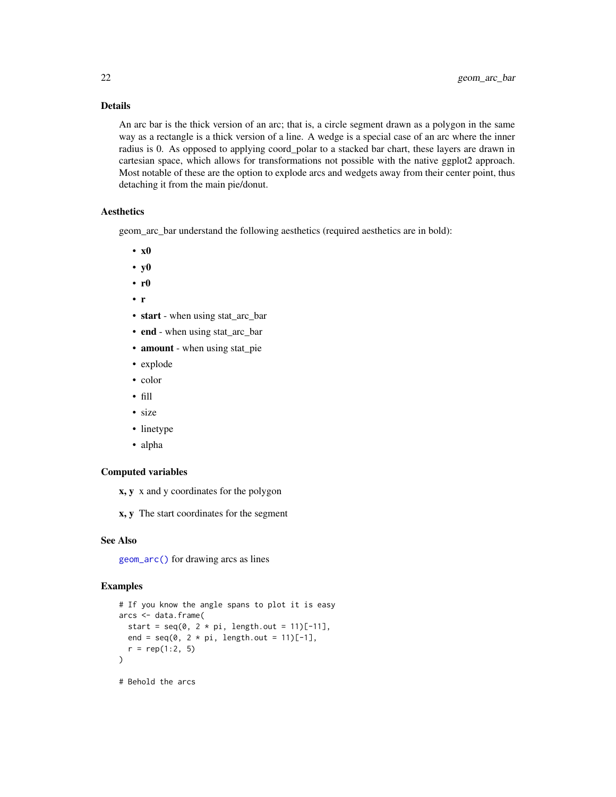## Details

An arc bar is the thick version of an arc; that is, a circle segment drawn as a polygon in the same way as a rectangle is a thick version of a line. A wedge is a special case of an arc where the inner radius is 0. As opposed to applying coord\_polar to a stacked bar chart, these layers are drawn in cartesian space, which allows for transformations not possible with the native ggplot2 approach. Most notable of these are the option to explode arcs and wedgets away from their center point, thus detaching it from the main pie/donut.

#### Aesthetics

geom\_arc\_bar understand the following aesthetics (required aesthetics are in bold):

- x0
- y0
- r0
- r
- start when using stat\_arc\_bar
- end when using stat\_arc\_bar
- **amount** when using stat\_pie
- explode
- color
- fill
- size
- linetype
- alpha

#### Computed variables

- x, y x and y coordinates for the polygon
- x, y The start coordinates for the segment

#### See Also

[geom\\_arc\(\)](#page-15-1) for drawing arcs as lines

#### Examples

```
# If you know the angle spans to plot it is easy
arcs <- data.frame(
 start = seq(0, 2 * pi, length.out = 11)[-11],end = seq(0, 2 * pi, length.out = 11)[-1],r = rep(1:2, 5))
# Behold the arcs
```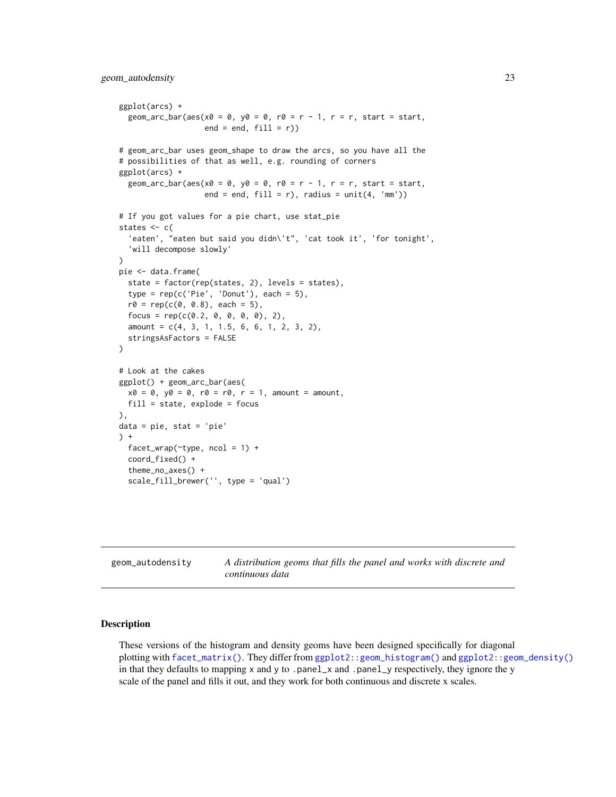```
ggplot(arcs) +
  geom_arc_bar(aes(x0 = 0, y0 = 0, r0 = r - 1, r = r, start = start,
                   end = end, fill = r)# geom_arc_bar uses geom_shape to draw the arcs, so you have all the
# possibilities of that as well, e.g. rounding of corners
ggplot(arcs) +
  geom_arc_bar(aes(x0 = 0, y0 = 0, r0 = r - 1, r = r, start = start,
                   end = end, fill = r), radius = unit(4, 'mm'))
# If you got values for a pie chart, use stat_pie
states <-c('eaten', "eaten but said you didn\'t", 'cat took it', 'for tonight',
  'will decompose slowly'
)
pie <- data.frame(
  state = factor(rep(states, 2), levels = states),
  type = rep(c('Pie', 'Donut'), each = 5),r0 = rep(c(0, 0.8), each = 5),focus = rep(c(0.2, 0, 0, 0, 0), 2),amount = c(4, 3, 1, 1.5, 6, 6, 1, 2, 3, 2),
  stringsAsFactors = FALSE
\mathcal{L}# Look at the cakes
ggplot() + geom_arc_bar(aes(
  x0 = 0, y0 = 0, r0 = r0, r = 1, amount = amount,
  fill = state, explode = focus),
data = pie, stat = 'pie'
) +
  facet_wrap(\text{type}, \text{ncol} = 1) +
  coord_fixed() +
  theme_no_axes() +
  scale_fill_brewer('', type = 'qual')
```
<span id="page-22-2"></span>geom\_autodensity *A distribution geoms that fills the panel and works with discrete and continuous data*

#### <span id="page-22-1"></span>Description

These versions of the histogram and density geoms have been designed specifically for diagonal plotting with [facet\\_matrix\(\)](#page-5-1). They differ from [ggplot2::geom\\_histogram\(\)](#page-0-0) and [ggplot2::geom\\_density\(\)](#page-0-0) in that they defaults to mapping  $x$  and  $y$  to .panel\_ $x$  and .panel\_ $y$  respectively, they ignore the  $y$ scale of the panel and fills it out, and they work for both continuous and discrete x scales.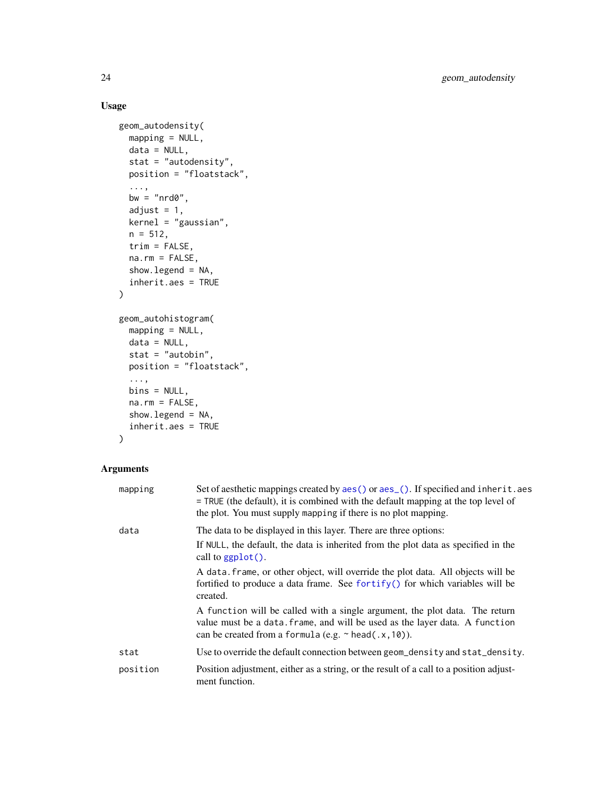# Usage

```
geom_autodensity(
 mapping = NULL,
 data = NULL,stat = "autodensity",
 position = "floatstack",
  ...,
 bw = "nrd0",
  adjust = 1,kernel = "gaussian",
 n = 512,
  trim = FALSE,na.rm = FALSE,show.legend = NA,
  inherit.aes = TRUE
\mathcal{L}geom_autohistogram(
 mapping = NULL,
 data = NULL,stat = "autobin",
 position = "floatstack",
  ...,
 bins = NULL,
 na.rm = FALSE,show.legend = NA,
  inherit.aes = TRUE
\mathcal{L}
```

| mapping  | Set of aesthetic mappings created by aes() or aes_(). If specified and inherit.aes<br>= TRUE (the default), it is combined with the default mapping at the top level of<br>the plot. You must supply mapping if there is no plot mapping. |
|----------|-------------------------------------------------------------------------------------------------------------------------------------------------------------------------------------------------------------------------------------------|
| data     | The data to be displayed in this layer. There are three options:                                                                                                                                                                          |
|          | If NULL, the default, the data is inherited from the plot data as specified in the<br>call to $ggplot()$ .                                                                                                                                |
|          | A data frame, or other object, will override the plot data. All objects will be<br>fortified to produce a data frame. See fortify() for which variables will be<br>created.                                                               |
|          | A function will be called with a single argument, the plot data. The return<br>value must be a data. frame, and will be used as the layer data. A function<br>can be created from a formula (e.g. $\sim$ head(.x, 10)).                   |
| stat     | Use to override the default connection between geom_density and stat_density.                                                                                                                                                             |
| position | Position adjustment, either as a string, or the result of a call to a position adjust-<br>ment function.                                                                                                                                  |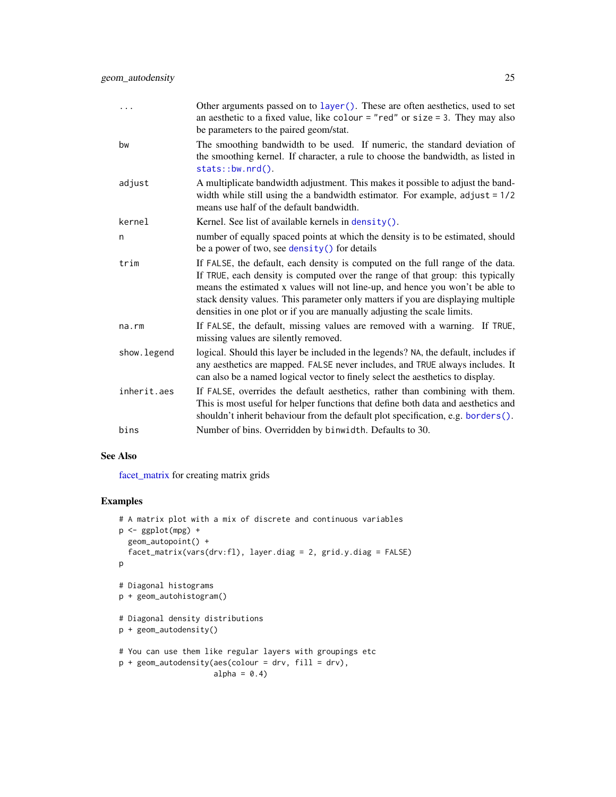| .           | Other arguments passed on to layer (). These are often aesthetics, used to set<br>an aesthetic to a fixed value, like colour = "red" or size = 3. They may also<br>be parameters to the paired geom/stat.                                                                                                                                                                                                         |
|-------------|-------------------------------------------------------------------------------------------------------------------------------------------------------------------------------------------------------------------------------------------------------------------------------------------------------------------------------------------------------------------------------------------------------------------|
| bw          | The smoothing bandwidth to be used. If numeric, the standard deviation of<br>the smoothing kernel. If character, a rule to choose the bandwidth, as listed in<br>stats::bw.nrd().                                                                                                                                                                                                                                 |
| adjust      | A multiplicate bandwidth adjustment. This makes it possible to adjust the band-<br>width while still using the a bandwidth estimator. For example, $adjust = 1/2$<br>means use half of the default bandwidth.                                                                                                                                                                                                     |
| kernel      | Kernel. See list of available kernels in $density()$ .                                                                                                                                                                                                                                                                                                                                                            |
| n           | number of equally spaced points at which the density is to be estimated, should<br>be a power of two, see density () for details                                                                                                                                                                                                                                                                                  |
| trim        | If FALSE, the default, each density is computed on the full range of the data.<br>If TRUE, each density is computed over the range of that group: this typically<br>means the estimated x values will not line-up, and hence you won't be able to<br>stack density values. This parameter only matters if you are displaying multiple<br>densities in one plot or if you are manually adjusting the scale limits. |
| na.rm       | If FALSE, the default, missing values are removed with a warning. If TRUE,<br>missing values are silently removed.                                                                                                                                                                                                                                                                                                |
| show.legend | logical. Should this layer be included in the legends? NA, the default, includes if<br>any aesthetics are mapped. FALSE never includes, and TRUE always includes. It<br>can also be a named logical vector to finely select the aesthetics to display.                                                                                                                                                            |
| inherit.aes | If FALSE, overrides the default aesthetics, rather than combining with them.<br>This is most useful for helper functions that define both data and aesthetics and<br>shouldn't inherit behaviour from the default plot specification, e.g. borders().                                                                                                                                                             |
| bins        | Number of bins. Overridden by binwidth. Defaults to 30.                                                                                                                                                                                                                                                                                                                                                           |

#### See Also

[facet\\_matrix](#page-5-1) for creating matrix grids

#### Examples

```
# A matrix plot with a mix of discrete and continuous variables
p <- ggplot(mpg) +
  geom_autopoint() +
  facet_matrix(vars(drv:fl), layer.diag = 2, grid.y.diag = FALSE)
p
# Diagonal histograms
p + geom_autohistogram()
# Diagonal density distributions
p + geom_autodensity()
# You can use them like regular layers with groupings etc
p + geom_autodensity(aes(colour = drv, fill = drv),
                     alpha = 0.4)
```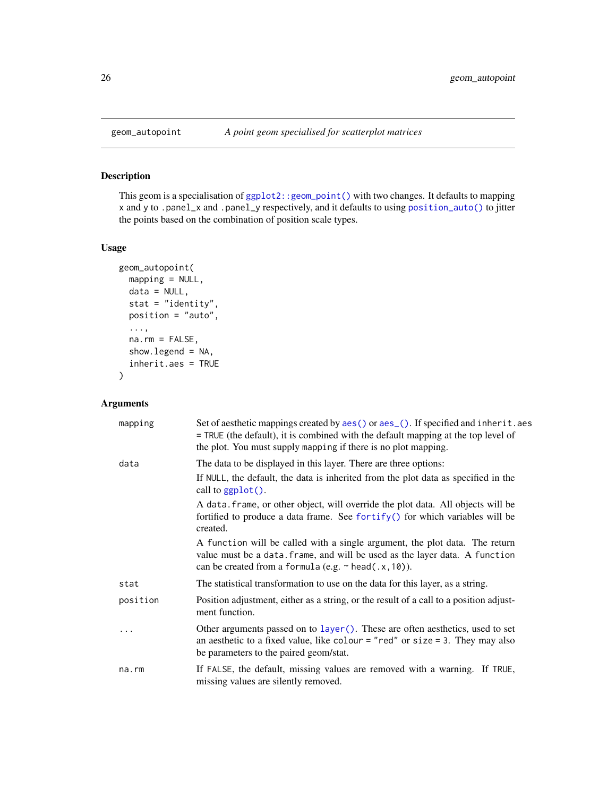#### Description

This geom is a specialisation of  $ggplot2$ :  $geom-point()$  with two changes. It defaults to mapping x and y to .panel\_x and .panel\_y respectively, and it defaults to using [position\\_auto\(\)](#page-90-1) to jitter the points based on the combination of position scale types.

#### Usage

```
geom_autopoint(
 mapping = NULL,
 data = NULL,stat = "identity",
 position = "auto",
  ...,
 na.rm = FALSE,show.legend = NA,
  inherit.aes = TRUE
\mathcal{L}
```

| mapping  | Set of aesthetic mappings created by aes() or aes_(). If specified and inherit.aes<br>$=$ TRUE (the default), it is combined with the default mapping at the top level of<br>the plot. You must supply mapping if there is no plot mapping. |
|----------|---------------------------------------------------------------------------------------------------------------------------------------------------------------------------------------------------------------------------------------------|
| data     | The data to be displayed in this layer. There are three options:                                                                                                                                                                            |
|          | If NULL, the default, the data is inherited from the plot data as specified in the<br>call to $ggplot()$ .                                                                                                                                  |
|          | A data. frame, or other object, will override the plot data. All objects will be<br>fortified to produce a data frame. See fortify() for which variables will be<br>created.                                                                |
|          | A function will be called with a single argument, the plot data. The return<br>value must be a data. frame, and will be used as the layer data. A function<br>can be created from a formula (e.g. $\sim$ head(.x, 10)).                     |
| stat     | The statistical transformation to use on the data for this layer, as a string.                                                                                                                                                              |
| position | Position adjustment, either as a string, or the result of a call to a position adjust-<br>ment function.                                                                                                                                    |
| .        | Other arguments passed on to layer (). These are often aesthetics, used to set<br>an aesthetic to a fixed value, like colour = "red" or size = 3. They may also<br>be parameters to the paired geom/stat.                                   |
| na.rm    | If FALSE, the default, missing values are removed with a warning. If TRUE,<br>missing values are silently removed.                                                                                                                          |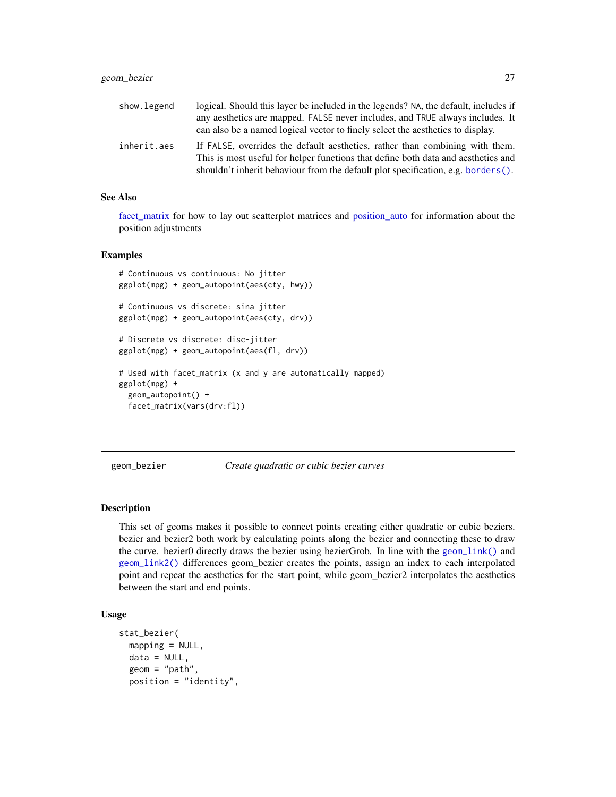<span id="page-26-0"></span>

| show.legend | logical. Should this layer be included in the legends? NA, the default, includes if                                                                               |
|-------------|-------------------------------------------------------------------------------------------------------------------------------------------------------------------|
|             | any aesthetics are mapped. FALSE never includes, and TRUE always includes. It                                                                                     |
|             | can also be a named logical vector to finely select the aesthetics to display.                                                                                    |
| inherit.aes | If FALSE, overrides the default aesthetics, rather than combining with them.<br>This is most useful for helper functions that define both data and aesthetics and |
|             | shouldn't inherit behaviour from the default plot specification, e.g. borders().                                                                                  |

#### See Also

[facet\\_matrix](#page-5-1) for how to lay out scatterplot matrices and [position\\_auto](#page-90-1) for information about the position adjustments

# Examples

```
# Continuous vs continuous: No jitter
ggplot(mpg) + geom_autopoint(aes(cty, hwy))
# Continuous vs discrete: sina jitter
ggplot(mpg) + geom_autopoint(aes(cty, drv))
# Discrete vs discrete: disc-jitter
ggplot(mpg) + geom_autopoint(aes(fl, drv))
# Used with facet_matrix (x and y are automatically mapped)
ggplot(mpg) +
 geom_autopoint() +
 facet_matrix(vars(drv:fl))
```
<span id="page-26-1"></span>geom\_bezier *Create quadratic or cubic bezier curves*

#### Description

This set of geoms makes it possible to connect points creating either quadratic or cubic beziers. bezier and bezier2 both work by calculating points along the bezier and connecting these to draw the curve. bezier0 directly draws the bezier using bezierGrob. In line with the [geom\\_link\(\)](#page-48-1) and [geom\\_link2\(\)](#page-48-2) differences geom\_bezier creates the points, assign an index to each interpolated point and repeat the aesthetics for the start point, while geom\_bezier2 interpolates the aesthetics between the start and end points.

#### Usage

```
stat_bezier(
 mapping = NULL,data = NULL,geom = "path",
 position = "identity",
```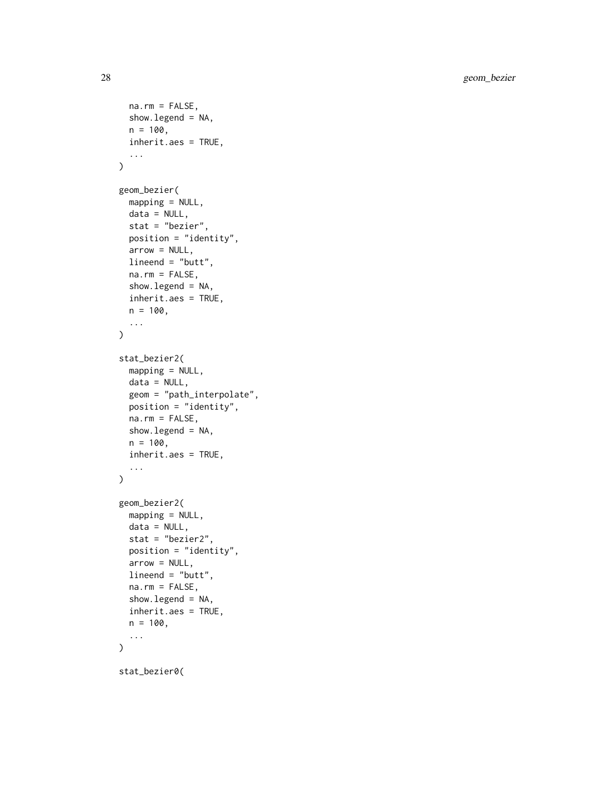28 geom\_bezier

```
na.rm = FALSE,show.legend = NA,
 n = 100.
  inherit.aes = TRUE,
  ...
\mathcal{L}geom_bezier(
 mapping = NULL,
 data = NULL,stat = "bezier",
 position = "identity",
 arrow = NULL,lineend = "butt",
 na.rm = FALSE,
  show.legend = NA,
  inherit.aes = TRUE,
 n = 100,
  ...
\mathcal{L}stat_bezier2(
 mapping = NULL,
 data = NULL,geom = "path_interpolate",
 position = "identity",
 na.rm = FALSE,show.legend = NA,
 n = 100,inherit.aes = TRUE,
  ...
)
geom_bezier2(
 mapping = NULL,
 data = NULL,stat = "bezier2",
 position = "identity",
  arrow = NULL,
 lineend = "butt",
 na.rm = FALSE,show.legend = NA,
  inherit.aes = TRUE,
 n = 100,...
)
stat_bezier0(
```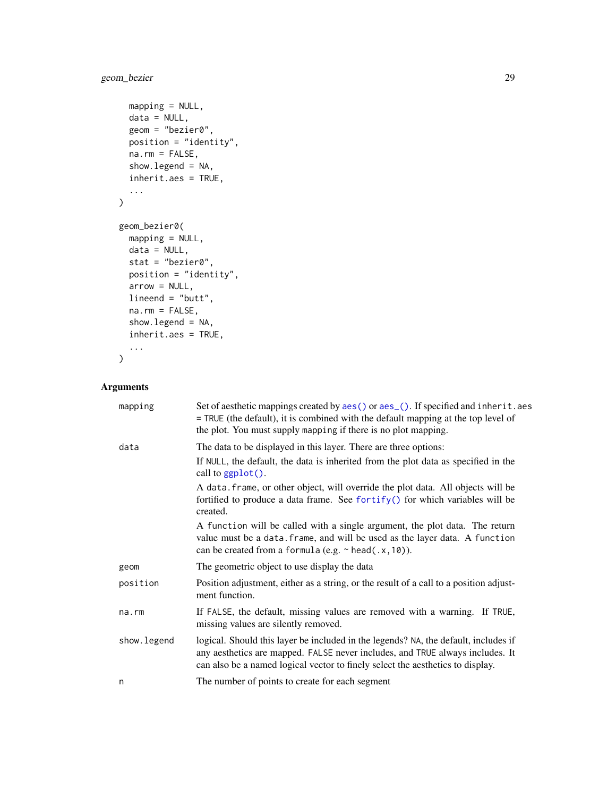# geom\_bezier 29

```
mapping = NULL,
 data = NULL,geom = "bezier0",
 position = "identity",
 na.rm = FALSE,
 show.legend = NA,
 inherit.aes = TRUE,
  ...
)
geom_bezier0(
 mapping = NULL,
 data = NULL,
 stat = "bezier0",
 position = "identity",
 arrow = NULL,
 lineend = "butt",
 na.rm = FALSE,show.legend = NA,
  inherit.aes = TRUE,
  ...
\mathcal{L}
```

| mapping     | Set of aesthetic mappings created by aes() or aes_(). If specified and inherit.aes<br>$=$ TRUE (the default), it is combined with the default mapping at the top level of<br>the plot. You must supply mapping if there is no plot mapping.            |
|-------------|--------------------------------------------------------------------------------------------------------------------------------------------------------------------------------------------------------------------------------------------------------|
| data        | The data to be displayed in this layer. There are three options:                                                                                                                                                                                       |
|             | If NULL, the default, the data is inherited from the plot data as specified in the<br>call to ggplot().                                                                                                                                                |
|             | A data. frame, or other object, will override the plot data. All objects will be<br>fortified to produce a data frame. See fortify() for which variables will be<br>created.                                                                           |
|             | A function will be called with a single argument, the plot data. The return<br>value must be a data. frame, and will be used as the layer data. A function<br>can be created from a formula (e.g. $\sim$ head(.x, 10)).                                |
| geom        | The geometric object to use display the data                                                                                                                                                                                                           |
| position    | Position adjustment, either as a string, or the result of a call to a position adjust-<br>ment function.                                                                                                                                               |
| na.rm       | If FALSE, the default, missing values are removed with a warning. If TRUE,<br>missing values are silently removed.                                                                                                                                     |
| show.legend | logical. Should this layer be included in the legends? NA, the default, includes if<br>any aesthetics are mapped. FALSE never includes, and TRUE always includes. It<br>can also be a named logical vector to finely select the aesthetics to display. |
| n           | The number of points to create for each segment                                                                                                                                                                                                        |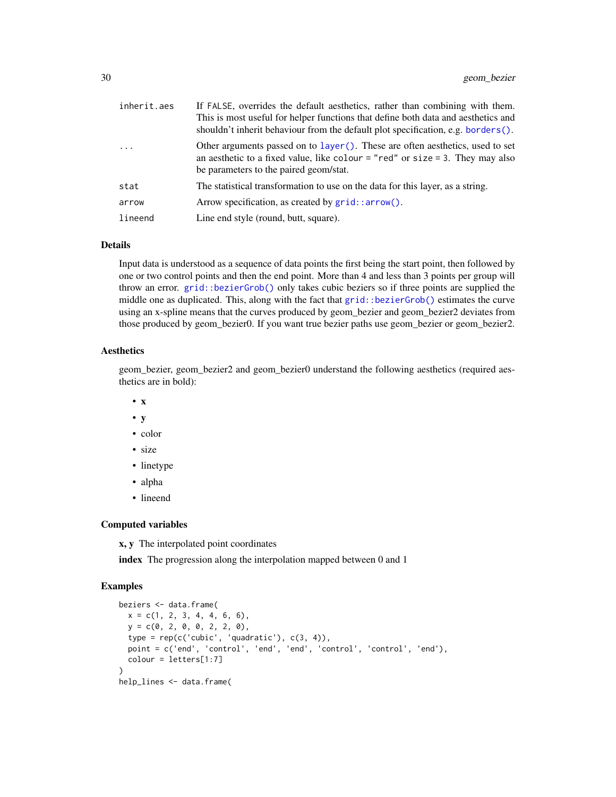| inherit.aes | If FALSE, overrides the default aesthetics, rather than combining with them.<br>This is most useful for helper functions that define both data and aesthetics and<br>shouldn't inherit behaviour from the default plot specification, e.g. borders $()$ . |
|-------------|-----------------------------------------------------------------------------------------------------------------------------------------------------------------------------------------------------------------------------------------------------------|
| $\ddots$    | Other arguments passed on to layer(). These are often aesthetics, used to set<br>an aesthetic to a fixed value, like colour = "red" or size = 3. They may also<br>be parameters to the paired geom/stat.                                                  |
| stat        | The statistical transformation to use on the data for this layer, as a string.                                                                                                                                                                            |
| arrow       | Arrow specification, as created by $grid$ : arrow().                                                                                                                                                                                                      |
| lineend     | Line end style (round, butt, square).                                                                                                                                                                                                                     |

#### Details

Input data is understood as a sequence of data points the first being the start point, then followed by one or two control points and then the end point. More than 4 and less than 3 points per group will throw an error. [grid::bezierGrob\(\)](#page-0-0) only takes cubic beziers so if three points are supplied the middle one as duplicated. This, along with the fact that [grid::bezierGrob\(\)](#page-0-0) estimates the curve using an x-spline means that the curves produced by geom\_bezier and geom\_bezier2 deviates from those produced by geom\_bezier0. If you want true bezier paths use geom\_bezier or geom\_bezier2.

#### Aesthetics

geom\_bezier, geom\_bezier2 and geom\_bezier0 understand the following aesthetics (required aesthetics are in bold):

- x
- y
- color
- size
- linetype
- alpha
- lineend

#### Computed variables

x, y The interpolated point coordinates

index The progression along the interpolation mapped between 0 and 1

#### Examples

```
beziers <- data.frame(
  x = c(1, 2, 3, 4, 4, 6, 6),
  y = c(0, 2, 0, 0, 2, 2, 0),
  type = rep(c('cubic', 'quadratic'), c(3, 4)),
  point = c('end', 'control', 'end', 'end', 'control', 'control', 'end'),
  colour = letters[1:7]
)
help_lines <- data.frame(
```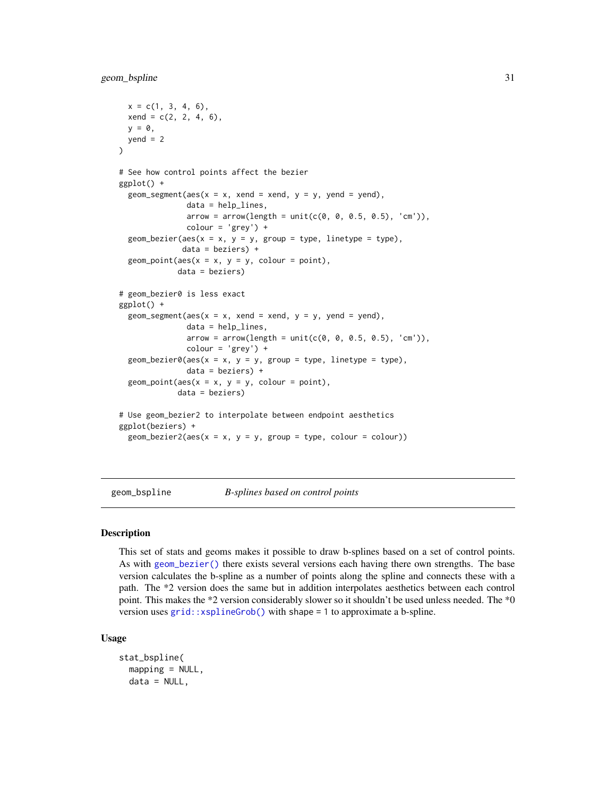```
x = c(1, 3, 4, 6),
 xend = c(2, 2, 4, 6),
 y = 0,
 yend = 2)
# See how control points affect the bezier
ggplot() +
 geom_segment(aes(x = x, xend = xend, y = y, yend = yend),
               data = help_lines,
               arrow = arrow(length = unit(c(0, 0, 0.5, 0.5), 'cm')),
               color = 'grey') +geom\_bezier(aes(x = x, y = y, group = type, linetype = type),data = beziers) +
 geom\_point(aes(x = x, y = y, colour = point),data = beziers)
# geom_bezier0 is less exact
ggplot() +
 geom_segment(aes(x = x, xend = xend, y = y, yend = yend),
              data = help_lines,
               arrow = arrow(length = unit(c(0, 0, 0.5, 0.5), 'cm'))color = 'grey') +geom\_bezier0(aes(x = x, y = y, group = type, linetype = type),data = beziers) +geom\_point(aes(x = x, y = y, colour = point),data = beziers)
# Use geom_bezier2 to interpolate between endpoint aesthetics
ggplot(beziers) +
 geom_bezier2(aes(x = x, y = y, group = type, colour = colour))
```
geom\_bspline *B-splines based on control points*

#### Description

This set of stats and geoms makes it possible to draw b-splines based on a set of control points. As with [geom\\_bezier\(\)](#page-26-1) there exists several versions each having there own strengths. The base version calculates the b-spline as a number of points along the spline and connects these with a path. The \*2 version does the same but in addition interpolates aesthetics between each control point. This makes the \*2 version considerably slower so it shouldn't be used unless needed. The \*0 version uses [grid::xsplineGrob\(\)](#page-0-0) with shape = 1 to approximate a b-spline.

#### Usage

```
stat_bspline(
 mapping = NULL,data = NULL,
```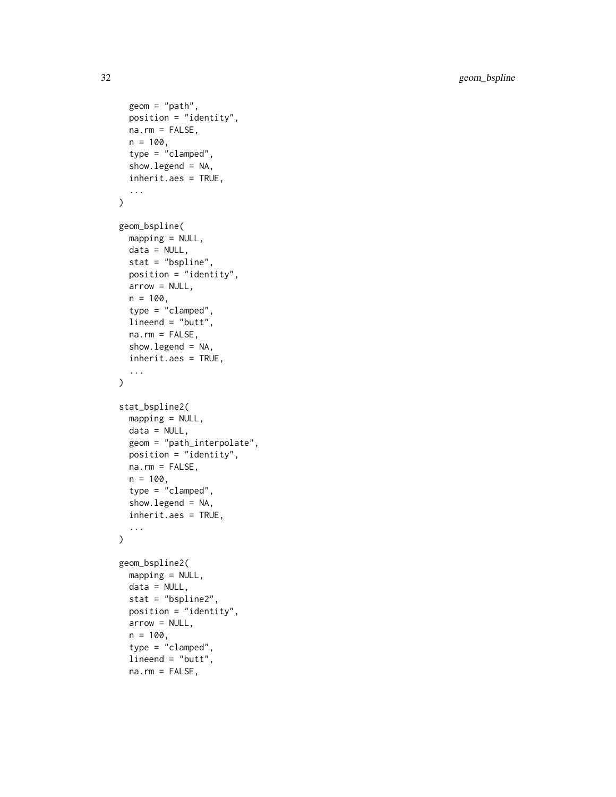32 geom\_bspline

```
geom = "path",position = "identity",
 na.rm = FALSE,n = 100,type = "clamped",
  show.legend = NA,
  inherit.aes = TRUE,
  ...
\mathcal{L}geom_bspline(
 mapping = NULL,
 data = NULL,stat = "bspline",
 position = "identity",
  arrow = NULL,
  n = 100,type = "clamped",
  lineend = "butt",
  na.rm = FALSE,show.legend = NA,
  inherit.aes = TRUE,
  ...
\mathcal{L}stat_bspline2(
  mapping = NULL,data = NULL,geom = "path_interpolate",
 position = "identity",
 na.rm = FALSE,n = 100,type = "clamped",
  show.legend = NA,
  inherit.aes = TRUE,
  ...
\mathcal{L}geom_bspline2(
 mapping = NULL,
  data = NULL,stat = "bspline2",
 position = "identity",
  arrow = NULL,
  n = 100,type = "clamped",
  lineend = "butt",
```

```
na.rm = FALSE,
```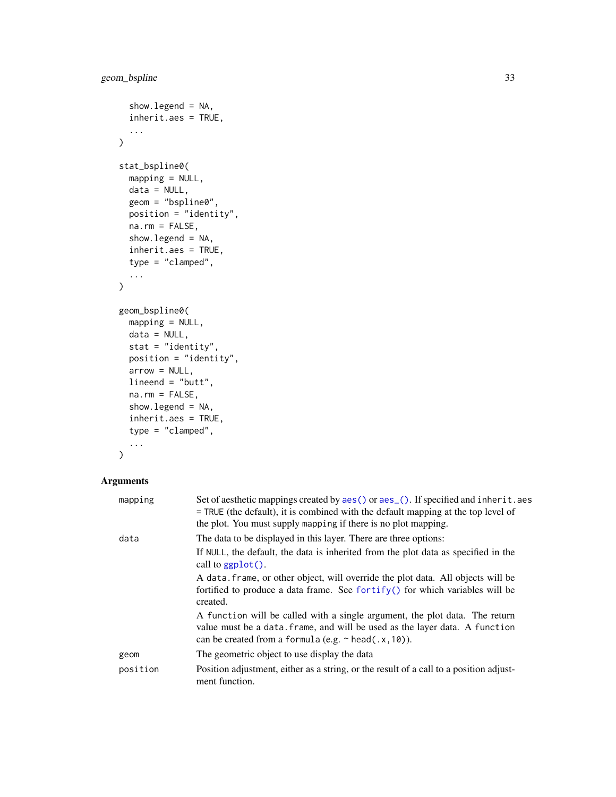```
show.legend = NA,
  inherit.aes = TRUE,
  ...
\mathcal{L}stat_bspline0(
 mapping = NULL,
 data = NULL,geom = "bspline0",
 position = "identity",
 na.rm = FALSE,show.legend = NA,
  inherit.aes = TRUE,
  type = "clamped",
  ...
\mathcal{L}geom_bspline0(
 mapping = NULL,
 data = NULL,stat = "identity",position = "identity",
 arrow = NULL,
 lineend = "butt",
 na.rm = FALSE,show.legend = NA,
  inherit.aes = TRUE,
  type = "clamped",
  ...
\mathcal{L}
```

| mapping  | Set of aesthetic mappings created by aes() or aes_(). If specified and inherit.aes<br>= TRUE (the default), it is combined with the default mapping at the top level of<br>the plot. You must supply mapping if there is no plot mapping.                                                                                                                                                                                                                                                                                                                                             |
|----------|---------------------------------------------------------------------------------------------------------------------------------------------------------------------------------------------------------------------------------------------------------------------------------------------------------------------------------------------------------------------------------------------------------------------------------------------------------------------------------------------------------------------------------------------------------------------------------------|
| data     | The data to be displayed in this layer. There are three options:<br>If NULL, the default, the data is inherited from the plot data as specified in the<br>call to ggplot().<br>A data frame, or other object, will override the plot data. All objects will be<br>fortified to produce a data frame. See fortify() for which variables will be<br>created.<br>A function will be called with a single argument, the plot data. The return<br>value must be a data. frame, and will be used as the layer data. A function<br>can be created from a formula (e.g. $\sim$ head(.x, 10)). |
| geom     | The geometric object to use display the data                                                                                                                                                                                                                                                                                                                                                                                                                                                                                                                                          |
| position | Position adjustment, either as a string, or the result of a call to a position adjust-<br>ment function.                                                                                                                                                                                                                                                                                                                                                                                                                                                                              |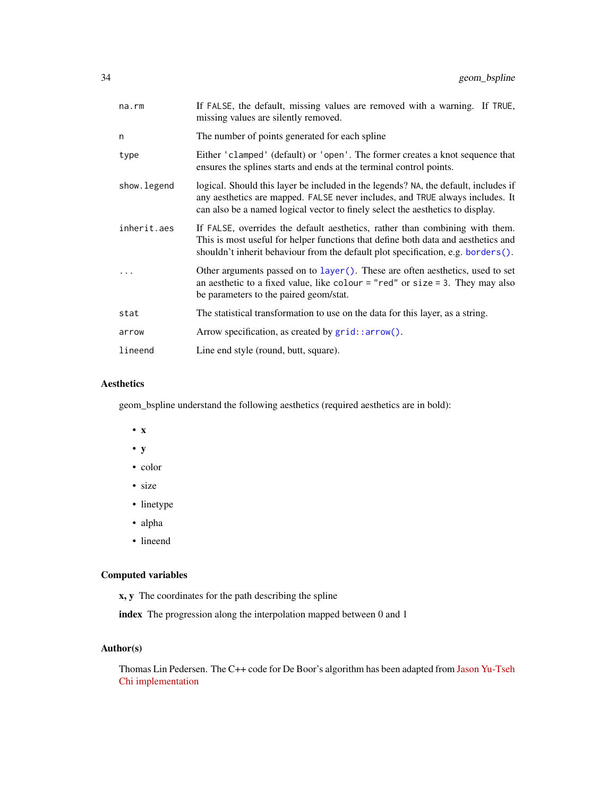| na.rm       | If FALSE, the default, missing values are removed with a warning. If TRUE,<br>missing values are silently removed.                                                                                                                                     |
|-------------|--------------------------------------------------------------------------------------------------------------------------------------------------------------------------------------------------------------------------------------------------------|
| n           | The number of points generated for each spline                                                                                                                                                                                                         |
| type        | Either 'clamped' (default) or 'open'. The former creates a knot sequence that<br>ensures the splines starts and ends at the terminal control points.                                                                                                   |
| show.legend | logical. Should this layer be included in the legends? NA, the default, includes if<br>any aesthetics are mapped. FALSE never includes, and TRUE always includes. It<br>can also be a named logical vector to finely select the aesthetics to display. |
| inherit.aes | If FALSE, overrides the default aesthetics, rather than combining with them.<br>This is most useful for helper functions that define both data and aesthetics and<br>shouldn't inherit behaviour from the default plot specification, e.g. borders().  |
|             | Other arguments passed on to layer (). These are often aesthetics, used to set<br>an aesthetic to a fixed value, like colour = "red" or size = 3. They may also<br>be parameters to the paired geom/stat.                                              |
| stat        | The statistical transformation to use on the data for this layer, as a string.                                                                                                                                                                         |
| arrow       | Arrow specification, as created by grid::arrow().                                                                                                                                                                                                      |
| lineend     | Line end style (round, butt, square).                                                                                                                                                                                                                  |

#### Aesthetics

geom\_bspline understand the following aesthetics (required aesthetics are in bold):

- x
- y
- color
- size
- linetype
- alpha
- lineend

#### Computed variables

x, y The coordinates for the path describing the spline

index The progression along the interpolation mapped between 0 and 1

# Author(s)

Thomas Lin Pedersen. The C++ code for De Boor's algorithm has been adapted from [Jason Yu-Tseh](https://chi3x10.wordpress.com/2009/10/18/de-boor-algorithm-in-c/) [Chi implementation](https://chi3x10.wordpress.com/2009/10/18/de-boor-algorithm-in-c/)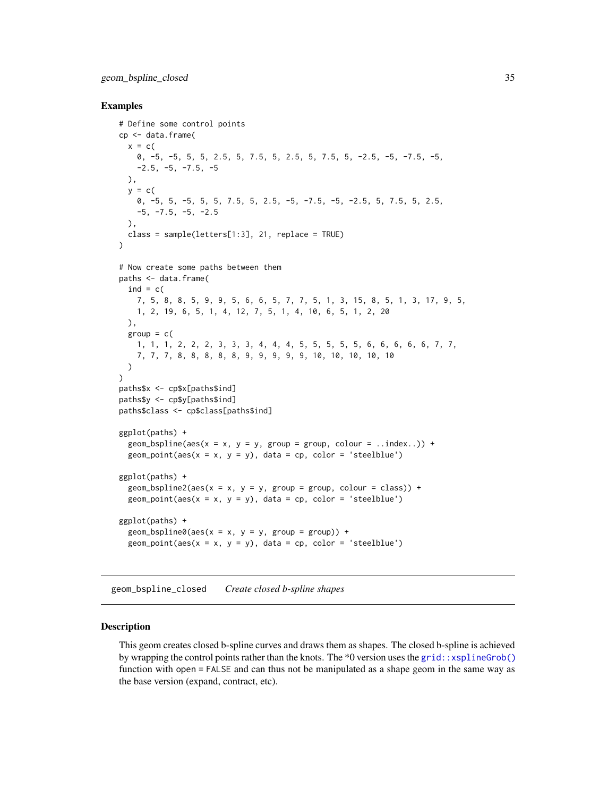#### <span id="page-34-0"></span>Examples

```
# Define some control points
cp <- data.frame(
  x = c(0, -5, -5, 5, 5, 2.5, 5, 7.5, 5, 2.5, 5, 7.5, 5, -2.5, -5, -7.5, -5,
    -2.5, -5, -7.5, -5),
  y = c(0, -5, 5, -5, 5, 5, 7.5, 5, 2.5, -5, -7.5, -5, -2.5, 5, 7.5, 5, 2.5,
   -5, -7.5, -5, -2.5),
  class = sample(letters[1:3], 21, replace = TRUE)
)
# Now create some paths between them
paths <- data.frame(
  ind = c(7, 5, 8, 8, 5, 9, 9, 5, 6, 6, 5, 7, 7, 5, 1, 3, 15, 8, 5, 1, 3, 17, 9, 5,
   1, 2, 19, 6, 5, 1, 4, 12, 7, 5, 1, 4, 10, 6, 5, 1, 2, 20
 ),
  group = c()1, 1, 1, 2, 2, 2, 3, 3, 3, 4, 4, 4, 5, 5, 5, 5, 5, 6, 6, 6, 6, 6, 7, 7,
    7, 7, 7, 8, 8, 8, 8, 8, 9, 9, 9, 9, 9, 10, 10, 10, 10, 10
  \lambda)
paths$x <- cp$x[paths$ind]
paths$y <- cp$y[paths$ind]
paths$class <- cp$class[paths$ind]
ggplot(paths) +
  geom_bspline(aes(x = x, y = y, group = group, colour = ..index..)) +
  geom_point(aes(x = x, y = y), data = cp, color = 'steelblue')
ggplot(paths) +
  geom_bspline2(aes(x = x, y = y, group = group, colour = class)) +
  geom\_point(aes(x = x, y = y), data = cp, color = 'steelblue')ggplot(paths) +
  geom_bsplitne0(aes(x = x, y = y, group = group)) +geom_point(aes(x = x, y = y), data = cp, color = 'steelblue')
```
geom\_bspline\_closed *Create closed b-spline shapes*

#### Description

This geom creates closed b-spline curves and draws them as shapes. The closed b-spline is achieved by wrapping the control points rather than the knots. The \*0 version uses the [grid::xsplineGrob\(\)](#page-0-0) function with open = FALSE and can thus not be manipulated as a shape geom in the same way as the base version (expand, contract, etc).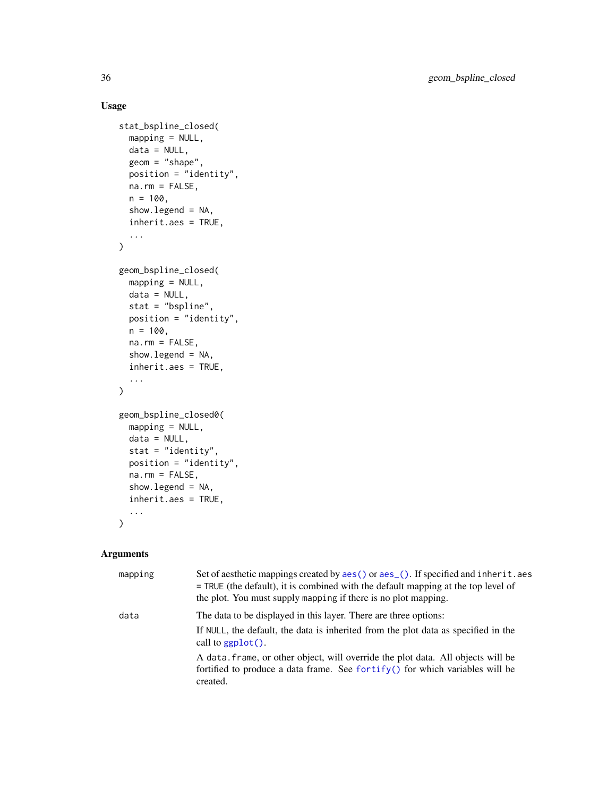# Usage

```
stat_bspline_closed(
  mapping = NULL,
 data = NULL,geom = "shape",
 position = "identity",
 na.rm = FALSE,
 n = 100,show.legend = NA,
  inherit.aes = TRUE,
  ...
\mathcal{L}geom_bspline_closed(
 mapping = NULL,
 data = NULL,
 stat = "bspline",
 position = "identity",
 n = 100,na.rm = FALSE,
  show.legend = NA,
  inherit.aes = TRUE,
  ...
)
geom_bspline_closed0(
 mapping = NULL,data = NULL,stat = "identity",
 position = "identity",
 na.rm = FALSE,show.legend = NA,
  inherit.aes = TRUE,
  ...
\mathcal{L}
```

| mapping | Set of aesthetic mappings created by aes () or aes (). If specified and inherit.aes<br>$=$ TRUE (the default), it is combined with the default mapping at the top level of<br>the plot. You must supply mapping if there is no plot mapping. |
|---------|----------------------------------------------------------------------------------------------------------------------------------------------------------------------------------------------------------------------------------------------|
| data    | The data to be displayed in this layer. There are three options:<br>If NULL, the default, the data is inherited from the plot data as specified in the<br>call to $ggplot()$ .                                                               |
|         | A data, frame, or other object, will override the plot data. All objects will be<br>fortified to produce a data frame. See fortify() for which variables will be<br>created.                                                                 |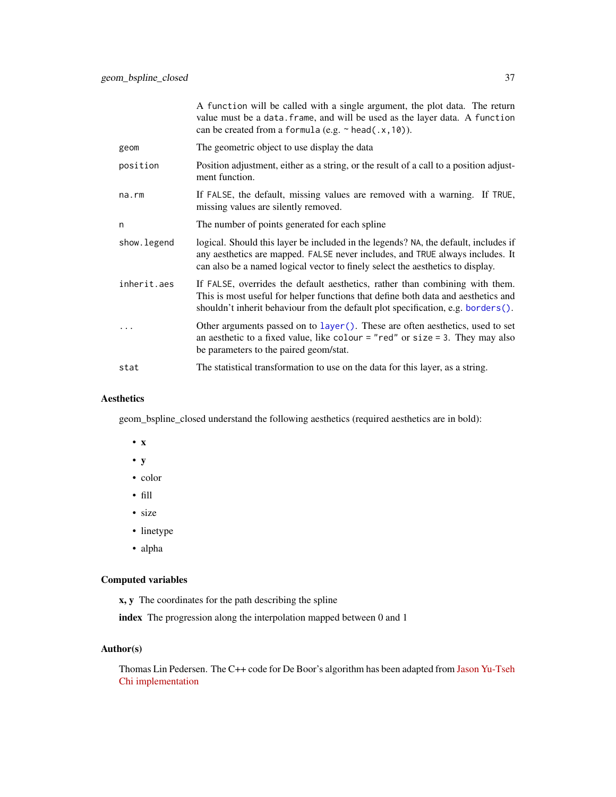A function will be called with a single argument, the plot data. The return value must be a data.frame, and will be used as the layer data. A function can be created from a formula (e.g.  $\sim$  head(.x,10)).

- geom The geometric object to use display the data
- position Position adjustment, either as a string, or the result of a call to a position adjustment function.
- na.rm If FALSE, the default, missing values are removed with a warning. If TRUE, missing values are silently removed.
- n The number of points generated for each spline
- show. legend logical. Should this layer be included in the legends? NA, the default, includes if any aesthetics are mapped. FALSE never includes, and TRUE always includes. It can also be a named logical vector to finely select the aesthetics to display.
- inherit.aes If FALSE, overrides the default aesthetics, rather than combining with them. This is most useful for helper functions that define both data and aesthetics and shouldn't inherit behaviour from the default plot specification, e.g. [borders\(\)](#page-0-0).
- Other arguments passed on to [layer\(\)](#page-0-0). These are often aesthetics, used to set an aesthetic to a fixed value, like colour = "red" or size = 3. They may also be parameters to the paired geom/stat.
- stat The statistical transformation to use on the data for this layer, as a string.

## Aesthetics

geom\_bspline\_closed understand the following aesthetics (required aesthetics are in bold):

- x
- y
- color
- fill
- size
- linetype
- alpha

### Computed variables

x, y The coordinates for the path describing the spline

index The progression along the interpolation mapped between 0 and 1

## Author(s)

Thomas Lin Pedersen. The C++ code for De Boor's algorithm has been adapted from [Jason Yu-Tseh](https://chi3x10.wordpress.com/2009/10/18/de-boor-algorithm-in-c/) [Chi implementation](https://chi3x10.wordpress.com/2009/10/18/de-boor-algorithm-in-c/)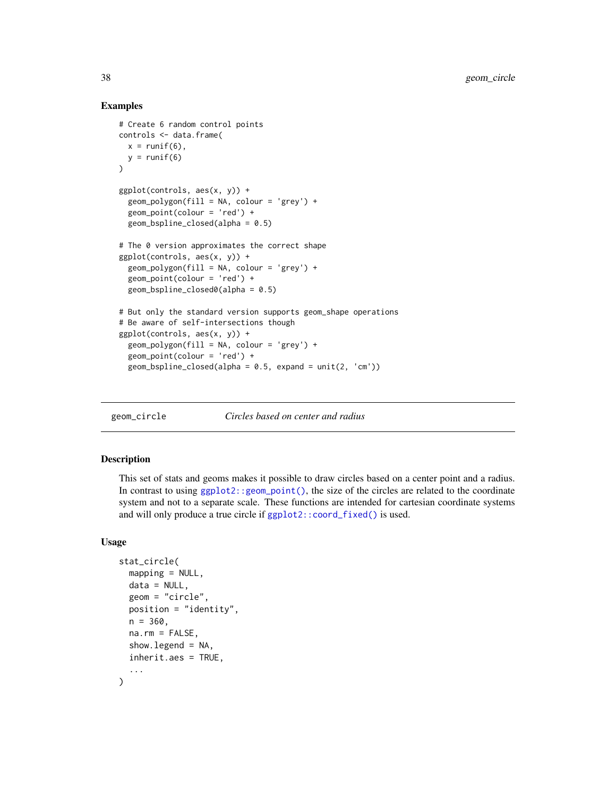#### Examples

```
# Create 6 random control points
controls <- data.frame(
  x = runif(6),
  y = runif(6)\lambdaggplot(controls, aes(x, y)) +
  geom\_polygon(fill = NA, colour = 'grey') +geom_point(colour = 'red') +
  geom_bsplitne\_closed(alpha = 0.5)# The 0 version approximates the correct shape
ggplot(controls, aes(x, y)) +
  geom_polygon(fill = NA, colour = 'grey') +geom_point(colour = 'red') +
  geom_bspline_closed0(alpha = 0.5)
# But only the standard version supports geom_shape operations
# Be aware of self-intersections though
ggplot(controls, aes(x, y)) +
  geom\_polygon(fill = NA, colour = 'grey') +geom_point(colour = 'red') +
  geom_bsplitne\_closed(alpha = 0.5, expand = unit(2, 'cm'))
```
<span id="page-37-0"></span>

geom\_circle *Circles based on center and radius*

#### Description

This set of stats and geoms makes it possible to draw circles based on a center point and a radius. In contrast to using [ggplot2::geom\\_point\(\)](#page-0-0), the size of the circles are related to the coordinate system and not to a separate scale. These functions are intended for cartesian coordinate systems and will only produce a true circle if [ggplot2::coord\\_fixed\(\)](#page-0-0) is used.

```
stat_circle(
 mapping = NULL,data = NULL,
  geom = "circle",
 position = "identity",
 n = 360,
 na.rm = FALSE,
  show. legend = NA,
  inherit.aes = TRUE,
  ...
)
```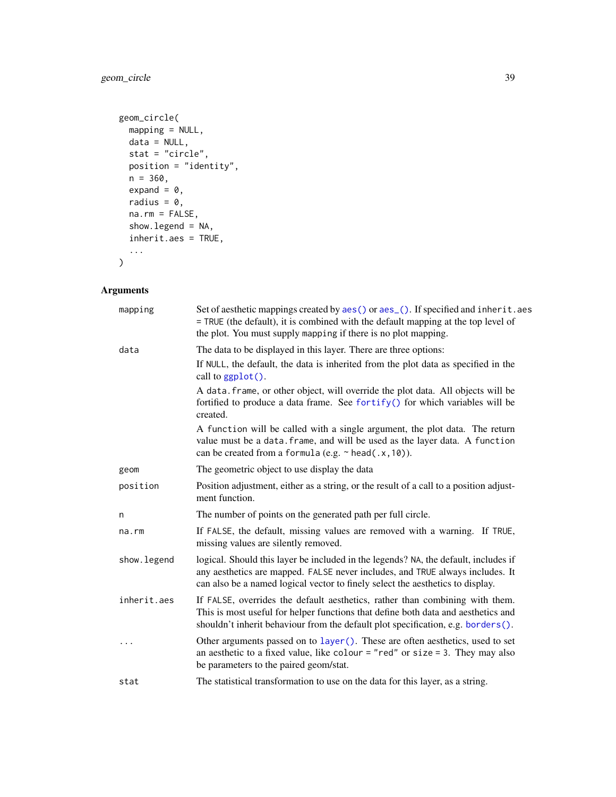## geom\_circle 39

```
geom_circle(
 mapping = NULL,
 data = NULL,stat = "circle",
 position = "identity",
 n = 360,expand = \theta,
 radius = 0,na.rm = FALSE,show.legend = NA,
 inherit.aes = TRUE,
  ...
\mathcal{L}
```
## Arguments

| mapping      | Set of aesthetic mappings created by aes() or aes_(). If specified and inherit.aes<br>= TRUE (the default), it is combined with the default mapping at the top level of<br>the plot. You must supply mapping if there is no plot mapping.              |
|--------------|--------------------------------------------------------------------------------------------------------------------------------------------------------------------------------------------------------------------------------------------------------|
| data         | The data to be displayed in this layer. There are three options:                                                                                                                                                                                       |
|              | If NULL, the default, the data is inherited from the plot data as specified in the<br>call to ggplot().                                                                                                                                                |
|              | A data. frame, or other object, will override the plot data. All objects will be<br>fortified to produce a data frame. See fortify() for which variables will be<br>created.                                                                           |
|              | A function will be called with a single argument, the plot data. The return<br>value must be a data. frame, and will be used as the layer data. A function<br>can be created from a formula (e.g. $\sim$ head(.x, 10)).                                |
| geom         | The geometric object to use display the data                                                                                                                                                                                                           |
| position     | Position adjustment, either as a string, or the result of a call to a position adjust-<br>ment function.                                                                                                                                               |
| n            | The number of points on the generated path per full circle.                                                                                                                                                                                            |
| na.rm        | If FALSE, the default, missing values are removed with a warning. If TRUE,<br>missing values are silently removed.                                                                                                                                     |
| show. legend | logical. Should this layer be included in the legends? NA, the default, includes if<br>any aesthetics are mapped. FALSE never includes, and TRUE always includes. It<br>can also be a named logical vector to finely select the aesthetics to display. |
| inherit.aes  | If FALSE, overrides the default aesthetics, rather than combining with them.<br>This is most useful for helper functions that define both data and aesthetics and<br>shouldn't inherit behaviour from the default plot specification, e.g. borders().  |
| $\cdots$     | Other arguments passed on to layer (). These are often aesthetics, used to set<br>an aesthetic to a fixed value, like colour = "red" or size = 3. They may also<br>be parameters to the paired geom/stat.                                              |
| stat         | The statistical transformation to use on the data for this layer, as a string.                                                                                                                                                                         |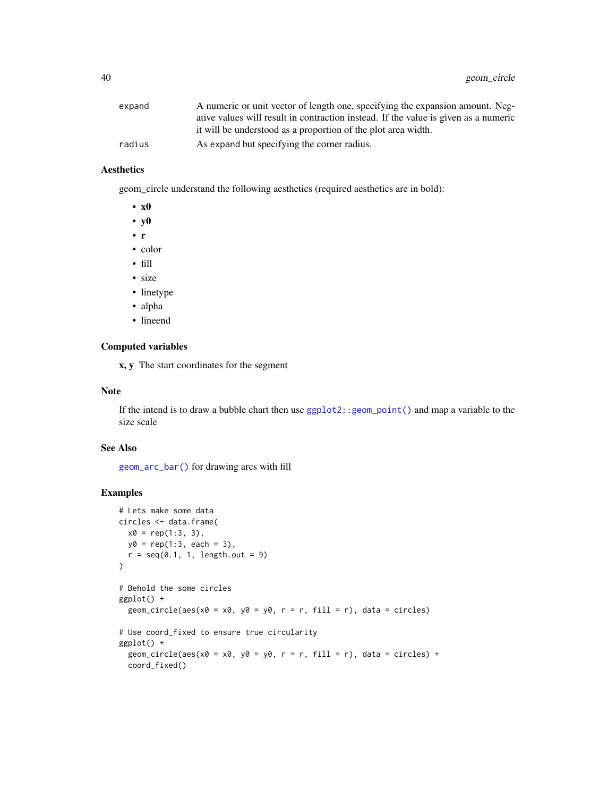| expand | A numeric or unit vector of length one, specifying the expansion amount. Neg-       |
|--------|-------------------------------------------------------------------------------------|
|        | ative values will result in contraction instead. If the value is given as a numeric |
|        | it will be understood as a proportion of the plot area width.                       |
| radius | As expand but specifying the corner radius.                                         |
|        |                                                                                     |

## Aesthetics

geom\_circle understand the following aesthetics (required aesthetics are in bold):

- x0
- y0
- r
- color
- fill
- size
- linetype
- alpha
- lineend

## Computed variables

x, y The start coordinates for the segment

#### Note

If the intend is to draw a bubble chart then use [ggplot2::geom\\_point\(\)](#page-0-0) and map a variable to the size scale

## See Also

[geom\\_arc\\_bar\(\)](#page-19-0) for drawing arcs with fill

## Examples

```
# Lets make some data
circles <- data.frame(
  x0 = rep(1:3, 3),y0 = rep(1:3, each = 3),r = \text{seq}(0.1, 1, \text{length.out = 9})\mathcal{L}# Behold the some circles
ggplot() +
  geom_circle(aes(x0 = x0, y0 = y0, r = r, fill = r), data = circles)
# Use coord_fixed to ensure true circularity
ggplot() +
  geom_circle(aes(x0 = x0, y0 = y0, r = r, fill = r), data = circles) +
  coord_fixed()
```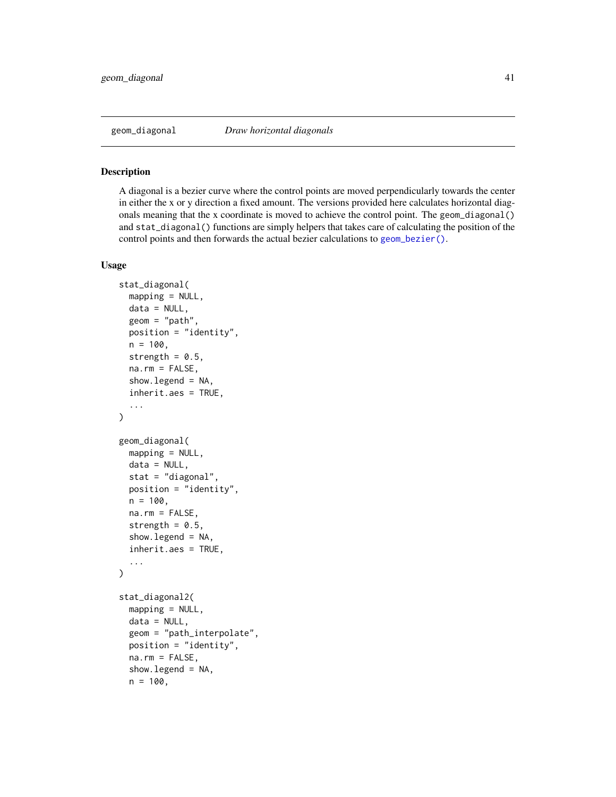<span id="page-40-0"></span>

#### Description

A diagonal is a bezier curve where the control points are moved perpendicularly towards the center in either the x or y direction a fixed amount. The versions provided here calculates horizontal diagonals meaning that the x coordinate is moved to achieve the control point. The geom\_diagonal() and stat\_diagonal() functions are simply helpers that takes care of calculating the position of the control points and then forwards the actual bezier calculations to [geom\\_bezier\(\)](#page-26-0).

## Usage

```
stat_diagonal(
 mapping = NULL,
 data = NULL,geom = "path",
 position = "identity",
 n = 100,
  strength = 0.5,
  na.rm = FALSE,show.legend = NA,
  inherit.aes = TRUE,
  ...
\lambdageom_diagonal(
 mapping = NULL,
  data = NULL,stat = "diagonal",
 position = "identity",
 n = 100,na.rm = FALSE,
  strength = 0.5,
  show.legend = NA,
  inherit.aes = TRUE,
  ...
)
stat_diagonal2(
 mapping = NULL,
  data = NULL,geom = "path_interpolate",
  position = "identity",
  na.rm = FALSE,
```
show.legend = NA,

 $n = 100,$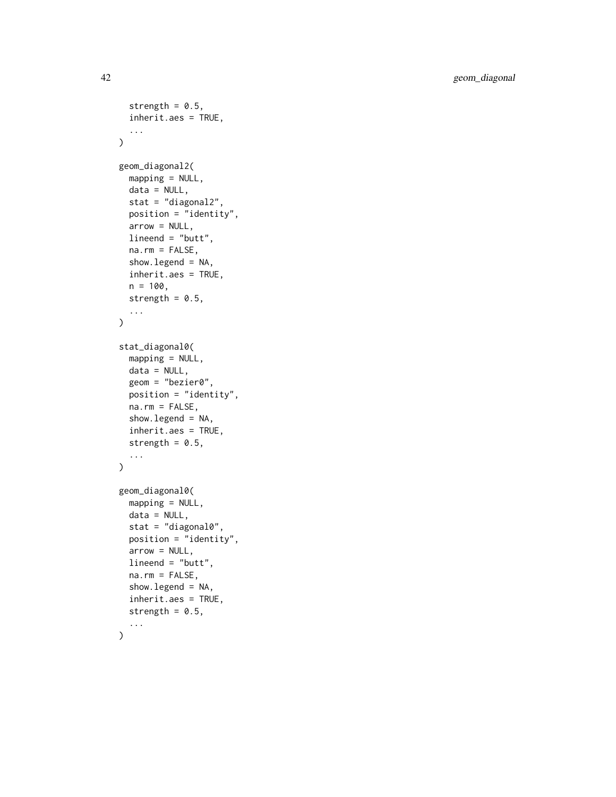```
strength = 0.5,
  inherit.aes = TRUE,
  ...
\mathcal{L}geom_diagonal2(
 mapping = NULL,
 data = NULL,stat = "diagonal2",
 position = "identity",
  arrow = NULL,
  lineend = "butt",
  na.rm = FALSE,
  show.legend = NA,
  inherit.aes = TRUE,
  n = 100,
 strength = 0.5,
  ...
\lambdastat_diagonal0(
  mapping = NULL,data = NULL,geom = "bezier0",
 position = "identity",
 na.rm = FALSE,show.legend = NA,
  inherit.aes = TRUE,
  strength = 0.5,
  ...
\mathcal{L}geom_diagonal0(
 mapping = NULL,
 data = NULL,stat = "diagonal0",position = "identity",
  arrow = NULL,
  lineend = "butt",
  na.rm = FALSE,
  show.legend = NA,
  inherit.aes = TRUE,
  strength = 0.5,
  ...
)
```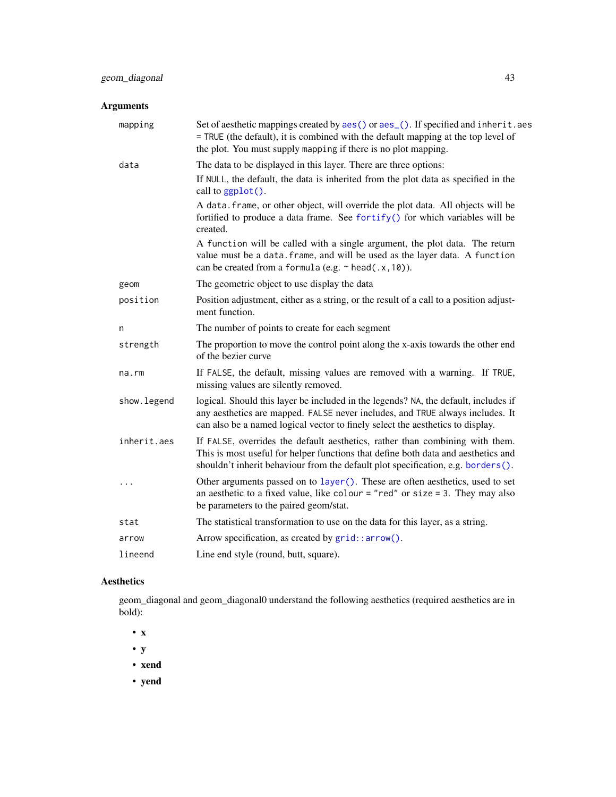| mapping     | Set of aesthetic mappings created by aes() or aes_(). If specified and inherit.aes<br>= TRUE (the default), it is combined with the default mapping at the top level of<br>the plot. You must supply mapping if there is no plot mapping.              |
|-------------|--------------------------------------------------------------------------------------------------------------------------------------------------------------------------------------------------------------------------------------------------------|
| data        | The data to be displayed in this layer. There are three options:                                                                                                                                                                                       |
|             | If NULL, the default, the data is inherited from the plot data as specified in the<br>call to $ggplot()$ .                                                                                                                                             |
|             | A data. frame, or other object, will override the plot data. All objects will be<br>fortified to produce a data frame. See fortify() for which variables will be<br>created.                                                                           |
|             | A function will be called with a single argument, the plot data. The return<br>value must be a data. frame, and will be used as the layer data. A function<br>can be created from a formula (e.g. $\sim$ head(.x, 10)).                                |
| geom        | The geometric object to use display the data                                                                                                                                                                                                           |
| position    | Position adjustment, either as a string, or the result of a call to a position adjust-<br>ment function.                                                                                                                                               |
| n           | The number of points to create for each segment                                                                                                                                                                                                        |
| strength    | The proportion to move the control point along the x-axis towards the other end<br>of the bezier curve                                                                                                                                                 |
| na.rm       | If FALSE, the default, missing values are removed with a warning. If TRUE,<br>missing values are silently removed.                                                                                                                                     |
| show.legend | logical. Should this layer be included in the legends? NA, the default, includes if<br>any aesthetics are mapped. FALSE never includes, and TRUE always includes. It<br>can also be a named logical vector to finely select the aesthetics to display. |
| inherit.aes | If FALSE, overrides the default aesthetics, rather than combining with them.<br>This is most useful for helper functions that define both data and aesthetics and<br>shouldn't inherit behaviour from the default plot specification, e.g. borders().  |
| $\cdots$    | Other arguments passed on to layer (). These are often aesthetics, used to set<br>an aesthetic to a fixed value, like colour = "red" or size = 3. They may also<br>be parameters to the paired geom/stat.                                              |
| stat        | The statistical transformation to use on the data for this layer, as a string.                                                                                                                                                                         |
| arrow       | Arrow specification, as created by grid::arrow().                                                                                                                                                                                                      |
| lineend     | Line end style (round, butt, square).                                                                                                                                                                                                                  |
|             |                                                                                                                                                                                                                                                        |

# Aesthetics

geom\_diagonal and geom\_diagonal0 understand the following aesthetics (required aesthetics are in bold):

- x
- y
- xend
	-

• yend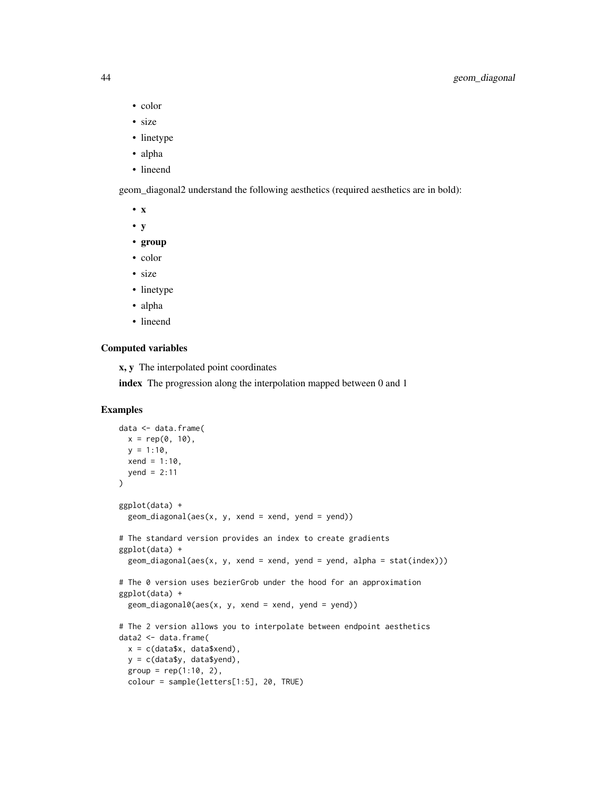- color
- size
- linetype
- alpha
- lineend

geom\_diagonal2 understand the following aesthetics (required aesthetics are in bold):

- x
- y
- group
- color
- size
- linetype
- alpha
- lineend

## Computed variables

x, y The interpolated point coordinates

index The progression along the interpolation mapped between 0 and 1

## Examples

```
data <- data.frame(
  x = rep(0, 10),y = 1:10,
  xend = 1:10,
  \text{vend} = 2:11\mathcal{L}ggplot(data) +
  geom\_diagonal(aes(x, y, xend = xend, yend = yend)# The standard version provides an index to create gradients
ggplot(data) +
  geom\_diagonal(aes(x, y, xend = xend, yend = yend, a1pha = stat(index)))# The 0 version uses bezierGrob under the hood for an approximation
ggplot(data) +
  geom\_diagonal0(aes(x, y, xend = xend, yend = yend)# The 2 version allows you to interpolate between endpoint aesthetics
data2 <- data.frame(
  x = c(data*x, data$xend),
  y = c(data$y, data$yend),
  group = rep(1:10, 2),colour = sample(letters[1:5], 20, TRUE)
```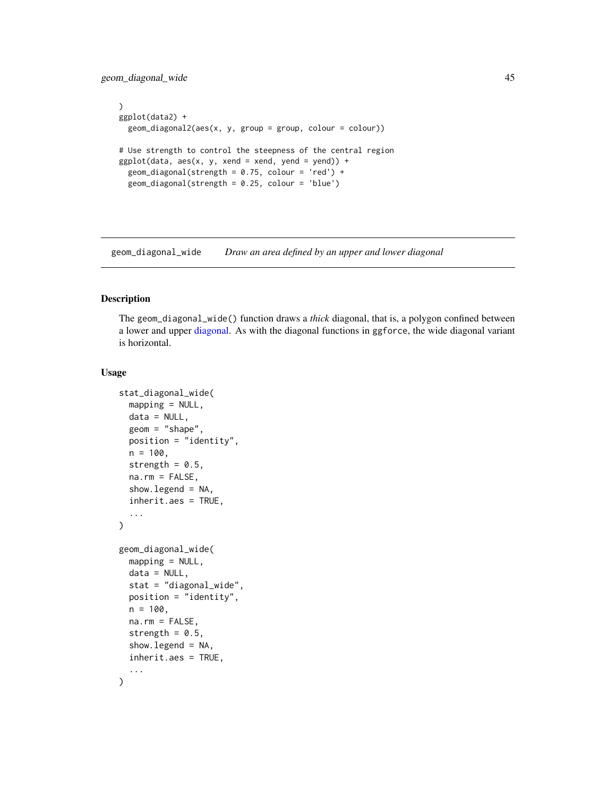geom\_diagonal\_wide 45

```
)
ggplot(data2) +
  geom_diagonal2(aes(x, y, group = group, colour = colour))
# Use strength to control the steepness of the central region
ggplot(data, aes(x, y, xend = xend, yend = yend) +geom_diagonal(strength = 0.75, colour = 'red') +
  geom_diagonal(strength = 0.25, colour = 'blue')
```
geom\_diagonal\_wide *Draw an area defined by an upper and lower diagonal*

## Description

The geom\_diagonal\_wide() function draws a *thick* diagonal, that is, a polygon confined between a lower and upper [diagonal.](#page-40-0) As with the diagonal functions in ggforce, the wide diagonal variant is horizontal.

```
stat_diagonal_wide(
 mapping = NULL,
 data = NULL,geom = "shape",
 position = "identity",
 n = 100,strength = 0.5,
 na.rm = FALSE,
  show.legend = NA,
  inherit.aes = TRUE,
  ...
\mathcal{E}geom_diagonal_wide(
 mapping = NULL,
 data = NULL,stat = "diagonal_wide",
 position = "identity",
 n = 100,
  na.rm = FALSE,
  strength = 0.5,
  show.legend = NA,
  inherit.aes = TRUE,
  ...
)
```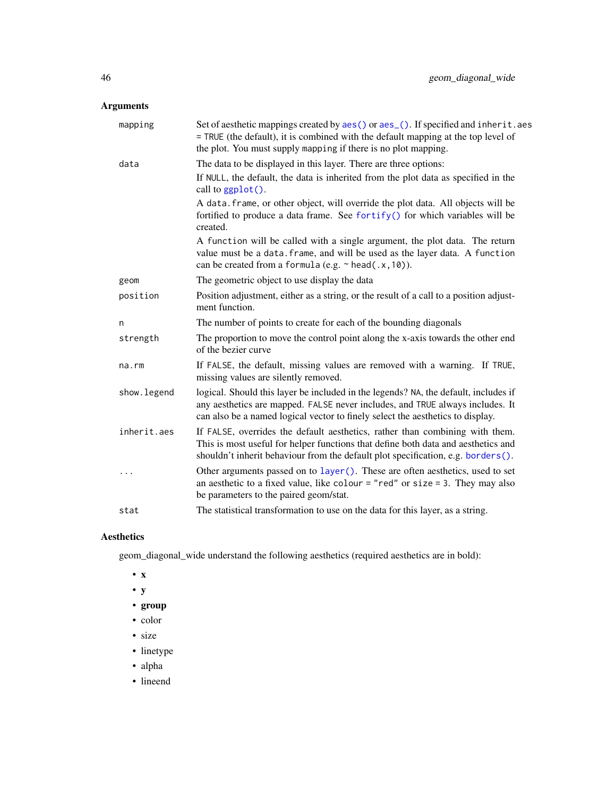| mapping      | Set of aesthetic mappings created by aes() or aes_(). If specified and inherit.aes<br>= TRUE (the default), it is combined with the default mapping at the top level of<br>the plot. You must supply mapping if there is no plot mapping.              |
|--------------|--------------------------------------------------------------------------------------------------------------------------------------------------------------------------------------------------------------------------------------------------------|
| data         | The data to be displayed in this layer. There are three options:<br>If NULL, the default, the data is inherited from the plot data as specified in the<br>call to ggplot().                                                                            |
|              | A data. frame, or other object, will override the plot data. All objects will be<br>fortified to produce a data frame. See fortify() for which variables will be<br>created.                                                                           |
|              | A function will be called with a single argument, the plot data. The return<br>value must be a data. frame, and will be used as the layer data. A function<br>can be created from a formula (e.g. $\sim$ head(.x, 10)).                                |
| geom         | The geometric object to use display the data                                                                                                                                                                                                           |
| position     | Position adjustment, either as a string, or the result of a call to a position adjust-<br>ment function.                                                                                                                                               |
| n            | The number of points to create for each of the bounding diagonals                                                                                                                                                                                      |
| strength     | The proportion to move the control point along the x-axis towards the other end<br>of the bezier curve                                                                                                                                                 |
| $na$ . $rm$  | If FALSE, the default, missing values are removed with a warning. If TRUE,<br>missing values are silently removed.                                                                                                                                     |
| show. legend | logical. Should this layer be included in the legends? NA, the default, includes if<br>any aesthetics are mapped. FALSE never includes, and TRUE always includes. It<br>can also be a named logical vector to finely select the aesthetics to display. |
| inherit.aes  | If FALSE, overrides the default aesthetics, rather than combining with them.<br>This is most useful for helper functions that define both data and aesthetics and<br>shouldn't inherit behaviour from the default plot specification, e.g. borders().  |
| $\cdots$     | Other arguments passed on to layer (). These are often aesthetics, used to set<br>an aesthetic to a fixed value, like colour = "red" or size = 3. They may also<br>be parameters to the paired geom/stat.                                              |
| stat         | The statistical transformation to use on the data for this layer, as a string.                                                                                                                                                                         |

## Aesthetics

geom\_diagonal\_wide understand the following aesthetics (required aesthetics are in bold):

- x
- y
- group
- color
- size
- linetype
- alpha
- lineend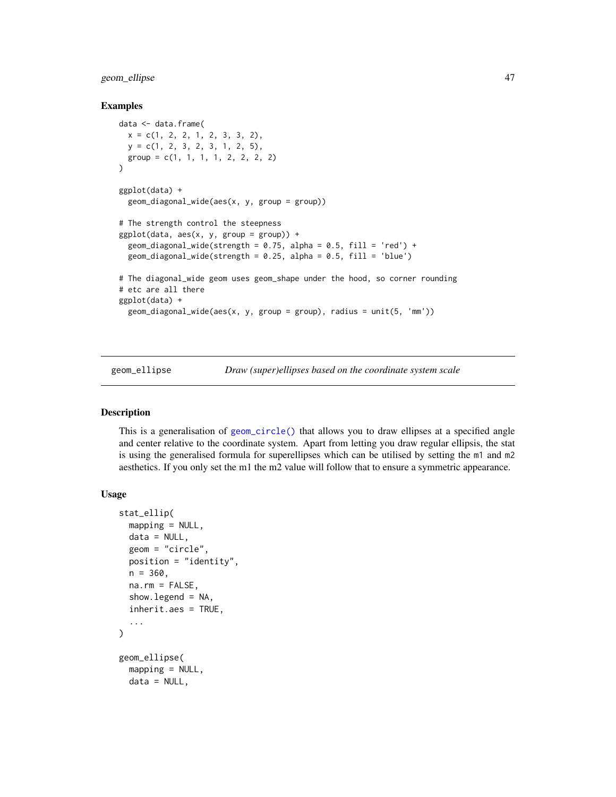## geom\_ellipse 47

#### Examples

```
data <- data.frame(
 x = c(1, 2, 2, 1, 2, 3, 3, 2),y = c(1, 2, 3, 2, 3, 1, 2, 5),
  group = c(1, 1, 1, 1, 2, 2, 2, 2))
ggplot(data) +
  geom_diagonal_wide(aes(x, y, group = group))
# The strength control the steepness
ggplot(data, aes(x, y, group = group)) +
  geom_diagonal_wide(strength = 0.75, alpha = 0.5, fill = 'red') +
  geom_diagonal_wide(strength = 0.25, alpha = 0.5, fill = 'blue')
# The diagonal_wide geom uses geom_shape under the hood, so corner rounding
# etc are all there
ggplot(data) +
  geom_diagonal_wide(aes(x, y, group = group), radius = unit(5, 'mm'))
```
geom\_ellipse *Draw (super)ellipses based on the coordinate system scale*

#### Description

This is a generalisation of [geom\\_circle\(\)](#page-37-0) that allows you to draw ellipses at a specified angle and center relative to the coordinate system. Apart from letting you draw regular ellipsis, the stat is using the generalised formula for superellipses which can be utilised by setting the m1 and m2 aesthetics. If you only set the m1 the m2 value will follow that to ensure a symmetric appearance.

```
stat_ellip(
  mapping = NULL,data = NULL,geom = "circle",
 position = "identity",
 n = 360,
 na.rm = FALSE,show.legend = NA,
  inherit.aes = TRUE,
  ...
\lambdageom_ellipse(
  mapping = NULL,
 data = NULL,
```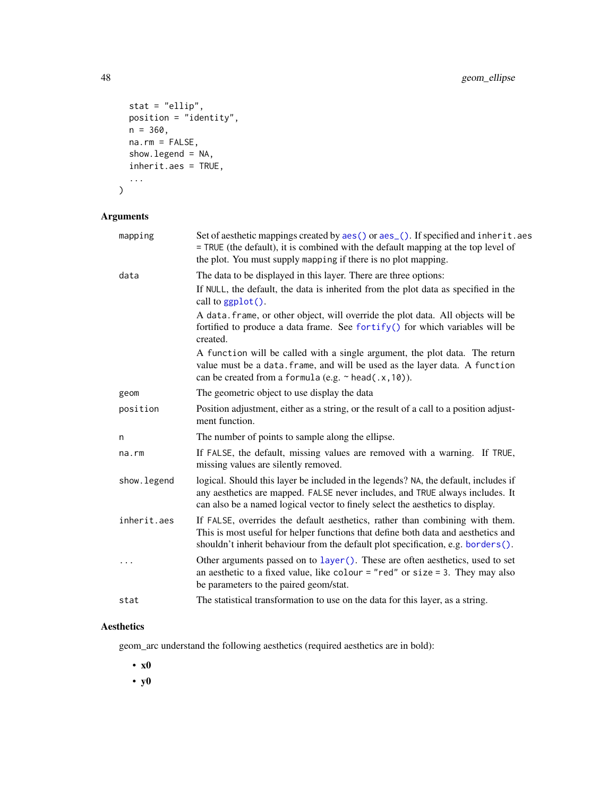```
stat = "ellip",
 position = "identity",
 n = 360,na.rm = FALSE,
  show.legend = NA,
  inherit.aes = TRUE,
  ...
\mathcal{L}
```

| mapping      | Set of aesthetic mappings created by aes() or aes_(). If specified and inherit.aes<br>= TRUE (the default), it is combined with the default mapping at the top level of<br>the plot. You must supply mapping if there is no plot mapping.              |
|--------------|--------------------------------------------------------------------------------------------------------------------------------------------------------------------------------------------------------------------------------------------------------|
| data         | The data to be displayed in this layer. There are three options:                                                                                                                                                                                       |
|              | If NULL, the default, the data is inherited from the plot data as specified in the<br>call to $ggplot()$ .                                                                                                                                             |
|              | A data. frame, or other object, will override the plot data. All objects will be<br>fortified to produce a data frame. See fortify() for which variables will be<br>created.                                                                           |
|              | A function will be called with a single argument, the plot data. The return<br>value must be a data. frame, and will be used as the layer data. A function<br>can be created from a formula (e.g. $\sim$ head(.x, 10)).                                |
| geom         | The geometric object to use display the data                                                                                                                                                                                                           |
| position     | Position adjustment, either as a string, or the result of a call to a position adjust-<br>ment function.                                                                                                                                               |
| n            | The number of points to sample along the ellipse.                                                                                                                                                                                                      |
| $na$ . $rm$  | If FALSE, the default, missing values are removed with a warning. If TRUE,<br>missing values are silently removed.                                                                                                                                     |
| show. legend | logical. Should this layer be included in the legends? NA, the default, includes if<br>any aesthetics are mapped. FALSE never includes, and TRUE always includes. It<br>can also be a named logical vector to finely select the aesthetics to display. |
| inherit.aes  | If FALSE, overrides the default aesthetics, rather than combining with them.<br>This is most useful for helper functions that define both data and aesthetics and<br>shouldn't inherit behaviour from the default plot specification, e.g. borders().  |
|              | Other arguments passed on to layer (). These are often aesthetics, used to set<br>an aesthetic to a fixed value, like colour = "red" or size = 3. They may also<br>be parameters to the paired geom/stat.                                              |
| stat         | The statistical transformation to use on the data for this layer, as a string.                                                                                                                                                                         |

## Aesthetics

geom\_arc understand the following aesthetics (required aesthetics are in bold):

• x0

• y0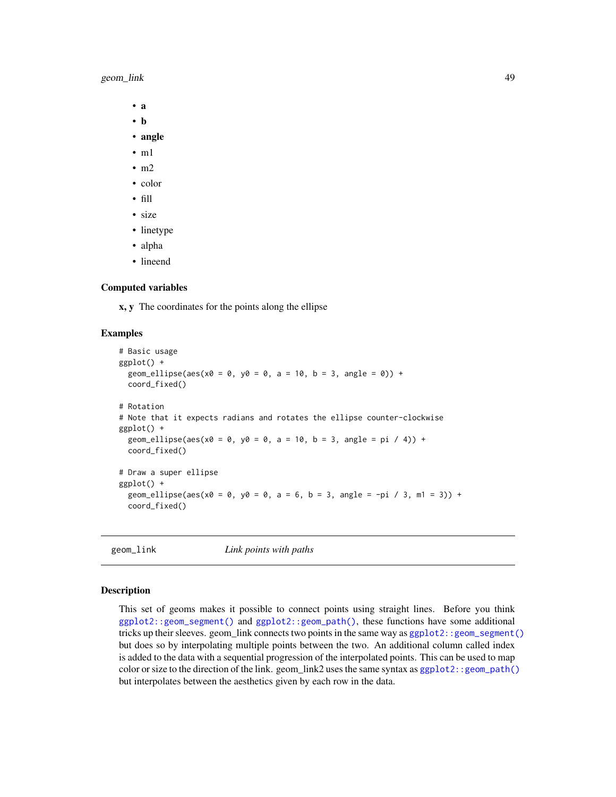geom\_link 49

• a

- b
- angle
- $\cdot$  m1
- $\cdot$  m<sub>2</sub>
- color
- fill
- size
- linetype
- alpha
- lineend

## Computed variables

x, y The coordinates for the points along the ellipse

#### Examples

```
# Basic usage
ggplot() +
 geom_ellipse(aes(x0 = 0, y0 = 0, a = 10, b = 3, angle = 0)) +
 coord_fixed()
# Rotation
# Note that it expects radians and rotates the ellipse counter-clockwise
ggplot() +
 geom_ellipse(aes(x0 = 0, y0 = 0, a = 10, b = 3, angle = pi / 4)) +
 coord_fixed()
# Draw a super ellipse
ggplot() +
 geom_ellipse(aes(x0 = 0, y0 = 0, a = 6, b = 3, angle = -pi / 3, m1 = 3)) +
 coord_fixed()
```
geom\_link *Link points with paths*

#### Description

This set of geoms makes it possible to connect points using straight lines. Before you think [ggplot2::geom\\_segment\(\)](#page-0-0) and [ggplot2::geom\\_path\(\)](#page-0-0), these functions have some additional tricks up their sleeves. geom\_link connects two points in the same way as [ggplot2::geom\\_segment\(\)](#page-0-0) but does so by interpolating multiple points between the two. An additional column called index is added to the data with a sequential progression of the interpolated points. This can be used to map color or size to the direction of the link. geom\_link2 uses the same syntax as [ggplot2::geom\\_path\(\)](#page-0-0) but interpolates between the aesthetics given by each row in the data.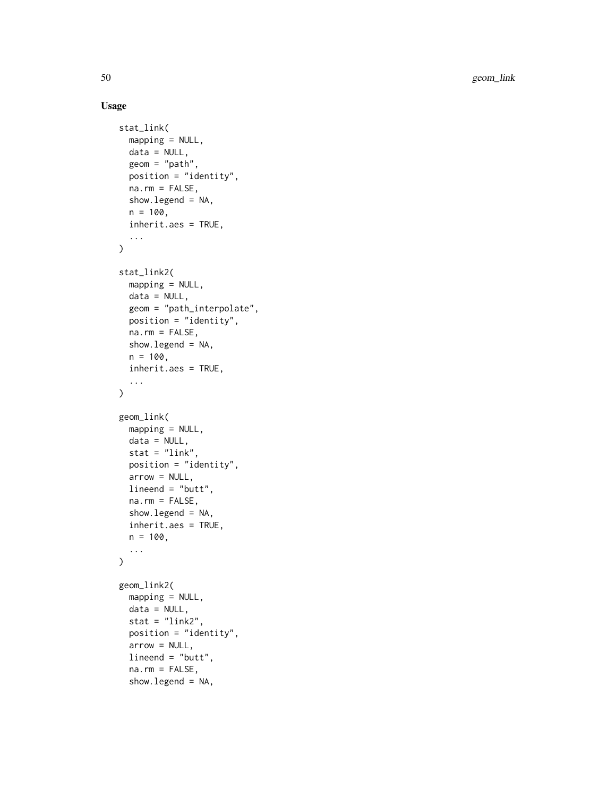```
stat_link(
 mapping = NULL,
 data = NULL,geom = "path",
  position = "identity",
 na.rm = FALSE,show.legend = NA,
  n = 100.
  inherit.aes = TRUE,
  ...
\mathcal{L}stat_link2(
 mapping = NULL,
 data = NULL,geom = "path_interpolate",
 position = "identity",
 na.rm = FALSE,show.legend = NA,
 n = 100,inherit.aes = TRUE,
  ...
)
geom_link(
 mapping = NULL,
 data = NULL,
  stat = "link",
 position = "identity",
  arrow = NULL,
 lineend = "butt",
 na.rm = FALSE,
  show.legend = NA,
  inherit.aes = TRUE,
 n = 100,...
\mathcal{L}geom_link2(
 mapping = NULL,
 data = NULL,stat = "link2",
 position = "identity",
  arrow = NULL,
  lineend = "butt",
  na.rm = FALSE,
  show.legend = NA,
```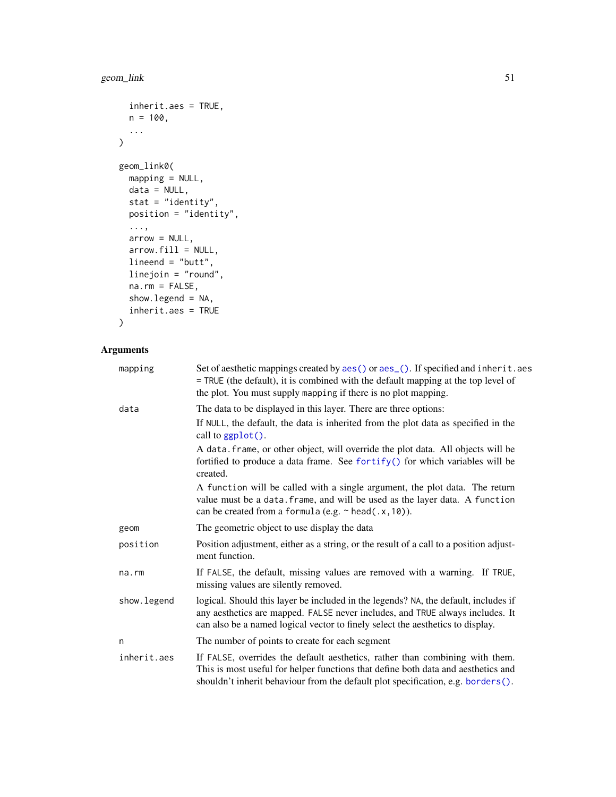```
inherit.aes = TRUE,
 n = 100,
  ...
\mathcal{L}geom_link0(
 mapping = NULL,
 data = NULL,stat = "identity",
 position = "identity",
  ...,
 arrow = NULL,
 arrow.fill = NULL,
 lineend = "butt",
 linejoin = "round",
 na.rm = FALSE,show.legend = NA,
  inherit.aes = TRUE
```

```
\mathcal{L}
```

| mapping     | Set of aesthetic mappings created by aes() or aes_(). If specified and inherit.aes<br>= TRUE (the default), it is combined with the default mapping at the top level of<br>the plot. You must supply mapping if there is no plot mapping.              |
|-------------|--------------------------------------------------------------------------------------------------------------------------------------------------------------------------------------------------------------------------------------------------------|
| data        | The data to be displayed in this layer. There are three options:                                                                                                                                                                                       |
|             | If NULL, the default, the data is inherited from the plot data as specified in the<br>call to $ggplot()$ .                                                                                                                                             |
|             | A data. frame, or other object, will override the plot data. All objects will be<br>fortified to produce a data frame. See fortify() for which variables will be<br>created.                                                                           |
|             | A function will be called with a single argument, the plot data. The return<br>value must be a data. frame, and will be used as the layer data. A function<br>can be created from a formula (e.g. $\sim$ head(.x, 10)).                                |
| geom        | The geometric object to use display the data                                                                                                                                                                                                           |
| position    | Position adjustment, either as a string, or the result of a call to a position adjust-<br>ment function.                                                                                                                                               |
| na.rm       | If FALSE, the default, missing values are removed with a warning. If TRUE,<br>missing values are silently removed.                                                                                                                                     |
| show.legend | logical. Should this layer be included in the legends? NA, the default, includes if<br>any aesthetics are mapped. FALSE never includes, and TRUE always includes. It<br>can also be a named logical vector to finely select the aesthetics to display. |
| n           | The number of points to create for each segment                                                                                                                                                                                                        |
| inherit.aes | If FALSE, overrides the default aesthetics, rather than combining with them.<br>This is most useful for helper functions that define both data and aesthetics and<br>shouldn't inherit behaviour from the default plot specification, e.g. borders().  |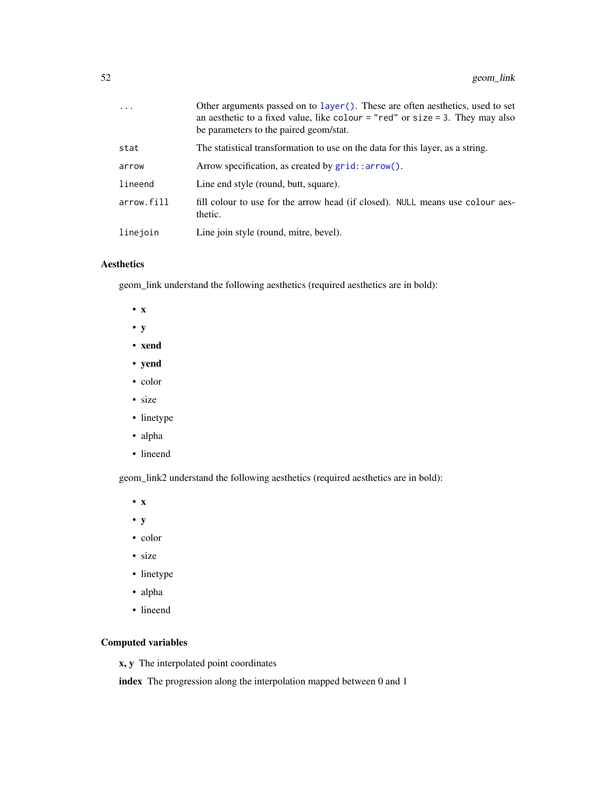| $\ddots$ . | Other arguments passed on to layer (). These are often aesthetics, used to set<br>an aesthetic to a fixed value, like colour = "red" or size = 3. They may also<br>be parameters to the paired geom/stat. |
|------------|-----------------------------------------------------------------------------------------------------------------------------------------------------------------------------------------------------------|
| stat       | The statistical transformation to use on the data for this layer, as a string.                                                                                                                            |
| arrow      | Arrow specification, as created by grid::arrow().                                                                                                                                                         |
| lineend    | Line end style (round, butt, square).                                                                                                                                                                     |
| arrow.fill | fill colour to use for the arrow head (if closed). NULL means use colour aes-<br>thetic.                                                                                                                  |
| linejoin   | Line join style (round, mitre, bevel).                                                                                                                                                                    |

## Aesthetics

geom\_link understand the following aesthetics (required aesthetics are in bold):

- x
- y
- xend
- yend
- color
- size
- linetype
- alpha
- lineend

geom\_link2 understand the following aesthetics (required aesthetics are in bold):

- x
- y
- color
- size
- linetype
- alpha
- lineend

## Computed variables

x, y The interpolated point coordinates

index The progression along the interpolation mapped between 0 and 1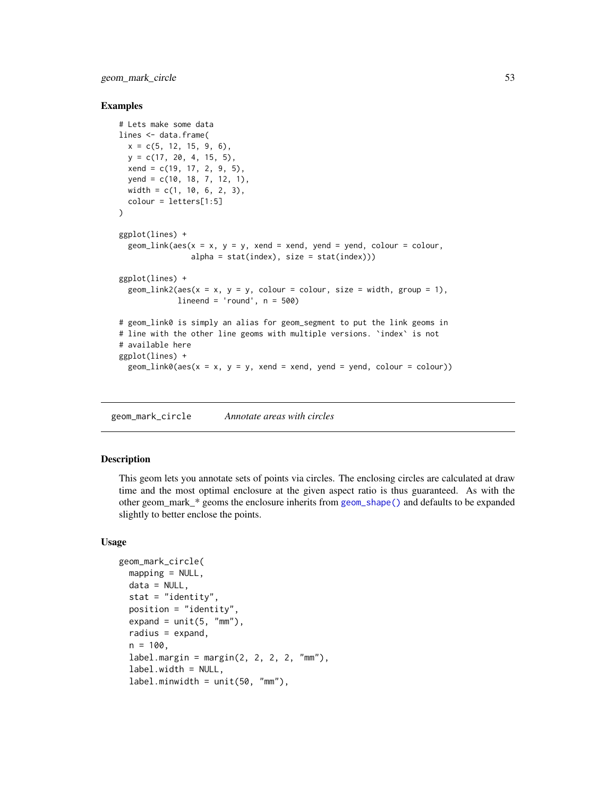geom\_mark\_circle 53

#### Examples

```
# Lets make some data
lines <- data.frame(
  x = c(5, 12, 15, 9, 6),
  y = c(17, 20, 4, 15, 5),
  xend = c(19, 17, 2, 9, 5),yend = c(10, 18, 7, 12, 1),width = c(1, 10, 6, 2, 3),
  colour = letters[1:5]
)
ggplot(lines) +
  geom\_link(aes(x = x, y = y, xend = xend, yend = ycd, yend, colour = colour,alpha = stat(index), size = stat(index)))
ggplot(lines) +
  geom\_link2(aes(x = x, y = y, colour = colour, size = width, group = 1),lineend = 'round', n = 500)# geom_link0 is simply an alias for geom_segment to put the link geoms in
# line with the other line geoms with multiple versions. `index` is not
# available here
ggplot(lines) +
  geom\_link0(aes(x = x, y = y, xend = xend, yend = yend, yend = yend, colour = colour))
```
<span id="page-52-0"></span>geom\_mark\_circle *Annotate areas with circles*

#### Description

This geom lets you annotate sets of points via circles. The enclosing circles are calculated at draw time and the most optimal enclosure at the given aspect ratio is thus guaranteed. As with the other geom\_mark\_\* geoms the enclosure inherits from [geom\\_shape\(\)](#page-74-0) and defaults to be expanded slightly to better enclose the points.

```
geom_mark_circle(
 mapping = NULL,data = NULL,
  stat = "identity",
 position = "identity",
  expand = unit(5, "mm"),
  radius = expand,
  n = 100.
  label.margin = margin(2, 2, 2, 2, "mm"),
  label.width = NULL,
  label.mividth = unit(50, "mm"),
```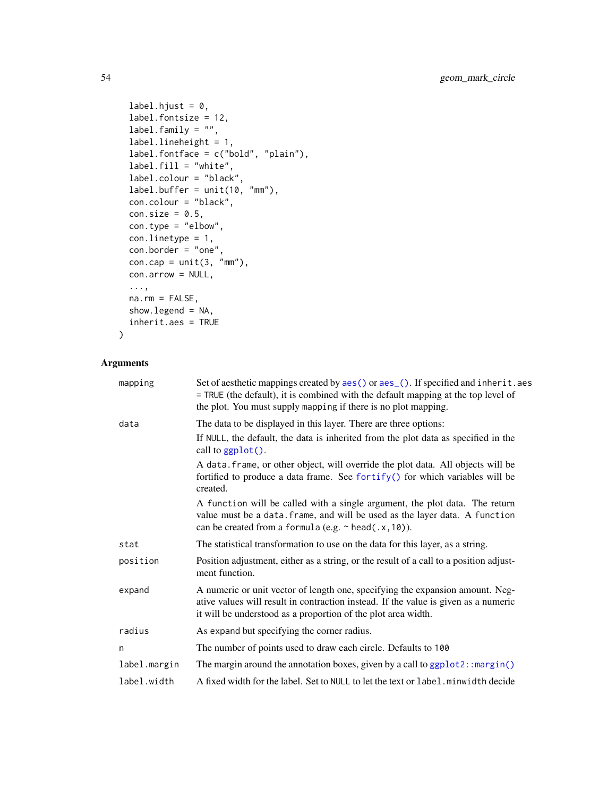```
label.hjust = 0,
  label.fontsize = 12,
  label.family = ",
  label.lineheight = 1,
 label.fontface = c("bold", "plain"),
  label.fill = "white",
  label.colour = "black",
 label.buffer = unit(10, "mm"),con.colour = "black",
 con.size = 0.5,
 con.type = "elbow",
 con.linetype = 1,
 con.border = "one",
 con.cap = unit(3, "mm"),
 con.arrow = NULL,
  ...,
 na.rm = FALSE,
 show.legend = NA,
 inherit.aes = TRUE
\mathcal{L}
```

| mapping      | Set of aesthetic mappings created by aes () or aes (). If specified and inherit. aes<br>= TRUE (the default), it is combined with the default mapping at the top level of<br>the plot. You must supply mapping if there is no plot mapping. |
|--------------|---------------------------------------------------------------------------------------------------------------------------------------------------------------------------------------------------------------------------------------------|
| data         | The data to be displayed in this layer. There are three options:                                                                                                                                                                            |
|              | If NULL, the default, the data is inherited from the plot data as specified in the<br>call to ggplot().                                                                                                                                     |
|              | A data. frame, or other object, will override the plot data. All objects will be<br>fortified to produce a data frame. See fortify() for which variables will be<br>created.                                                                |
|              | A function will be called with a single argument, the plot data. The return<br>value must be a data. frame, and will be used as the layer data. A function<br>can be created from a formula (e.g. $\sim$ head(.x, 10)).                     |
| stat         | The statistical transformation to use on the data for this layer, as a string.                                                                                                                                                              |
| position     | Position adjustment, either as a string, or the result of a call to a position adjust-<br>ment function.                                                                                                                                    |
| expand       | A numeric or unit vector of length one, specifying the expansion amount. Neg-<br>ative values will result in contraction instead. If the value is given as a numeric<br>it will be understood as a proportion of the plot area width.       |
| radius       | As expand but specifying the corner radius.                                                                                                                                                                                                 |
| n            | The number of points used to draw each circle. Defaults to 100                                                                                                                                                                              |
| label.margin | The margin around the annotation boxes, given by a call to $ggplot2::margin()$                                                                                                                                                              |
| label.width  | A fixed width for the label. Set to NULL to let the text or label.minwidth decide                                                                                                                                                           |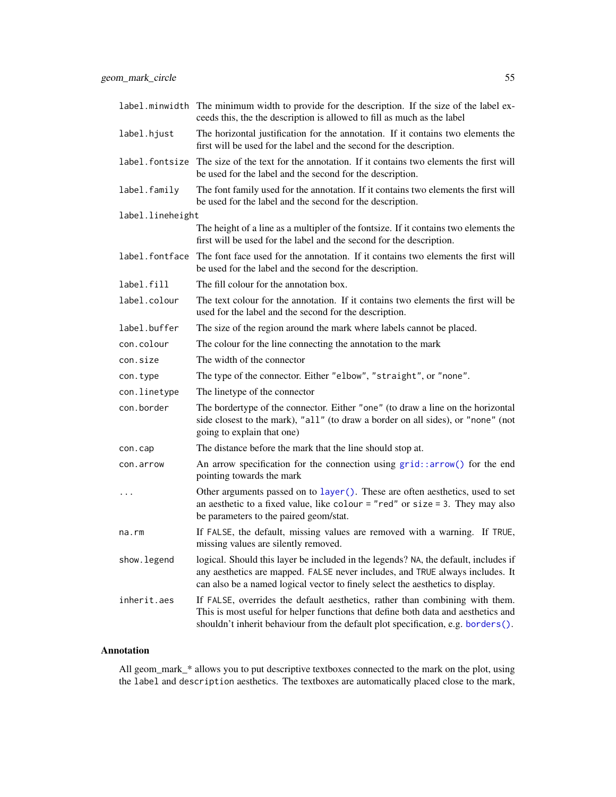|                  | label minwidth The minimum width to provide for the description. If the size of the label ex-<br>ceeds this, the the description is allowed to fill as much as the label                                                                               |
|------------------|--------------------------------------------------------------------------------------------------------------------------------------------------------------------------------------------------------------------------------------------------------|
| label.hjust      | The horizontal justification for the annotation. If it contains two elements the<br>first will be used for the label and the second for the description.                                                                                               |
| label.fontsize   | The size of the text for the annotation. If it contains two elements the first will<br>be used for the label and the second for the description.                                                                                                       |
| label.family     | The font family used for the annotation. If it contains two elements the first will<br>be used for the label and the second for the description.                                                                                                       |
| label.lineheight |                                                                                                                                                                                                                                                        |
|                  | The height of a line as a multipler of the fontsize. If it contains two elements the<br>first will be used for the label and the second for the description.                                                                                           |
| label.fontface   | The font face used for the annotation. If it contains two elements the first will<br>be used for the label and the second for the description.                                                                                                         |
| label.fill       | The fill colour for the annotation box.                                                                                                                                                                                                                |
| label.colour     | The text colour for the annotation. If it contains two elements the first will be<br>used for the label and the second for the description.                                                                                                            |
| label.buffer     | The size of the region around the mark where labels cannot be placed.                                                                                                                                                                                  |
| con.colour       | The colour for the line connecting the annotation to the mark                                                                                                                                                                                          |
| con.size         | The width of the connector                                                                                                                                                                                                                             |
| con.type         | The type of the connector. Either "elbow", "straight", or "none".                                                                                                                                                                                      |
| con.linetype     | The linetype of the connector                                                                                                                                                                                                                          |
| con.border       | The bordertype of the connector. Either "one" (to draw a line on the horizontal<br>side closest to the mark), "all" (to draw a border on all sides), or "none" (not<br>going to explain that one)                                                      |
| con.cap          | The distance before the mark that the line should stop at.                                                                                                                                                                                             |
| con.arrow        | An arrow specification for the connection using grid::arrow() for the end<br>pointing towards the mark                                                                                                                                                 |
| $\ddots$         | Other arguments passed on to layer (). These are often aesthetics, used to set<br>an aesthetic to a fixed value, like colour = "red" or size = 3. They may also<br>be parameters to the paired geom/stat.                                              |
| na.rm            | If FALSE, the default, missing values are removed with a warning. If TRUE,<br>missing values are silently removed.                                                                                                                                     |
| show.legend      | logical. Should this layer be included in the legends? NA, the default, includes if<br>any aesthetics are mapped. FALSE never includes, and TRUE always includes. It<br>can also be a named logical vector to finely select the aesthetics to display. |
| inherit.aes      | If FALSE, overrides the default aesthetics, rather than combining with them.<br>This is most useful for helper functions that define both data and aesthetics and<br>shouldn't inherit behaviour from the default plot specification, e.g. borders().  |

## Annotation

All geom\_mark\_\* allows you to put descriptive textboxes connected to the mark on the plot, using the label and description aesthetics. The textboxes are automatically placed close to the mark,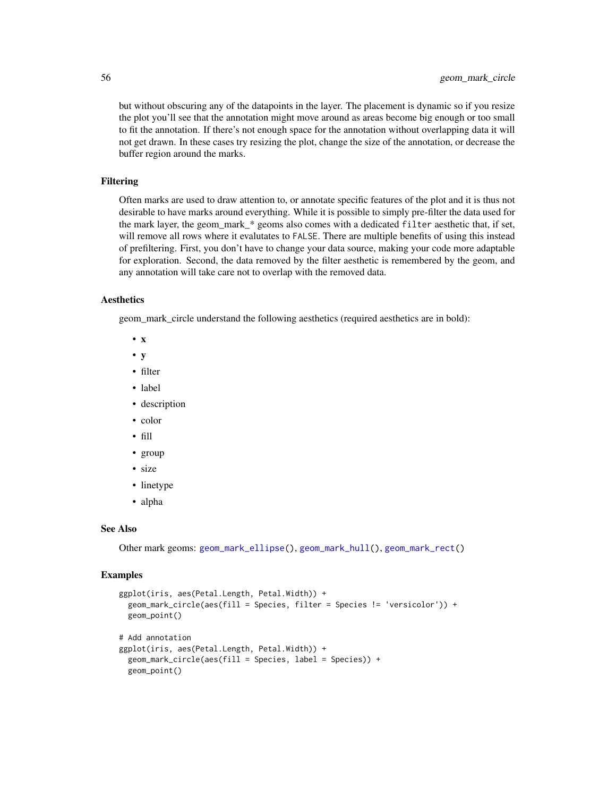but without obscuring any of the datapoints in the layer. The placement is dynamic so if you resize the plot you'll see that the annotation might move around as areas become big enough or too small to fit the annotation. If there's not enough space for the annotation without overlapping data it will not get drawn. In these cases try resizing the plot, change the size of the annotation, or decrease the buffer region around the marks.

#### Filtering

Often marks are used to draw attention to, or annotate specific features of the plot and it is thus not desirable to have marks around everything. While it is possible to simply pre-filter the data used for the mark layer, the geom\_mark\_\* geoms also comes with a dedicated filter aesthetic that, if set, will remove all rows where it evalutates to FALSE. There are multiple benefits of using this instead of prefiltering. First, you don't have to change your data source, making your code more adaptable for exploration. Second, the data removed by the filter aesthetic is remembered by the geom, and any annotation will take care not to overlap with the removed data.

#### Aesthetics

geom\_mark\_circle understand the following aesthetics (required aesthetics are in bold):

- x
- y
- filter
- label
- description
- color
- fill
- group
- size
- linetype
- alpha

#### See Also

Other mark geoms: [geom\\_mark\\_ellipse\(](#page-56-0)), [geom\\_mark\\_hull\(](#page-60-0)), [geom\\_mark\\_rect\(](#page-64-0))

#### Examples

```
ggplot(iris, aes(Petal.Length, Petal.Width)) +
 geom_mark_circle(aes(fill = Species, filter = Species != 'versicolor')) +
 geom_point()
# Add annotation
ggplot(iris, aes(Petal.Length, Petal.Width)) +
 geom_mark_circle(aes(fill = Species, label = Species)) +
 geom_point()
```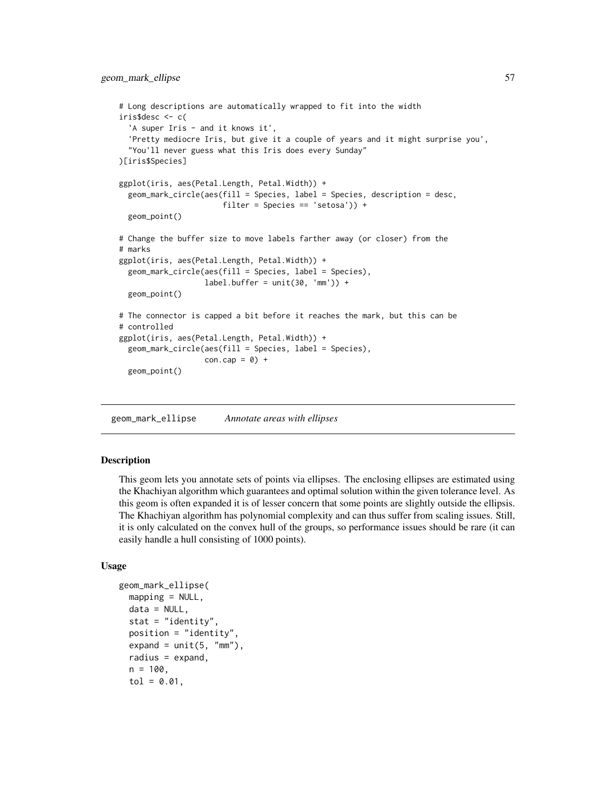```
# Long descriptions are automatically wrapped to fit into the width
iris$desc <- c(
  'A super Iris - and it knows it',
  'Pretty mediocre Iris, but give it a couple of years and it might surprise you',
  "You'll never guess what this Iris does every Sunday"
)[iris$Species]
ggplot(iris, aes(Petal.Length, Petal.Width)) +
 geom_mark_circle(aes(fill = Species, label = Species, description = desc,
                       filter = Species == 'setosa')) +
 geom_point()
# Change the buffer size to move labels farther away (or closer) from the
# marks
ggplot(iris, aes(Petal.Length, Petal.Width)) +
 geom_mark_circle(aes(fill = Species, label = Species),
                   label.buffer = unit(30, 'mm')) +geom_point()
# The connector is capped a bit before it reaches the mark, but this can be
# controlled
ggplot(iris, aes(Petal.Length, Petal.Width)) +
 geom_mark_circle(aes(fill = Species, label = Species),
                   con.cap = 0) +
 geom_point()
```
<span id="page-56-0"></span>geom\_mark\_ellipse *Annotate areas with ellipses*

#### Description

This geom lets you annotate sets of points via ellipses. The enclosing ellipses are estimated using the Khachiyan algorithm which guarantees and optimal solution within the given tolerance level. As this geom is often expanded it is of lesser concern that some points are slightly outside the ellipsis. The Khachiyan algorithm has polynomial complexity and can thus suffer from scaling issues. Still, it is only calculated on the convex hull of the groups, so performance issues should be rare (it can easily handle a hull consisting of 1000 points).

```
geom_mark_ellipse(
  mapping = NULL,data = NULL,stat = "identity",
 position = "identity",
  expand = unit(5, "mm"),
  radius = expand,
  n = 100,
  tol = 0.01,
```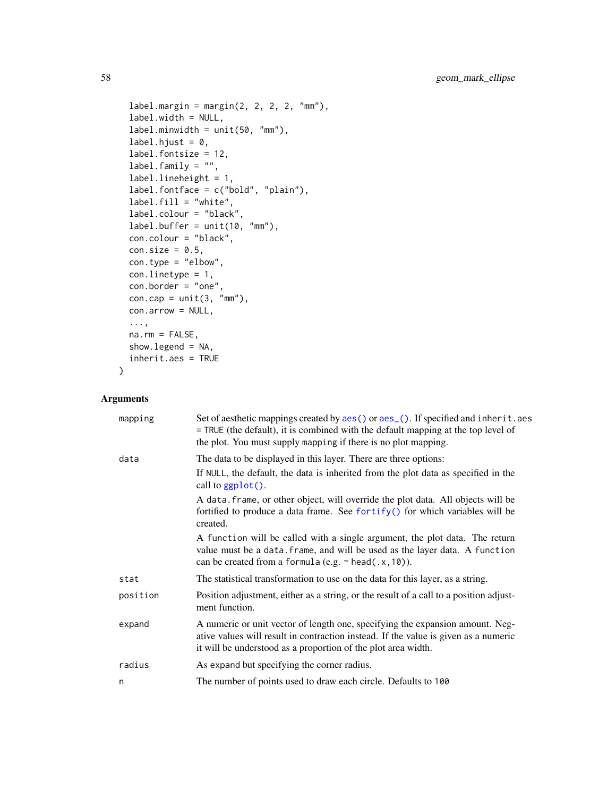```
label.margino = margin(2, 2, 2, 2, "mm"),
  label.width = NULL,
  label.minwidth = unit(50, "mm"),
  label.hjust = 0,
  label.fontsize = 12,
  label.family = "",label.lineheight = 1,
  label.fontface = c("bold", "plain"),label.fill = "white",
  label.colour = "black",
  label.buffer = unit(10, "mm"),
  con.colour = "black",
  con.size = 0.5,
  con.type = "elbow",
 con.linetype = 1,
 con.border = "one",
  con.cap = unit(3, "mm"),
  con.arrow = NULL,
  ...,
 na.rm = FALSE,
  show.legend = NA,
  inherit.aes = TRUE
\mathcal{L}
```

| mapping  | Set of aesthetic mappings created by aes () or aes (). If specified and inherit. aes<br>= TRUE (the default), it is combined with the default mapping at the top level of<br>the plot. You must supply mapping if there is no plot mapping. |
|----------|---------------------------------------------------------------------------------------------------------------------------------------------------------------------------------------------------------------------------------------------|
| data     | The data to be displayed in this layer. There are three options:                                                                                                                                                                            |
|          | If NULL, the default, the data is inherited from the plot data as specified in the<br>call to $ggplot()$ .                                                                                                                                  |
|          | A data. frame, or other object, will override the plot data. All objects will be<br>fortified to produce a data frame. See fortify() for which variables will be<br>created.                                                                |
|          | A function will be called with a single argument, the plot data. The return<br>value must be a data. frame, and will be used as the layer data. A function<br>can be created from a formula (e.g. $\sim$ head(.x, 10)).                     |
| stat     | The statistical transformation to use on the data for this layer, as a string.                                                                                                                                                              |
| position | Position adjustment, either as a string, or the result of a call to a position adjust-<br>ment function.                                                                                                                                    |
| expand   | A numeric or unit vector of length one, specifying the expansion amount. Neg-<br>ative values will result in contraction instead. If the value is given as a numeric<br>it will be understood as a proportion of the plot area width.       |
| radius   | As expand but specifying the corner radius.                                                                                                                                                                                                 |
| n        | The number of points used to draw each circle. Defaults to 100                                                                                                                                                                              |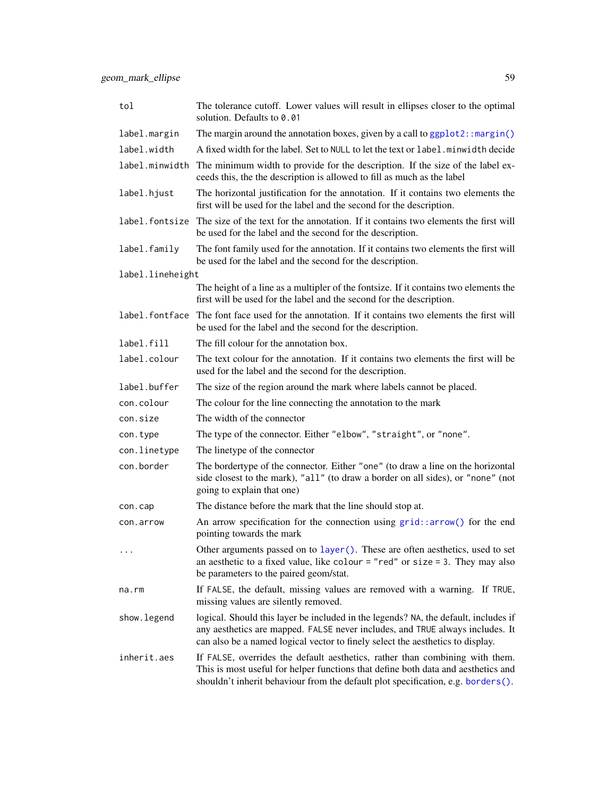| tol              | The tolerance cutoff. Lower values will result in ellipses closer to the optimal<br>solution. Defaults to 0.01                                                                                                                                         |
|------------------|--------------------------------------------------------------------------------------------------------------------------------------------------------------------------------------------------------------------------------------------------------|
| label.margin     | The margin around the annotation boxes, given by a call to ggplot2:: margin()                                                                                                                                                                          |
| label.width      | A fixed width for the label. Set to NULL to let the text or label. minwidth decide                                                                                                                                                                     |
| label.minwidth   | The minimum width to provide for the description. If the size of the label ex-<br>ceeds this, the the description is allowed to fill as much as the label                                                                                              |
| label.hjust      | The horizontal justification for the annotation. If it contains two elements the<br>first will be used for the label and the second for the description.                                                                                               |
| label.fontsize   | The size of the text for the annotation. If it contains two elements the first will<br>be used for the label and the second for the description.                                                                                                       |
| label.family     | The font family used for the annotation. If it contains two elements the first will<br>be used for the label and the second for the description.                                                                                                       |
| label.lineheight |                                                                                                                                                                                                                                                        |
|                  | The height of a line as a multipler of the fontsize. If it contains two elements the<br>first will be used for the label and the second for the description.                                                                                           |
| label.fontface   | The font face used for the annotation. If it contains two elements the first will<br>be used for the label and the second for the description.                                                                                                         |
| label.fill       | The fill colour for the annotation box.                                                                                                                                                                                                                |
| label.colour     | The text colour for the annotation. If it contains two elements the first will be<br>used for the label and the second for the description.                                                                                                            |
| label.buffer     | The size of the region around the mark where labels cannot be placed.                                                                                                                                                                                  |
| con.colour       | The colour for the line connecting the annotation to the mark                                                                                                                                                                                          |
| con.size         | The width of the connector                                                                                                                                                                                                                             |
| con.type         | The type of the connector. Either "elbow", "straight", or "none".                                                                                                                                                                                      |
| con.linetype     | The linetype of the connector                                                                                                                                                                                                                          |
| con.border       | The bordertype of the connector. Either "one" (to draw a line on the horizontal<br>side closest to the mark), "all" (to draw a border on all sides), or "none" (not<br>going to explain that one)                                                      |
| con.cap          | The distance before the mark that the line should stop at.                                                                                                                                                                                             |
| con.arrow        | An arrow specification for the connection using $grid::arrow()$ for the end<br>pointing towards the mark                                                                                                                                               |
| $\cdots$         | Other arguments passed on to layer(). These are often aesthetics, used to set<br>an aesthetic to a fixed value, like colour = "red" or size = 3. They may also<br>be parameters to the paired geom/stat.                                               |
| na.rm            | If FALSE, the default, missing values are removed with a warning. If TRUE,<br>missing values are silently removed.                                                                                                                                     |
| show.legend      | logical. Should this layer be included in the legends? NA, the default, includes if<br>any aesthetics are mapped. FALSE never includes, and TRUE always includes. It<br>can also be a named logical vector to finely select the aesthetics to display. |
| inherit.aes      | If FALSE, overrides the default aesthetics, rather than combining with them.<br>This is most useful for helper functions that define both data and aesthetics and<br>shouldn't inherit behaviour from the default plot specification, e.g. borders().  |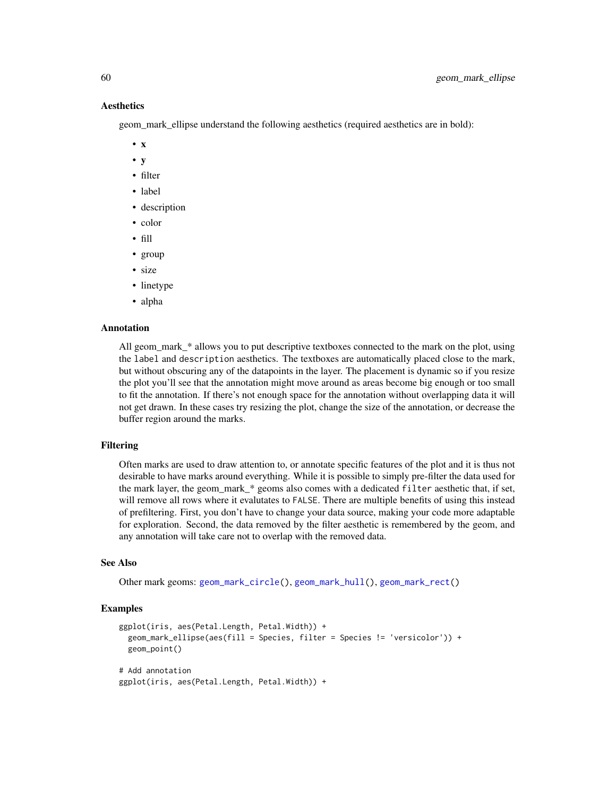#### Aesthetics

geom mark ellipse understand the following aesthetics (required aesthetics are in bold):

- x
- y
- filter
- label
- description
- color
- fill
- group
- size
- linetype
- alpha

## Annotation

All geom\_mark\_\* allows you to put descriptive textboxes connected to the mark on the plot, using the label and description aesthetics. The textboxes are automatically placed close to the mark, but without obscuring any of the datapoints in the layer. The placement is dynamic so if you resize the plot you'll see that the annotation might move around as areas become big enough or too small to fit the annotation. If there's not enough space for the annotation without overlapping data it will not get drawn. In these cases try resizing the plot, change the size of the annotation, or decrease the buffer region around the marks.

#### Filtering

Often marks are used to draw attention to, or annotate specific features of the plot and it is thus not desirable to have marks around everything. While it is possible to simply pre-filter the data used for the mark layer, the geom mark  $*$  geoms also comes with a dedicated filter aesthetic that, if set, will remove all rows where it evalutates to FALSE. There are multiple benefits of using this instead of prefiltering. First, you don't have to change your data source, making your code more adaptable for exploration. Second, the data removed by the filter aesthetic is remembered by the geom, and any annotation will take care not to overlap with the removed data.

#### See Also

Other mark geoms: [geom\\_mark\\_circle\(](#page-52-0)), [geom\\_mark\\_hull\(](#page-60-0)), [geom\\_mark\\_rect\(](#page-64-0))

#### Examples

```
ggplot(iris, aes(Petal.Length, Petal.Width)) +
 geom_mark_ellipse(aes(fill = Species, filter = Species != 'versicolor')) +
 geom_point()
# Add annotation
ggplot(iris, aes(Petal.Length, Petal.Width)) +
```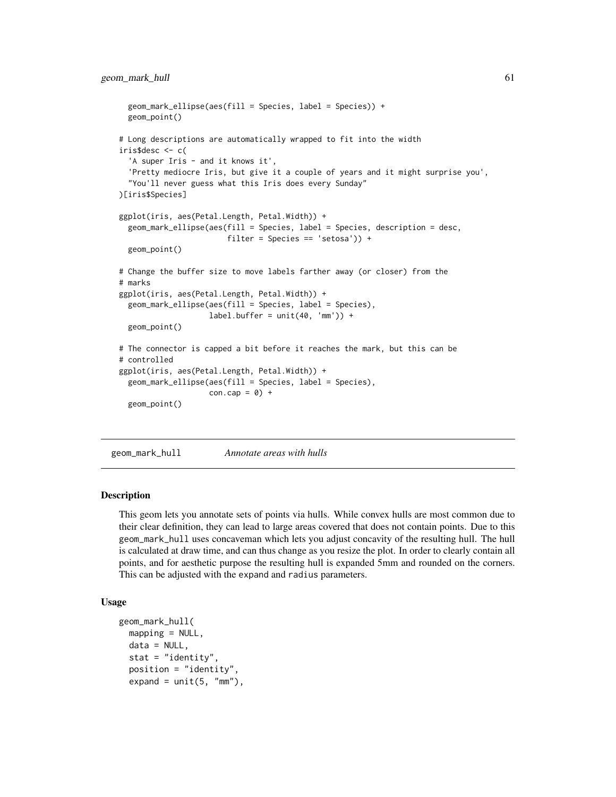```
geom_mark_ellipse(aes(fill = Species, label = Species)) +
 geom_point()
# Long descriptions are automatically wrapped to fit into the width
iris$desc <- c(
  'A super Iris - and it knows it',
  'Pretty mediocre Iris, but give it a couple of years and it might surprise you',
  "You'll never guess what this Iris does every Sunday"
)[iris$Species]
ggplot(iris, aes(Petal.Length, Petal.Width)) +
 geom_mark_ellipse(aes(fill = Species, label = Species, description = desc,
                        filter = Species == 'setosa')) +
 geom_point()
# Change the buffer size to move labels farther away (or closer) from the
# marks
ggplot(iris, aes(Petal.Length, Petal.Width)) +
 geom_mark_ellipse(aes(fill = Species, label = Species),
                    label.buffer = unit(40, 'mm')) +geom_point()
# The connector is capped a bit before it reaches the mark, but this can be
# controlled
ggplot(iris, aes(Petal.Length, Petal.Width)) +
 geom_mark_ellipse(aes(fill = Species, label = Species),
                    con.cap = 0) +
 geom_point()
```
<span id="page-60-0"></span>geom\_mark\_hull *Annotate areas with hulls*

#### **Description**

This geom lets you annotate sets of points via hulls. While convex hulls are most common due to their clear definition, they can lead to large areas covered that does not contain points. Due to this geom\_mark\_hull uses concaveman which lets you adjust concavity of the resulting hull. The hull is calculated at draw time, and can thus change as you resize the plot. In order to clearly contain all points, and for aesthetic purpose the resulting hull is expanded 5mm and rounded on the corners. This can be adjusted with the expand and radius parameters.

```
geom_mark_hull(
 mapping = NULL,
  data = NULL,stat = "identity",
  position = "identity",
  expand = unit(5, "mm"),
```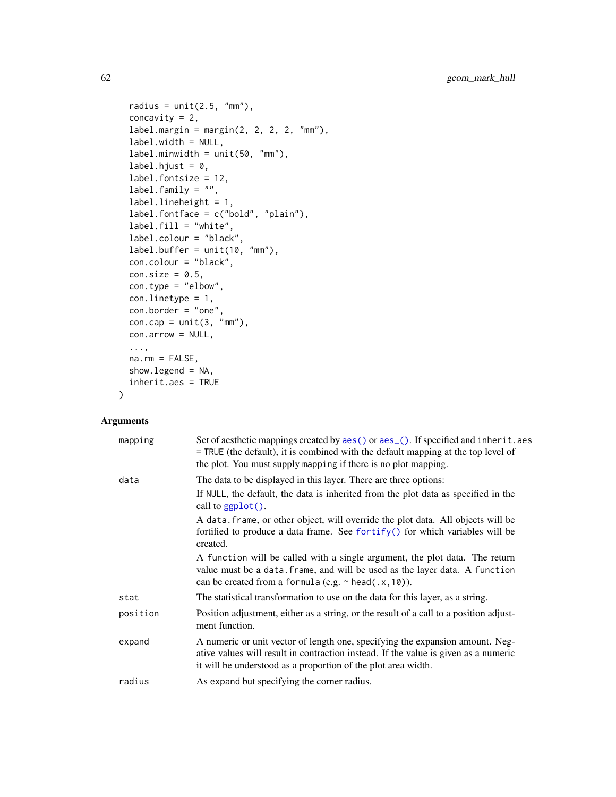```
radius = unit(2.5, "mm"),
concavity = 2,
label.margino = margin(2, 2, 2, 2, "mm"),
label.width = NULL,
label.minwidth = unit(50, "mm"),label.hjust = 0,
label.fontsize = 12,
label.family = "",
label.lineheight = 1,
label.fontface = c("bold", "plain"),
label.fill = "white",
label.colour = "black",
label.buffer = unit(10, "mm"),
con.colour = "black",
con.size = 0.5,
con.type = "elbow",
con.linetype = 1,
con.border = "one",
con.cap = unit(3, "mm"),
con.arrow = NULL,
...,
na.rm = FALSE,show.legend = NA,
inherit.aes = TRUE
```
)

| mapping  | Set of aesthetic mappings created by aes() or aes_(). If specified and inherit.aes<br>= TRUE (the default), it is combined with the default mapping at the top level of<br>the plot. You must supply mapping if there is no plot mapping. |
|----------|-------------------------------------------------------------------------------------------------------------------------------------------------------------------------------------------------------------------------------------------|
| data     | The data to be displayed in this layer. There are three options:                                                                                                                                                                          |
|          | If NULL, the default, the data is inherited from the plot data as specified in the<br>call to ggplot().                                                                                                                                   |
|          | A data. frame, or other object, will override the plot data. All objects will be<br>fortified to produce a data frame. See fortify() for which variables will be<br>created.                                                              |
|          | A function will be called with a single argument, the plot data. The return<br>value must be a data. frame, and will be used as the layer data. A function<br>can be created from a formula (e.g. $\sim$ head(.x, 10)).                   |
| stat     | The statistical transformation to use on the data for this layer, as a string.                                                                                                                                                            |
| position | Position adjustment, either as a string, or the result of a call to a position adjust-<br>ment function.                                                                                                                                  |
| expand   | A numeric or unit vector of length one, specifying the expansion amount. Neg-<br>ative values will result in contraction instead. If the value is given as a numeric<br>it will be understood as a proportion of the plot area width.     |
| radius   | As expand but specifying the corner radius.                                                                                                                                                                                               |
|          |                                                                                                                                                                                                                                           |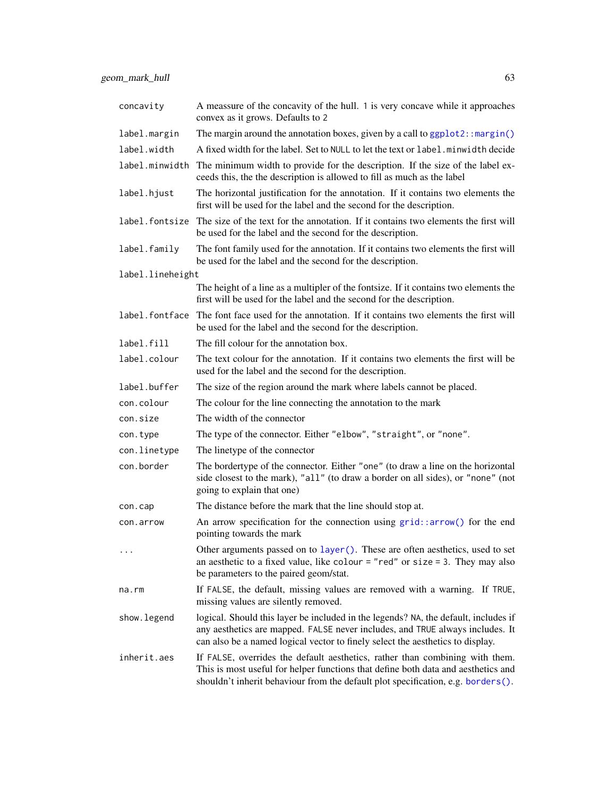| concavity        | A meassure of the concavity of the hull. 1 is very concave while it approaches<br>convex as it grows. Defaults to 2                                                                                                                                    |
|------------------|--------------------------------------------------------------------------------------------------------------------------------------------------------------------------------------------------------------------------------------------------------|
| label.margin     | The margin around the annotation boxes, given by a call to $ggplot2: margin()$                                                                                                                                                                         |
| label.width      | A fixed width for the label. Set to NULL to let the text or label minwidth decide                                                                                                                                                                      |
| label.minwidth   | The minimum width to provide for the description. If the size of the label ex-<br>ceeds this, the the description is allowed to fill as much as the label                                                                                              |
| label.hjust      | The horizontal justification for the annotation. If it contains two elements the<br>first will be used for the label and the second for the description.                                                                                               |
| label.fontsize   | The size of the text for the annotation. If it contains two elements the first will<br>be used for the label and the second for the description.                                                                                                       |
| label.family     | The font family used for the annotation. If it contains two elements the first will<br>be used for the label and the second for the description.                                                                                                       |
| label.lineheight |                                                                                                                                                                                                                                                        |
|                  | The height of a line as a multipler of the fontsize. If it contains two elements the<br>first will be used for the label and the second for the description.                                                                                           |
| label.fontface   | The font face used for the annotation. If it contains two elements the first will<br>be used for the label and the second for the description.                                                                                                         |
| label.fill       | The fill colour for the annotation box.                                                                                                                                                                                                                |
| label.colour     | The text colour for the annotation. If it contains two elements the first will be<br>used for the label and the second for the description.                                                                                                            |
| label.buffer     | The size of the region around the mark where labels cannot be placed.                                                                                                                                                                                  |
| con.colour       | The colour for the line connecting the annotation to the mark                                                                                                                                                                                          |
| con.size         | The width of the connector                                                                                                                                                                                                                             |
| con.type         | The type of the connector. Either "elbow", "straight", or "none".                                                                                                                                                                                      |
| con.linetype     | The linetype of the connector                                                                                                                                                                                                                          |
| con.border       | The bordertype of the connector. Either "one" (to draw a line on the horizontal<br>side closest to the mark), "all" (to draw a border on all sides), or "none" (not<br>going to explain that one)                                                      |
| con.cap          | The distance before the mark that the line should stop at.                                                                                                                                                                                             |
| con.arrow        | An arrow specification for the connection using $grid::arrow()$ for the end<br>pointing towards the mark                                                                                                                                               |
| $\cdots$         | Other arguments passed on to layer (). These are often aesthetics, used to set<br>an aesthetic to a fixed value, like colour = "red" or size = 3. They may also<br>be parameters to the paired geom/stat.                                              |
| na.rm            | If FALSE, the default, missing values are removed with a warning. If TRUE,<br>missing values are silently removed.                                                                                                                                     |
| show.legend      | logical. Should this layer be included in the legends? NA, the default, includes if<br>any aesthetics are mapped. FALSE never includes, and TRUE always includes. It<br>can also be a named logical vector to finely select the aesthetics to display. |
| inherit.aes      | If FALSE, overrides the default aesthetics, rather than combining with them.<br>This is most useful for helper functions that define both data and aesthetics and<br>shouldn't inherit behaviour from the default plot specification, e.g. borders().  |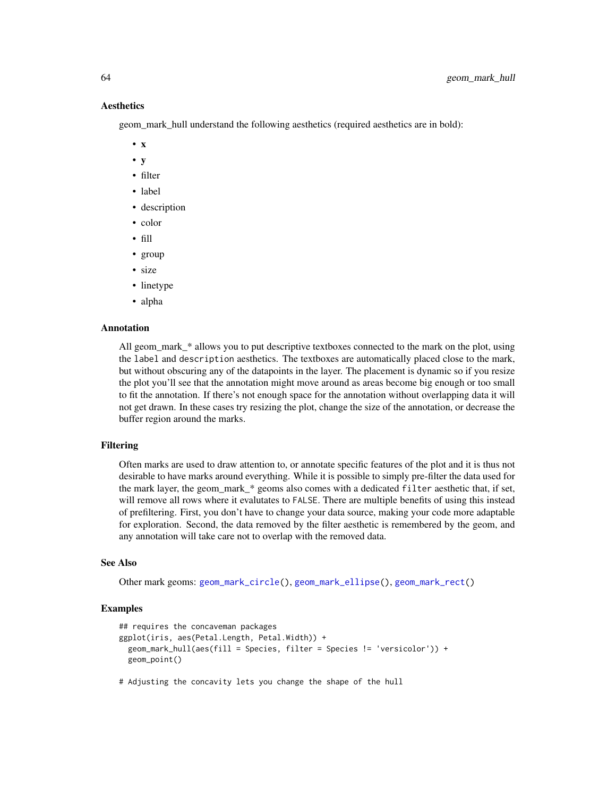### Aesthetics

geom\_mark\_hull understand the following aesthetics (required aesthetics are in bold):

- x
- y
- filter
- label
- description
- color
- fill
- group
- size
- linetype
- alpha

## Annotation

All geom\_mark\_\* allows you to put descriptive textboxes connected to the mark on the plot, using the label and description aesthetics. The textboxes are automatically placed close to the mark, but without obscuring any of the datapoints in the layer. The placement is dynamic so if you resize the plot you'll see that the annotation might move around as areas become big enough or too small to fit the annotation. If there's not enough space for the annotation without overlapping data it will not get drawn. In these cases try resizing the plot, change the size of the annotation, or decrease the buffer region around the marks.

#### Filtering

Often marks are used to draw attention to, or annotate specific features of the plot and it is thus not desirable to have marks around everything. While it is possible to simply pre-filter the data used for the mark layer, the geom mark  $*$  geoms also comes with a dedicated filter aesthetic that, if set, will remove all rows where it evalutates to FALSE. There are multiple benefits of using this instead of prefiltering. First, you don't have to change your data source, making your code more adaptable for exploration. Second, the data removed by the filter aesthetic is remembered by the geom, and any annotation will take care not to overlap with the removed data.

#### See Also

Other mark geoms: [geom\\_mark\\_circle\(](#page-52-0)), [geom\\_mark\\_ellipse\(](#page-56-0)), [geom\\_mark\\_rect\(](#page-64-0))

#### Examples

```
## requires the concaveman packages
ggplot(iris, aes(Petal.Length, Petal.Width)) +
 geom_mark_hull(aes(fill = Species, filter = Species != 'versicolor')) +
 geom_point()
```
# Adjusting the concavity lets you change the shape of the hull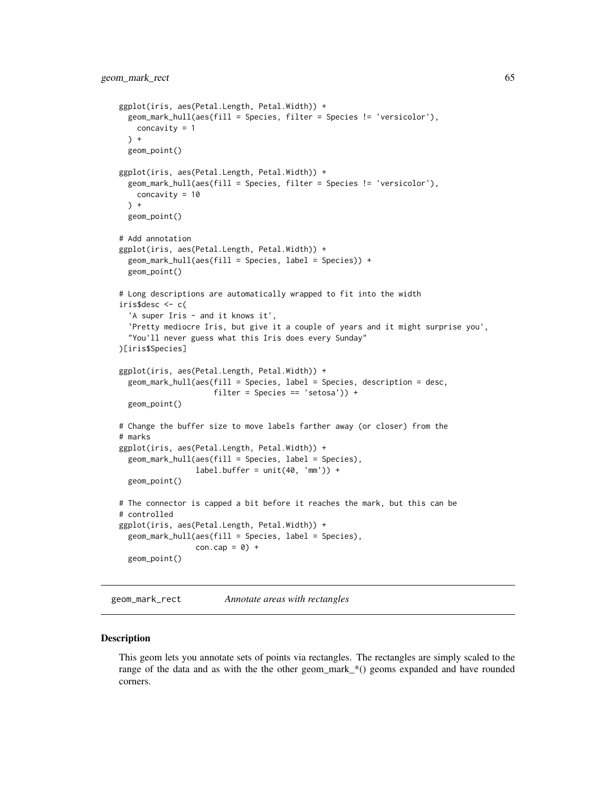```
ggplot(iris, aes(Petal.Length, Petal.Width)) +
 geom_mark_hull(aes(fill = Species, filter = Species != 'versicolor'),
   concavity = 1
 ) +geom_point()
ggplot(iris, aes(Petal.Length, Petal.Width)) +
 geom_mark_hull(aes(fill = Species, filter = Species != 'versicolor'),
   concavity = 10
 \rightarrow +
 geom_point()
# Add annotation
ggplot(iris, aes(Petal.Length, Petal.Width)) +
 geom_mark_hull(aes(fill = Species, label = Species)) +
 geom_point()
# Long descriptions are automatically wrapped to fit into the width
iris$desc <- c(
  'A super Iris - and it knows it',
  'Pretty mediocre Iris, but give it a couple of years and it might surprise you',
  "You'll never guess what this Iris does every Sunday"
)[iris$Species]
ggplot(iris, aes(Petal.Length, Petal.Width)) +
 geom_mark_hull(aes(fill = Species, label = Species, description = desc,
                     filter = Species == 'setosa')) +
 geom_point()
# Change the buffer size to move labels farther away (or closer) from the
# marks
ggplot(iris, aes(Petal.Length, Petal.Width)) +
 geom_mark_hull(aes(fill = Species, label = Species),
                 label.buffer = unit(40, 'mm')) +geom_point()
# The connector is capped a bit before it reaches the mark, but this can be
# controlled
ggplot(iris, aes(Petal.Length, Petal.Width)) +
 geom_mark_hull(aes(fill = Species, label = Species),
                 con.cap = 0) +
 geom_point()
```
<span id="page-64-0"></span>geom\_mark\_rect *Annotate areas with rectangles*

#### Description

This geom lets you annotate sets of points via rectangles. The rectangles are simply scaled to the range of the data and as with the the other geom\_mark\_\*() geoms expanded and have rounded corners.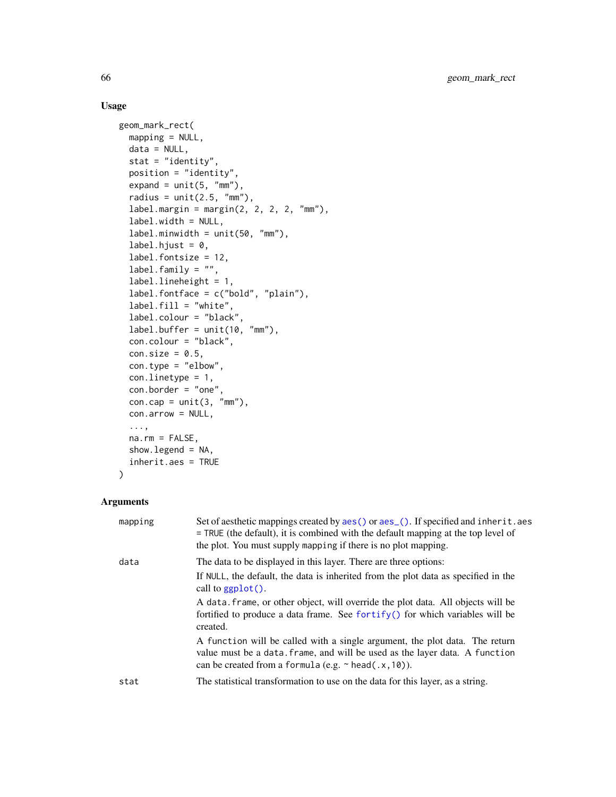## Usage

```
geom_mark_rect(
 mapping = NULL,
  data = NULL,
  stat = "identity",position = "identity",
  expand = unit(5, "mm"),
  radius = unit(2.5, "mm"),
  label.margin = margin(2, 2, 2, 2, "mm"),
  label.width = NULL,
  label.minwidth = unit(50, 'mm''),
  label.hjust = 0,label.fontsize = 12,
  label.family = '''',
  label.lineheight = 1,
  label.fontface = c("bold", "plain"),
  label.fill = "white",label.colour = "black",
  label.buffer = unit(10, "mm"),con.colour = "black",
  con.size = 0.5,
  con.type = "elbow",
  con.linetype = 1,
  con.border = "one",
  con.cap = unit(3, "mm"),
  con.arrow = NULL,
  ...,
  na.rm = FALSE,show.legend = NA,
  inherit.aes = TRUE
)
```
#### Arguments

| mapping | Set of aesthetic mappings created by aes () or aes (). If specified and inherit. aes<br>$=$ TRUE (the default), it is combined with the default mapping at the top level of<br>the plot. You must supply mapping if there is no plot mapping. |
|---------|-----------------------------------------------------------------------------------------------------------------------------------------------------------------------------------------------------------------------------------------------|
| data    | The data to be displayed in this layer. There are three options:                                                                                                                                                                              |
|         | If NULL, the default, the data is inherited from the plot data as specified in the<br>call to $ggplot()$ .                                                                                                                                    |
|         | A data, frame, or other object, will override the plot data. All objects will be<br>fortified to produce a data frame. See for $\text{trify}()$ for which variables will be<br>created.                                                       |
|         | A function will be called with a single argument, the plot data. The return<br>value must be a data. frame, and will be used as the layer data. A function<br>can be created from a formula (e.g. $\sim$ head(.x, 10)).                       |
| stat    | The statistical transformation to use on the data for this layer, as a string.                                                                                                                                                                |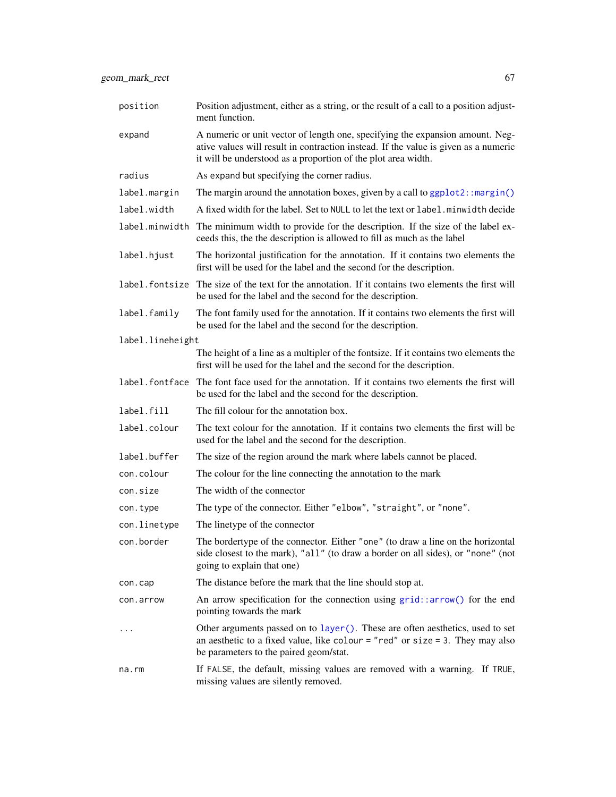| position         | Position adjustment, either as a string, or the result of a call to a position adjust-<br>ment function.                                                                                                                              |
|------------------|---------------------------------------------------------------------------------------------------------------------------------------------------------------------------------------------------------------------------------------|
| expand           | A numeric or unit vector of length one, specifying the expansion amount. Neg-<br>ative values will result in contraction instead. If the value is given as a numeric<br>it will be understood as a proportion of the plot area width. |
| radius           | As expand but specifying the corner radius.                                                                                                                                                                                           |
| label.margin     | The margin around the annotation boxes, given by a call to ggplot2:: margin()                                                                                                                                                         |
| label.width      | A fixed width for the label. Set to NULL to let the text or label. minwidth decide                                                                                                                                                    |
| label.minwidth   | The minimum width to provide for the description. If the size of the label ex-<br>ceeds this, the the description is allowed to fill as much as the label                                                                             |
| label.hjust      | The horizontal justification for the annotation. If it contains two elements the<br>first will be used for the label and the second for the description.                                                                              |
| label.fontsize   | The size of the text for the annotation. If it contains two elements the first will<br>be used for the label and the second for the description.                                                                                      |
| label.family     | The font family used for the annotation. If it contains two elements the first will<br>be used for the label and the second for the description.                                                                                      |
| label.lineheight |                                                                                                                                                                                                                                       |
|                  | The height of a line as a multipler of the fontsize. If it contains two elements the<br>first will be used for the label and the second for the description.                                                                          |
|                  | label. font face The font face used for the annotation. If it contains two elements the first will<br>be used for the label and the second for the description.                                                                       |
| label.fill       | The fill colour for the annotation box.                                                                                                                                                                                               |
| label.colour     | The text colour for the annotation. If it contains two elements the first will be<br>used for the label and the second for the description.                                                                                           |
| label.buffer     | The size of the region around the mark where labels cannot be placed.                                                                                                                                                                 |
| con.colour       | The colour for the line connecting the annotation to the mark                                                                                                                                                                         |
| con.size         | The width of the connector                                                                                                                                                                                                            |
| con.type         | The type of the connector. Either "elbow", "straight", or "none".                                                                                                                                                                     |
| con.linetype     | The linetype of the connector                                                                                                                                                                                                         |
| con.border       | The bordertype of the connector. Either "one" (to draw a line on the horizontal<br>side closest to the mark), "all" (to draw a border on all sides), or "none" (not<br>going to explain that one)                                     |
| con.cap          | The distance before the mark that the line should stop at.                                                                                                                                                                            |
| con.arrow        | An arrow specification for the connection using $grid::arrow()$ for the end<br>pointing towards the mark                                                                                                                              |
| $\cdots$         | Other arguments passed on to layer (). These are often aesthetics, used to set<br>an aesthetic to a fixed value, like colour = "red" or size = 3. They may also<br>be parameters to the paired geom/stat.                             |
| na.rm            | If FALSE, the default, missing values are removed with a warning. If TRUE,<br>missing values are silently removed.                                                                                                                    |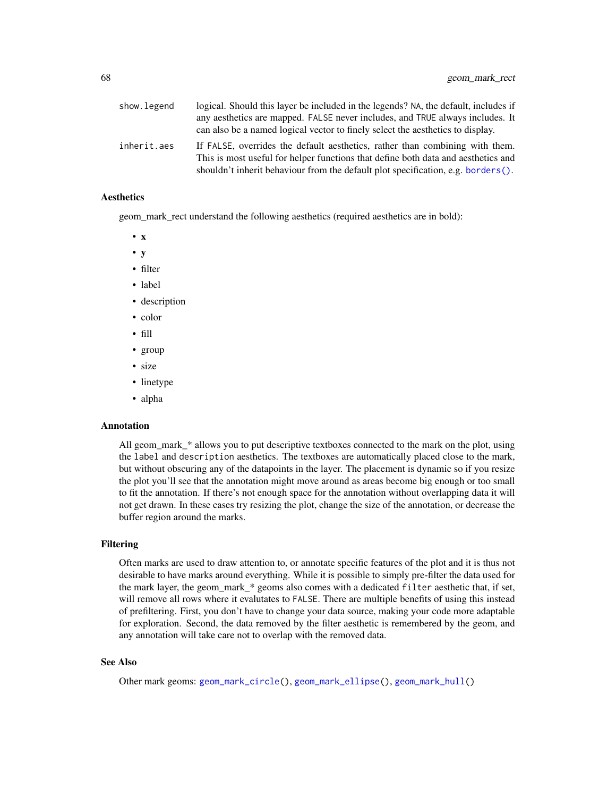| show.legend | logical. Should this layer be included in the legends? NA, the default, includes if                                                                               |
|-------------|-------------------------------------------------------------------------------------------------------------------------------------------------------------------|
|             | any aesthetics are mapped. FALSE never includes, and TRUE always includes. It                                                                                     |
|             | can also be a named logical vector to finely select the aesthetics to display.                                                                                    |
| inherit.aes | If FALSE, overrides the default aesthetics, rather than combining with them.<br>This is most useful for helper functions that define both data and aesthetics and |
|             | shouldn't inherit behaviour from the default plot specification, e.g. borders().                                                                                  |

#### Aesthetics

geom\_mark\_rect understand the following aesthetics (required aesthetics are in bold):

- x
- y
- filter
- label
- description
- color
- fill
- group
- size
- linetype
- alpha

#### Annotation

All geom\_mark\_\* allows you to put descriptive textboxes connected to the mark on the plot, using the label and description aesthetics. The textboxes are automatically placed close to the mark, but without obscuring any of the datapoints in the layer. The placement is dynamic so if you resize the plot you'll see that the annotation might move around as areas become big enough or too small to fit the annotation. If there's not enough space for the annotation without overlapping data it will not get drawn. In these cases try resizing the plot, change the size of the annotation, or decrease the buffer region around the marks.

#### Filtering

Often marks are used to draw attention to, or annotate specific features of the plot and it is thus not desirable to have marks around everything. While it is possible to simply pre-filter the data used for the mark layer, the geom\_mark\_\* geoms also comes with a dedicated filter aesthetic that, if set, will remove all rows where it evalutates to FALSE. There are multiple benefits of using this instead of prefiltering. First, you don't have to change your data source, making your code more adaptable for exploration. Second, the data removed by the filter aesthetic is remembered by the geom, and any annotation will take care not to overlap with the removed data.

#### See Also

Other mark geoms: [geom\\_mark\\_circle\(](#page-52-0)), [geom\\_mark\\_ellipse\(](#page-56-0)), [geom\\_mark\\_hull\(](#page-60-0))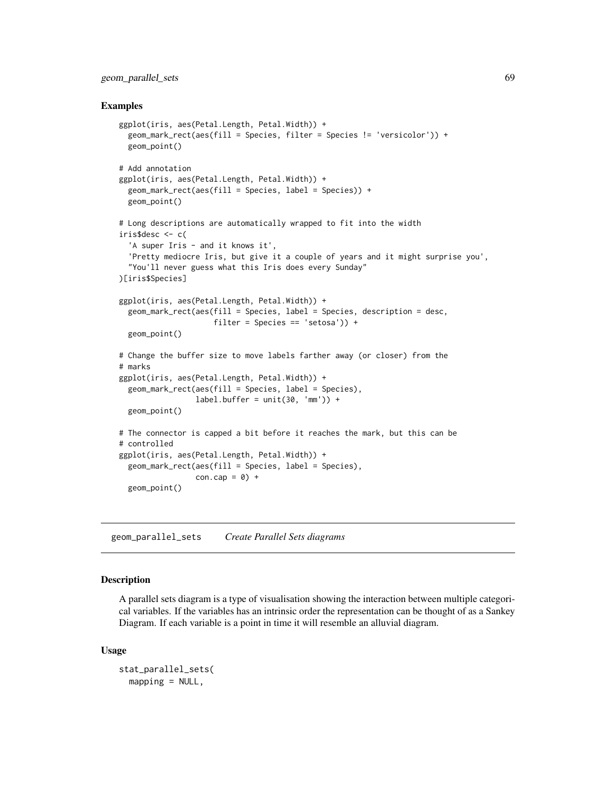## geom\_parallel\_sets 69

#### Examples

```
ggplot(iris, aes(Petal.Length, Petal.Width)) +
 geom_mark_rect(aes(fill = Species, filter = Species != 'versicolor')) +
 geom_point()
# Add annotation
ggplot(iris, aes(Petal.Length, Petal.Width)) +
 geom_mark_rect(aes(fill = Species, label = Species)) +
 geom_point()
# Long descriptions are automatically wrapped to fit into the width
iris$desc <- c(
  'A super Iris - and it knows it',
  'Pretty mediocre Iris, but give it a couple of years and it might surprise you',
  "You'll never guess what this Iris does every Sunday"
)[iris$Species]
ggplot(iris, aes(Petal.Length, Petal.Width)) +
 geom_mark_rect(aes(fill = Species, label = Species, description = desc,
                     filter = Species == 'setosa') +
 geom_point()
# Change the buffer size to move labels farther away (or closer) from the
# marks
ggplot(iris, aes(Petal.Length, Petal.Width)) +
 geom_mark_rect(aes(fill = Species, label = Species),
                 label.buffer = unit(30, 'mm')) +geom_point()
# The connector is capped a bit before it reaches the mark, but this can be
# controlled
ggplot(iris, aes(Petal.Length, Petal.Width)) +
 geom_mark_rect(aes(fill = Species, label = Species),
                 con.cap = 0) +
 geom_point()
```
geom\_parallel\_sets *Create Parallel Sets diagrams*

### Description

A parallel sets diagram is a type of visualisation showing the interaction between multiple categorical variables. If the variables has an intrinsic order the representation can be thought of as a Sankey Diagram. If each variable is a point in time it will resemble an alluvial diagram.

```
stat_parallel_sets(
 mapping = NULL,
```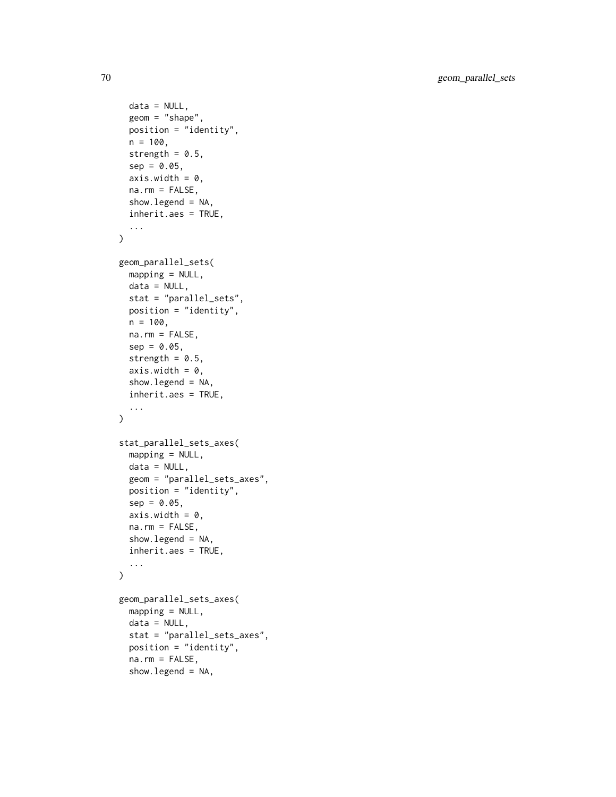```
data = NULL,geom = "shape",
 position = "identity",
 n = 100,
  strength = 0.5,
  sep = 0.05,axis.width = 0,
 na.rm = FALSE,
  show.legend = NA,
  inherit.aes = TRUE,
  ...
\mathcal{L}geom_parallel_sets(
 mapping = NULL,
 data = NULL,
  stat = "parallel_sets",
 position = "identity",
 n = 100,
 na.rm = FALSE,sep = 0.05,strength = 0.5,
  axis.width = 0,
  show.legend = NA,
  inherit.aes = TRUE,
  ...
\mathcal{L}stat_parallel_sets_axes(
 mapping = NULL,data = NULL,geom = "parallel_sets_axes",
 position = "identity",
  sep = 0.05,axis. width = 0,na.rm = FALSE,
  show.legend = NA,
  inherit.aes = TRUE,
  ...
\mathcal{L}geom_parallel_sets_axes(
 mapping = NULL,
 data = NULL,stat = "parallel_sets_axes",
  position = "identity",
  na.rm = FALSE,
  show.legend = NA,
```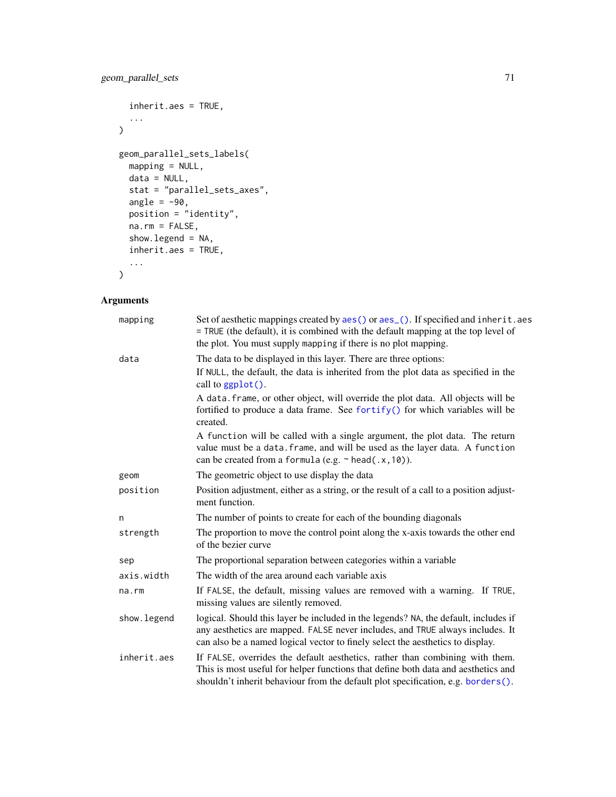## geom\_parallel\_sets 71

```
inherit.aes = TRUE,
  ...
\lambdageom_parallel_sets_labels(
  mapping = NULL,
  data = NULL,
  stat = "parallel_sets_axes",
  angle = -90,
  position = "identity",
  na.rm = FALSE,show.legend = NA,
  inherit.aes = TRUE,
  ...
)
```
# Arguments

# mapping Set of aesthetic mappings created by [aes\(\)](#page-0-0) or aes<sub>-</sub>(). If specified and inherit.aes = TRUE (the default), it is combined with the default mapping at the top level of the plot. You must supply mapping if there is no plot mapping. data The data to be displayed in this layer. There are three options: If NULL, the default, the data is inherited from the plot data as specified in the call to [ggplot\(\)](#page-0-0). A data.frame, or other object, will override the plot data. All objects will be fortified to produce a data frame. See [fortify\(\)](#page-0-0) for which variables will be created. A function will be called with a single argument, the plot data. The return value must be a data.frame, and will be used as the layer data. A function can be created from a formula (e.g.  $\sim$  head(.x,10)). geom The geometric object to use display the data position Position adjustment, either as a string, or the result of a call to a position adjustment function. n The number of points to create for each of the bounding diagonals strength The proportion to move the control point along the x-axis towards the other end of the bezier curve sep The proportional separation between categories within a variable axis.width The width of the area around each variable axis na.rm If FALSE, the default, missing values are removed with a warning. If TRUE, missing values are silently removed. show. legend logical. Should this layer be included in the legends? NA, the default, includes if any aesthetics are mapped. FALSE never includes, and TRUE always includes. It can also be a named logical vector to finely select the aesthetics to display. inherit.aes If FALSE, overrides the default aesthetics, rather than combining with them. This is most useful for helper functions that define both data and aesthetics and

shouldn't inherit behaviour from the default plot specification, e.g. [borders\(\)](#page-0-0).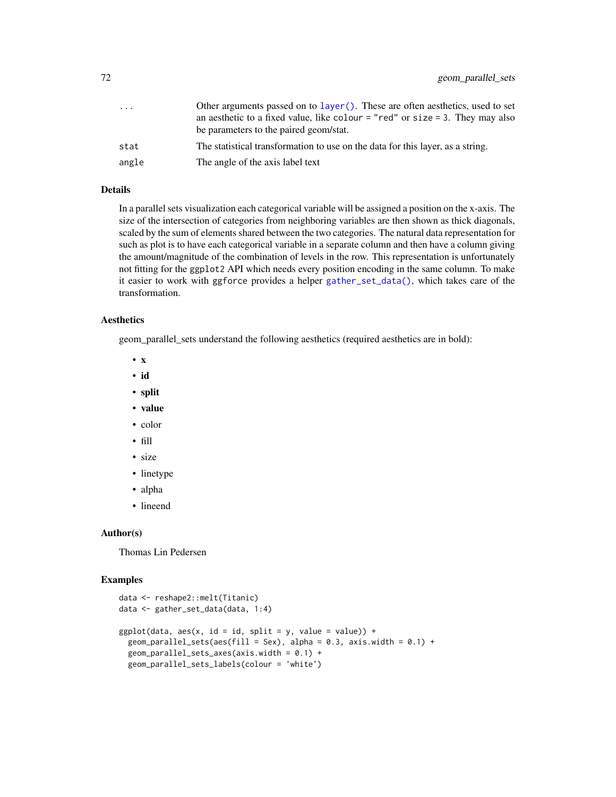| .     | Other arguments passed on to layer(). These are often aesthetics, used to set     |
|-------|-----------------------------------------------------------------------------------|
|       | an aesthetic to a fixed value, like colour $=$ "red" or size $=$ 3. They may also |
|       | be parameters to the paired geom/stat.                                            |
| stat  | The statistical transformation to use on the data for this layer, as a string.    |
| angle | The angle of the axis label text                                                  |

## Details

In a parallel sets visualization each categorical variable will be assigned a position on the x-axis. The size of the intersection of categories from neighboring variables are then shown as thick diagonals, scaled by the sum of elements shared between the two categories. The natural data representation for such as plot is to have each categorical variable in a separate column and then have a column giving the amount/magnitude of the combination of levels in the row. This representation is unfortunately not fitting for the ggplot2 API which needs every position encoding in the same column. To make it easier to work with ggforce provides a helper [gather\\_set\\_data\(\)](#page-14-0), which takes care of the transformation.

## Aesthetics

geom\_parallel\_sets understand the following aesthetics (required aesthetics are in bold):

- x
- id
- split
- value
- color
- fill
- size
- linetype
- alpha
- lineend

#### Author(s)

Thomas Lin Pedersen

#### Examples

```
data <- reshape2::melt(Titanic)
data <- gather_set_data(data, 1:4)
ggplot(data, aes(x, id = id, split = y, value = value)) +geom_parallel_sets(aes(fill = Sex), alpha = 0.3, axis.width = 0.1) +
 geom_parallel_sets_axes(axis.width = 0.1) +
 geom_parallel_sets_labels(colour = 'white')
```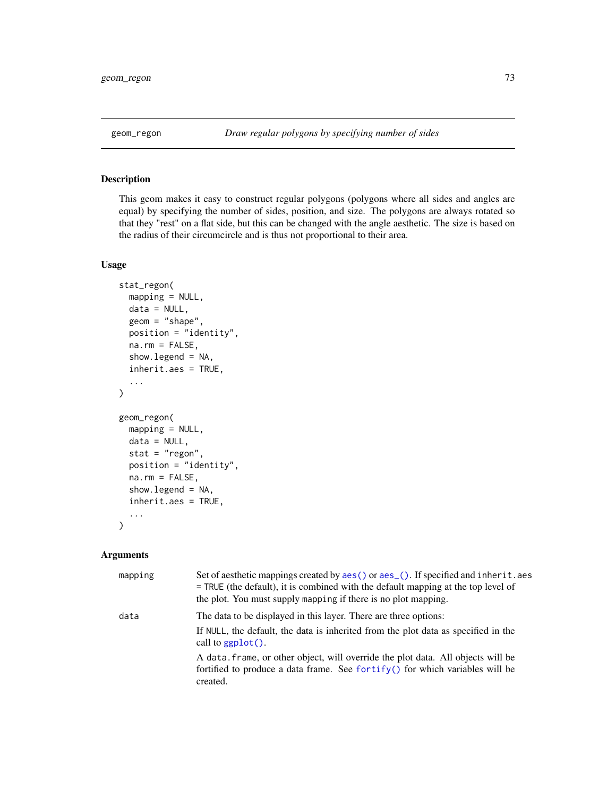<span id="page-72-0"></span>

# Description

This geom makes it easy to construct regular polygons (polygons where all sides and angles are equal) by specifying the number of sides, position, and size. The polygons are always rotated so that they "rest" on a flat side, but this can be changed with the angle aesthetic. The size is based on the radius of their circumcircle and is thus not proportional to their area.

# Usage

```
stat_regon(
 mapping = NULL,
 data = NULL,
 geom = "shape",
 position = "identity",
 na.rm = FALSE,show.legend = NA,
  inherit.aes = TRUE,
  ...
)
geom_regon(
 mapping = NULL,
 data = NULL,
 stat = "regon",
 position = "identity",
 na.rm = FALSE,
  show.legend = NA,
  inherit.aes = TRUE,
  ...
\mathcal{L}
```
#### Arguments

| mapping | Set of aesthetic mappings created by aes () or aes (). If specified and inherit.aes<br>= TRUE (the default), it is combined with the default mapping at the top level of<br>the plot. You must supply mapping if there is no plot mapping. |
|---------|--------------------------------------------------------------------------------------------------------------------------------------------------------------------------------------------------------------------------------------------|
| data    | The data to be displayed in this layer. There are three options:<br>If NULL, the default, the data is inherited from the plot data as specified in the<br>call to $ggplot()$ .                                                             |
|         | A data, frame, or other object, will override the plot data. All objects will be<br>fortified to produce a data frame. See fortify() for which variables will be<br>created.                                                               |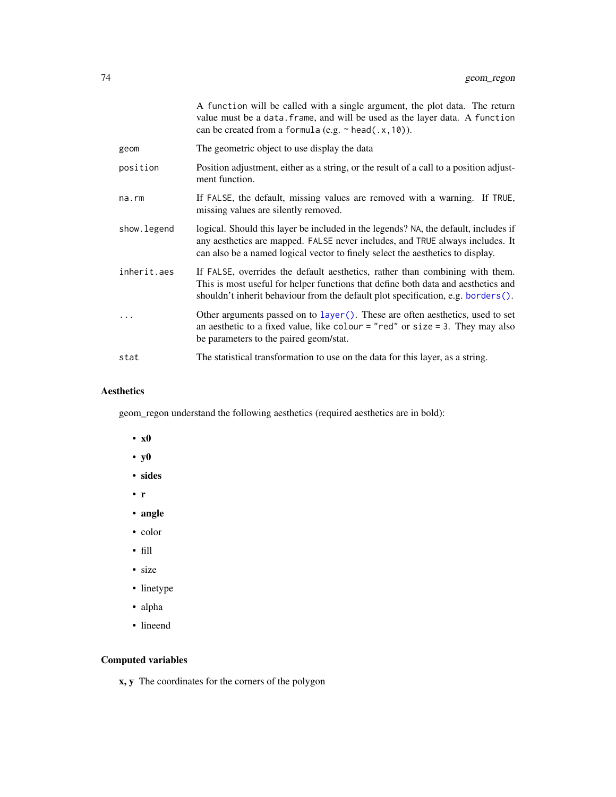<span id="page-73-0"></span>

|              | A function will be called with a single argument, the plot data. The return<br>value must be a data. frame, and will be used as the layer data. A function<br>can be created from a formula (e.g. $\sim$ head(.x, 10)).                                |
|--------------|--------------------------------------------------------------------------------------------------------------------------------------------------------------------------------------------------------------------------------------------------------|
| geom         | The geometric object to use display the data                                                                                                                                                                                                           |
| position     | Position adjustment, either as a string, or the result of a call to a position adjust-<br>ment function.                                                                                                                                               |
| $na$ . $rm$  | If FALSE, the default, missing values are removed with a warning. If TRUE,<br>missing values are silently removed.                                                                                                                                     |
| show. legend | logical. Should this layer be included in the legends? NA, the default, includes if<br>any aesthetics are mapped. FALSE never includes, and TRUE always includes. It<br>can also be a named logical vector to finely select the aesthetics to display. |
| inherit.aes  | If FALSE, overrides the default aesthetics, rather than combining with them.<br>This is most useful for helper functions that define both data and aesthetics and<br>shouldn't inherit behaviour from the default plot specification, e.g. borders().  |
|              | Other arguments passed on to layer (). These are often aesthetics, used to set<br>an aesthetic to a fixed value, like colour = "red" or size = 3. They may also<br>be parameters to the paired geom/stat.                                              |
| stat         | The statistical transformation to use on the data for this layer, as a string.                                                                                                                                                                         |

# Aesthetics

geom\_regon understand the following aesthetics (required aesthetics are in bold):

- x0
- y0
- sides
- r
- angle
- color
- fill
- size
- linetype
- alpha
- lineend

# Computed variables

x, y The coordinates for the corners of the polygon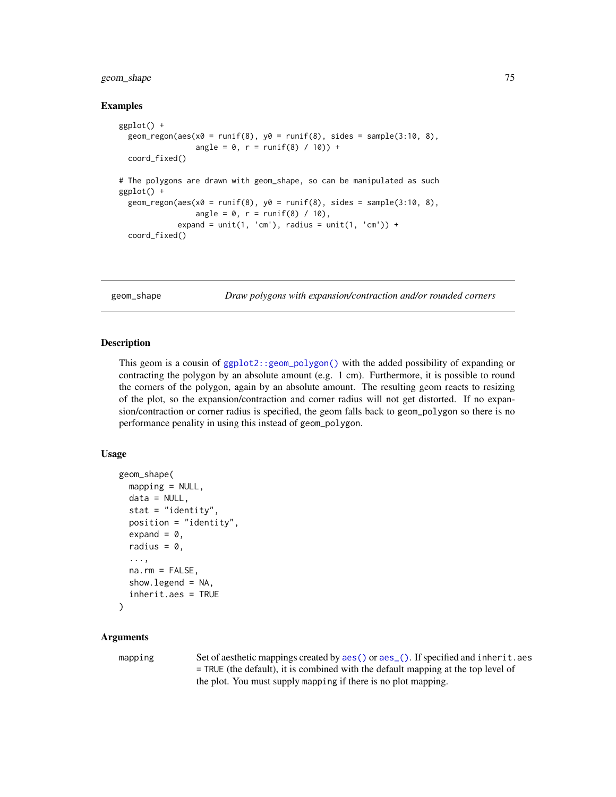# <span id="page-74-0"></span>geom\_shape 75

#### Examples

```
ggplot() +
 geom_regon(aes(x0 = runif(8), y0 = runif(8), sides = sample(3:10, 8),
                 angle = 0, r = runif(8) / 10) +
 coord_fixed()
# The polygons are drawn with geom_shape, so can be manipulated as such
ggplot() +
 geom_regon(aes(x0 = runif(8), y0 = runif(8), sides = sample(3:10, 8),
                 angle = 0, r = runif(8) / 10,expand = unit(1, 'cm'), radius = unit(1, 'cm')) +
 coord_fixed()
```
geom\_shape *Draw polygons with expansion/contraction and/or rounded corners*

# Description

This geom is a cousin of [ggplot2::geom\\_polygon\(\)](#page-0-0) with the added possibility of expanding or contracting the polygon by an absolute amount (e.g. 1 cm). Furthermore, it is possible to round the corners of the polygon, again by an absolute amount. The resulting geom reacts to resizing of the plot, so the expansion/contraction and corner radius will not get distorted. If no expansion/contraction or corner radius is specified, the geom falls back to geom\_polygon so there is no performance penality in using this instead of geom\_polygon.

#### Usage

```
geom_shape(
 mapping = NULL,
 data = NULL,
  stat = "identity",
 position = "identity",
  expand = 0,
  radius = 0,
  ...,
 na.rm = FALSE,show.legend = NA,
  inherit.aes = TRUE
)
```
### Arguments

mapping Set of aesthetic mappings created by [aes\(\)](#page-0-0) or aes<sub>-</sub>(). If specified and inherit.aes = TRUE (the default), it is combined with the default mapping at the top level of the plot. You must supply mapping if there is no plot mapping.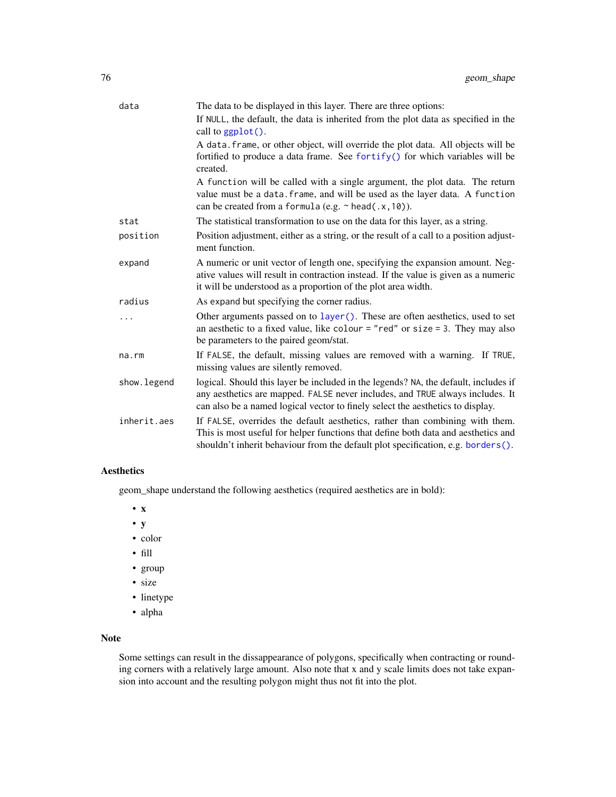<span id="page-75-0"></span>

| data        | The data to be displayed in this layer. There are three options:                                                                                                                                                                                       |
|-------------|--------------------------------------------------------------------------------------------------------------------------------------------------------------------------------------------------------------------------------------------------------|
|             | If NULL, the default, the data is inherited from the plot data as specified in the<br>call to ggplot().                                                                                                                                                |
|             | A data. frame, or other object, will override the plot data. All objects will be<br>fortified to produce a data frame. See fortify() for which variables will be<br>created.                                                                           |
|             | A function will be called with a single argument, the plot data. The return<br>value must be a data. frame, and will be used as the layer data. A function<br>can be created from a formula (e.g. $\sim$ head(.x, 10)).                                |
| stat        | The statistical transformation to use on the data for this layer, as a string.                                                                                                                                                                         |
| position    | Position adjustment, either as a string, or the result of a call to a position adjust-<br>ment function.                                                                                                                                               |
| expand      | A numeric or unit vector of length one, specifying the expansion amount. Neg-<br>ative values will result in contraction instead. If the value is given as a numeric<br>it will be understood as a proportion of the plot area width.                  |
| radius      | As expand but specifying the corner radius.                                                                                                                                                                                                            |
|             | Other arguments passed on to layer (). These are often aesthetics, used to set<br>an aesthetic to a fixed value, like colour = "red" or size = 3. They may also<br>be parameters to the paired geom/stat.                                              |
| na.rm       | If FALSE, the default, missing values are removed with a warning. If TRUE,<br>missing values are silently removed.                                                                                                                                     |
| show.legend | logical. Should this layer be included in the legends? NA, the default, includes if<br>any aesthetics are mapped. FALSE never includes, and TRUE always includes. It<br>can also be a named logical vector to finely select the aesthetics to display. |
| inherit.aes | If FALSE, overrides the default aesthetics, rather than combining with them.<br>This is most useful for helper functions that define both data and aesthetics and<br>shouldn't inherit behaviour from the default plot specification, e.g. borders().  |

# Aesthetics

geom\_shape understand the following aesthetics (required aesthetics are in bold):

- x
- y
- color
- fill
- group
- size
- linetype
- alpha

# Note

Some settings can result in the dissappearance of polygons, specifically when contracting or rounding corners with a relatively large amount. Also note that x and y scale limits does not take expansion into account and the resulting polygon might thus not fit into the plot.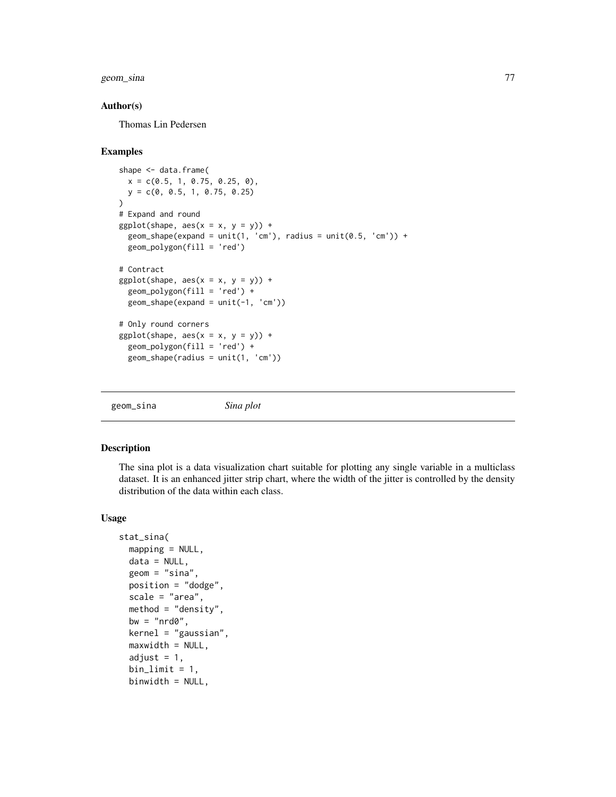# <span id="page-76-0"></span>geom\_sina 77

#### Author(s)

Thomas Lin Pedersen

#### Examples

```
shape <- data.frame(
  x = c(0.5, 1, 0.75, 0.25, 0),y = c(0, 0.5, 1, 0.75, 0.25)
)
# Expand and round
ggplot(shape, aes(x = x, y = y)) +geom\_shape(expand = unit(1, 'cm'), radius = unit(0.5, 'cm')) +geom_polygon(fill = 'red')
# Contract
ggplot(shape, aes(x = x, y = y)) +geom_polygon(fill = 'red') +
  geom\_shape(expand = unit(-1, 'cm'))# Only round corners
ggplot(shape, aes(x = x, y = y)) +geom_polygon(fill = 'red') +
  geom_shape(radius = unit(1, 'cm'))
```
geom\_sina *Sina plot*

# Description

The sina plot is a data visualization chart suitable for plotting any single variable in a multiclass dataset. It is an enhanced jitter strip chart, where the width of the jitter is controlled by the density distribution of the data within each class.

#### Usage

```
stat_sina(
 mapping = NULL,data = NULL,geom = "sina",position = "dodge",
  scale = "area",
 method = "density",
 bw = "nrd0",kernel = "gaussian",
  maxwidth = NULL,adjust = 1,
  binlimit = 1,
 binwidth = NULL,
```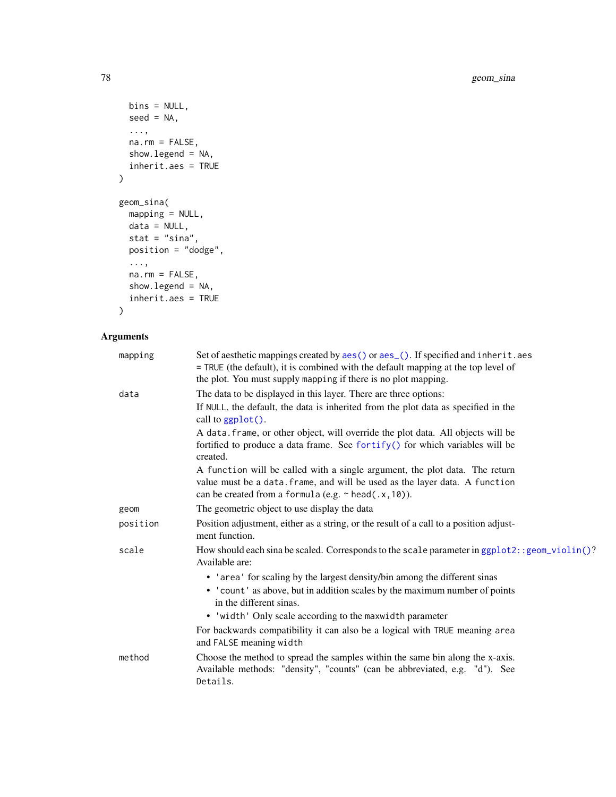```
bins = NULL,seed = NA,
  ...,
 na.rm = FALSE,show.legend = NA,
 inherit.aes = TRUE
\mathcal{L}geom_sina(
 mapping = NULL,
 data = NULL,
 stat = "sina",position = "dodge",
  ...,
 na.rm = FALSE,
 show.legend = NA,
  inherit.aes = TRUE
```

```
\mathcal{L}
```
# Arguments

| mapping  | Set of aesthetic mappings created by aes() or aes_(). If specified and inherit.aes<br>= TRUE (the default), it is combined with the default mapping at the top level of<br>the plot. You must supply mapping if there is no plot mapping. |
|----------|-------------------------------------------------------------------------------------------------------------------------------------------------------------------------------------------------------------------------------------------|
| data     | The data to be displayed in this layer. There are three options:                                                                                                                                                                          |
|          | If NULL, the default, the data is inherited from the plot data as specified in the<br>call to ggplot().                                                                                                                                   |
|          | A data. frame, or other object, will override the plot data. All objects will be                                                                                                                                                          |
|          | fortified to produce a data frame. See fortify() for which variables will be<br>created.                                                                                                                                                  |
|          | A function will be called with a single argument, the plot data. The return<br>value must be a data. frame, and will be used as the layer data. A function<br>can be created from a formula (e.g. $\sim$ head(.x, 10)).                   |
| geom     | The geometric object to use display the data                                                                                                                                                                                              |
| position | Position adjustment, either as a string, or the result of a call to a position adjust-<br>ment function.                                                                                                                                  |
| scale    | How should each sina be scaled. Corresponds to the scale parameter in ggplot2: : geom_violin()?<br>Available are:                                                                                                                         |
|          | • 'area' for scaling by the largest density/bin among the different sinas                                                                                                                                                                 |
|          | • 'count' as above, but in addition scales by the maximum number of points<br>in the different sinas.                                                                                                                                     |
|          | • 'width' Only scale according to the maxwidth parameter                                                                                                                                                                                  |
|          | For backwards compatibility it can also be a logical with TRUE meaning area<br>and FALSE meaning width                                                                                                                                    |
| method   | Choose the method to spread the samples within the same bin along the x-axis.<br>Available methods: "density", "counts" (can be abbreviated, e.g. "d"). See<br>Details.                                                                   |

<span id="page-77-0"></span>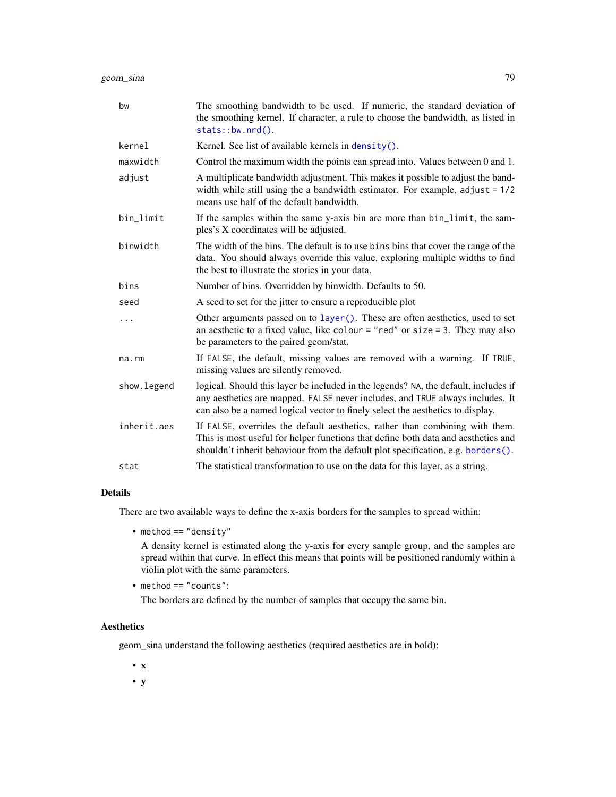<span id="page-78-0"></span>

| bw          | The smoothing bandwidth to be used. If numeric, the standard deviation of<br>the smoothing kernel. If character, a rule to choose the bandwidth, as listed in<br>stats::bw.nrd().                                                                      |
|-------------|--------------------------------------------------------------------------------------------------------------------------------------------------------------------------------------------------------------------------------------------------------|
| kernel      | Kernel. See list of available kernels in $density()$ .                                                                                                                                                                                                 |
| maxwidth    | Control the maximum width the points can spread into. Values between 0 and 1.                                                                                                                                                                          |
| adjust      | A multiplicate bandwidth adjustment. This makes it possible to adjust the band-<br>width while still using the a bandwidth estimator. For example, $adjust = 1/2$<br>means use half of the default bandwidth.                                          |
| bin_limit   | If the samples within the same y-axis bin are more than bin_limit, the sam-<br>ples's X coordinates will be adjusted.                                                                                                                                  |
| binwidth    | The width of the bins. The default is to use bins bins that cover the range of the<br>data. You should always override this value, exploring multiple widths to find<br>the best to illustrate the stories in your data.                               |
| bins        | Number of bins. Overridden by binwidth. Defaults to 50.                                                                                                                                                                                                |
| seed        | A seed to set for the jitter to ensure a reproducible plot                                                                                                                                                                                             |
| $\cdots$    | Other arguments passed on to layer (). These are often aesthetics, used to set<br>an aesthetic to a fixed value, like colour = "red" or size = 3. They may also<br>be parameters to the paired geom/stat.                                              |
| na.rm       | If FALSE, the default, missing values are removed with a warning. If TRUE,<br>missing values are silently removed.                                                                                                                                     |
| show.legend | logical. Should this layer be included in the legends? NA, the default, includes if<br>any aesthetics are mapped. FALSE never includes, and TRUE always includes. It<br>can also be a named logical vector to finely select the aesthetics to display. |
| inherit.aes | If FALSE, overrides the default aesthetics, rather than combining with them.<br>This is most useful for helper functions that define both data and aesthetics and<br>shouldn't inherit behaviour from the default plot specification, e.g. borders().  |
| stat        | The statistical transformation to use on the data for this layer, as a string.                                                                                                                                                                         |

# Details

There are two available ways to define the x-axis borders for the samples to spread within:

• method == "density"

A density kernel is estimated along the y-axis for every sample group, and the samples are spread within that curve. In effect this means that points will be positioned randomly within a violin plot with the same parameters.

```
• method == "counts":
```
The borders are defined by the number of samples that occupy the same bin.

# Aesthetics

geom\_sina understand the following aesthetics (required aesthetics are in bold):

• x

• y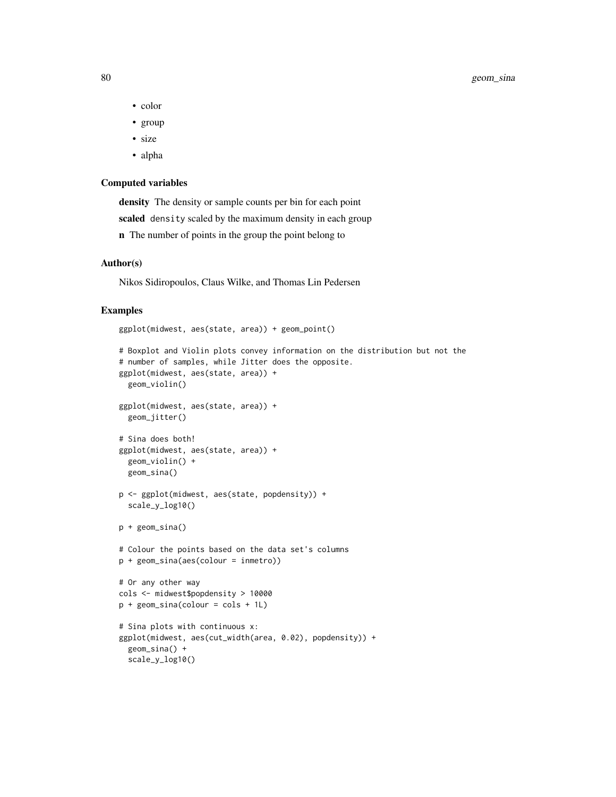- color
- group
- size
- alpha

#### Computed variables

density The density or sample counts per bin for each point scaled density scaled by the maximum density in each group n The number of points in the group the point belong to

#### Author(s)

Nikos Sidiropoulos, Claus Wilke, and Thomas Lin Pedersen

```
ggplot(midwest, aes(state, area)) + geom_point()
# Boxplot and Violin plots convey information on the distribution but not the
# number of samples, while Jitter does the opposite.
ggplot(midwest, aes(state, area)) +
  geom_violin()
ggplot(midwest, aes(state, area)) +
  geom_jitter()
# Sina does both!
ggplot(midwest, aes(state, area)) +
  geom_violin() +
  geom_sina()
p <- ggplot(midwest, aes(state, popdensity)) +
  scale_y_log10()
p + geom_sina()
# Colour the points based on the data set's columns
p + geom_sina(aes(colour = inmetro))
# Or any other way
cols <- midwest$popdensity > 10000
p + geom_sina(colour = cols + 1L)
# Sina plots with continuous x:
ggplot(midwest, aes(cut_width(area, 0.02), popdensity)) +
  geom_sina() +
  scale_y_log10()
```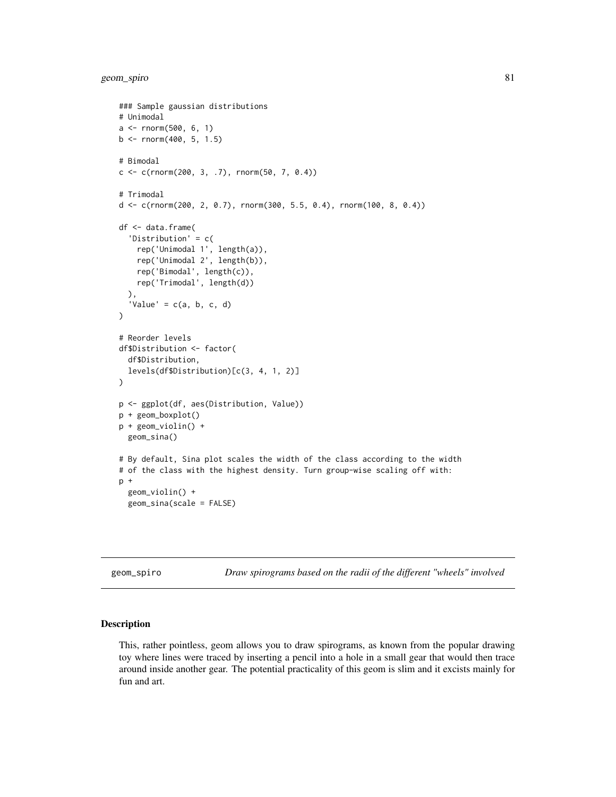```
### Sample gaussian distributions
# Unimodal
a \leq -rnorm(500, 6, 1)b \le rnorm(400, 5, 1.5)
# Bimodal
c \leq c (rnorm(200, 3, .7), rnorm(50, 7, 0.4))
# Trimodal
d \leq c(\text{rnorm}(200, 2, 0.7), \text{rnorm}(300, 5.5, 0.4), \text{rnorm}(100, 8, 0.4))df <- data.frame(
  'Distribution' = c(
    rep('Unimodal 1', length(a)),
    rep('Unimodal 2', length(b)),
    rep('Bimodal', length(c)),
    rep('Trimodal', length(d))
  ),
  'Value' = c(a, b, c, d)\mathcal{L}# Reorder levels
df$Distribution <- factor(
  df$Distribution,
  levels(df$Distribution)[c(3, 4, 1, 2)]
)
p <- ggplot(df, aes(Distribution, Value))
p + geom_boxplot()
p + geom_violin() +
  geom_sina()
# By default, Sina plot scales the width of the class according to the width
# of the class with the highest density. Turn group-wise scaling off with:
p +geom_violin() +
  geom_sina(scale = FALSE)
```
geom\_spiro *Draw spirograms based on the radii of the different "wheels" involved*

#### Description

This, rather pointless, geom allows you to draw spirograms, as known from the popular drawing toy where lines were traced by inserting a pencil into a hole in a small gear that would then trace around inside another gear. The potential practicality of this geom is slim and it excists mainly for fun and art.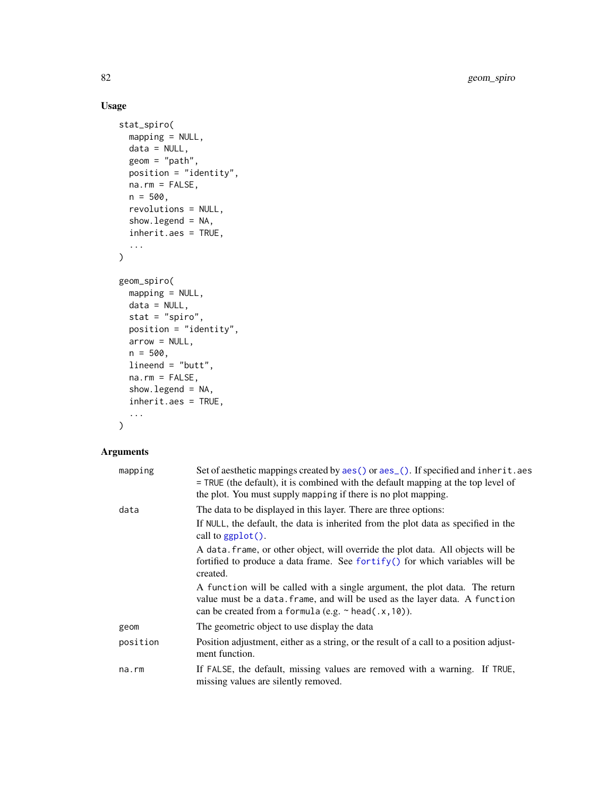# Usage

```
stat_spiro(
 mapping = NULL,
 data = NULL,
 geom = "path",
 position = "identity",
 na.rm = FALSE,
 n = 500,revolutions = NULL,
  show.legend = NA,
  inherit.aes = TRUE,
  ...
\mathcal{L}geom_spiro(
 mapping = NULL,
 data = NULL,
 stat = "spiro",
 position = "identity",
 arrow = NULL,
 n = 500,lineend = "butt",
 na.rm = FALSE,
  show.legend = NA,
 inherit.aes = TRUE,
  ...
)
```
# Arguments

| mapping  | Set of aesthetic mappings created by aes () or aes (). If specified and inherit. aes<br>= TRUE (the default), it is combined with the default mapping at the top level of<br>the plot. You must supply mapping if there is no plot mapping. |
|----------|---------------------------------------------------------------------------------------------------------------------------------------------------------------------------------------------------------------------------------------------|
| data     | The data to be displayed in this layer. There are three options:<br>If NULL, the default, the data is inherited from the plot data as specified in the<br>call to $ggplot()$ .                                                              |
|          | A data frame, or other object, will override the plot data. All objects will be<br>fortified to produce a data frame. See fortify() for which variables will be<br>created.                                                                 |
|          | A function will be called with a single argument, the plot data. The return<br>value must be a data. frame, and will be used as the layer data. A function<br>can be created from a formula (e.g. $\sim$ head(.x, 10)).                     |
| geom     | The geometric object to use display the data                                                                                                                                                                                                |
| position | Position adjustment, either as a string, or the result of a call to a position adjust-<br>ment function.                                                                                                                                    |
| na.rm    | If FALSE, the default, missing values are removed with a warning. If TRUE,<br>missing values are silently removed.                                                                                                                          |

<span id="page-81-0"></span>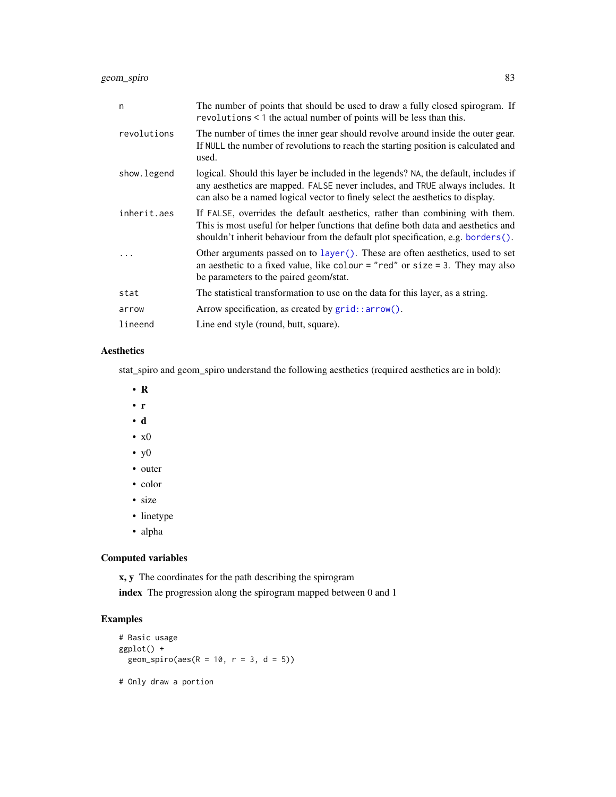<span id="page-82-0"></span>geom\_spiro 83

| n           | The number of points that should be used to draw a fully closed spirogram. If<br>revolutions < 1 the actual number of points will be less than this.                                                                                                   |
|-------------|--------------------------------------------------------------------------------------------------------------------------------------------------------------------------------------------------------------------------------------------------------|
| revolutions | The number of times the inner gear should revolve around inside the outer gear.<br>If NULL the number of revolutions to reach the starting position is calculated and<br>used.                                                                         |
| show.legend | logical. Should this layer be included in the legends? NA, the default, includes if<br>any aesthetics are mapped. FALSE never includes, and TRUE always includes. It<br>can also be a named logical vector to finely select the aesthetics to display. |
| inherit.aes | If FALSE, overrides the default aesthetics, rather than combining with them.<br>This is most useful for helper functions that define both data and aesthetics and<br>shouldn't inherit behaviour from the default plot specification, e.g. borders().  |
|             | Other arguments passed on to layer (). These are often aesthetics, used to set<br>an aesthetic to a fixed value, like colour = "red" or size = 3. They may also<br>be parameters to the paired geom/stat.                                              |
| stat        | The statistical transformation to use on the data for this layer, as a string.                                                                                                                                                                         |
| arrow       | Arrow specification, as created by grid::arrow().                                                                                                                                                                                                      |
| lineend     | Line end style (round, butt, square).                                                                                                                                                                                                                  |

# Aesthetics

stat\_spiro and geom\_spiro understand the following aesthetics (required aesthetics are in bold):

- R
- r
- d
- x0
- y0
- outer
- color
- size
- linetype
- alpha

# Computed variables

x, y The coordinates for the path describing the spirogram

index The progression along the spirogram mapped between 0 and 1

```
# Basic usage
ggplot() +
 geom_spiro(aes(R = 10, r = 3, d = 5))
# Only draw a portion
```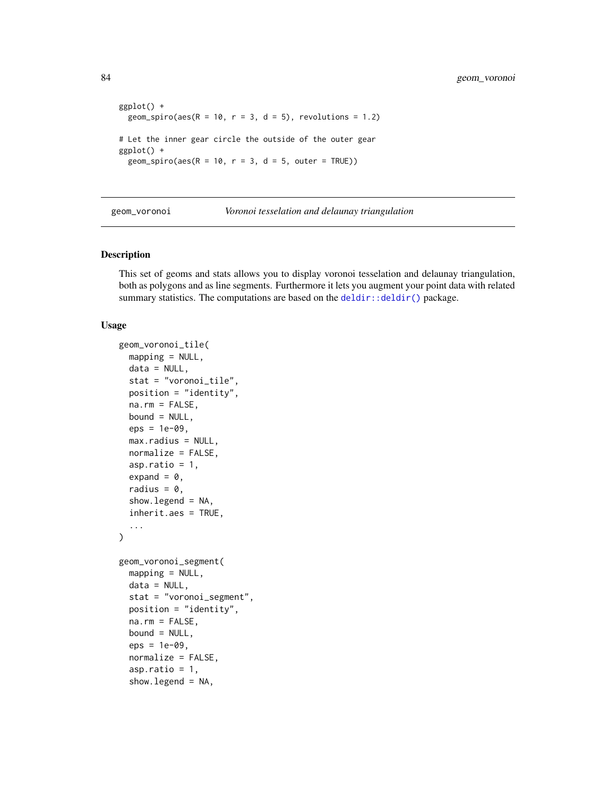```
ggplot() +
 geom_spiro(aes(R = 10, r = 3, d = 5), revolutions = 1.2)
# Let the inner gear circle the outside of the outer gear
ggplot() +
 geom_spiro(aes(R = 10, r = 3, d = 5, outer = TRUE))
```
geom\_voronoi *Voronoi tesselation and delaunay triangulation*

#### Description

This set of geoms and stats allows you to display voronoi tesselation and delaunay triangulation, both as polygons and as line segments. Furthermore it lets you augment your point data with related summary statistics. The computations are based on the [deldir::deldir\(\)](#page-0-0) package.

#### Usage

```
geom_voronoi_tile(
 mapping = NULL,
 data = NULL,stat = "voronoi_tile",
  position = "identity",
 na.rm = FALSE,
 bound = NULL,eps = 1e-09,
 max.radius = NULL,
 normalize = FALSE,
  asp.ratio = 1,
  expand = 0,
  radius = 0,
  show. legend = NA,
  inherit.aes = TRUE,
  ...
)
geom_voronoi_segment(
 mapping = NULL,data = NULL,stat = "voronoi_segment",
 position = "identity",
 na.rm = FALSE,
 bound = NULL,
  eps = 1e-09.
  normalize = FALSE,
  asp.ratio = 1,
  show.legend = NA,
```
<span id="page-83-0"></span>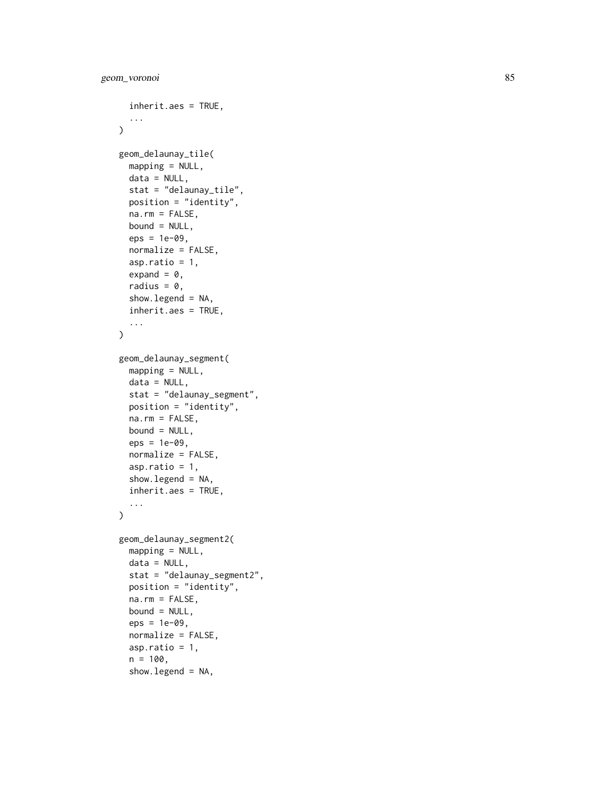```
inherit.aes = TRUE,
  ...
\lambdageom_delaunay_tile(
  mapping = NULL,
 data = NULL,stat = "delaunay_tile",
  position = "identity",
  na.rm = FALSE,bound = NULL,
  eps = 1e-09,
  normalize = FALSE,
  asp.ratio = 1,
  expand = 0,
  radius = 0,
  show.legend = NA,
  inherit.aes = TRUE,
  ...
\lambdageom_delaunay_segment(
 mapping = NULL,
 data = NULL,stat = "delaunay_segment",
 position = "identity",
 na.rm = FALSE,bound = NULL,
  eps = 1e-09,
  normalize = FALSE,
  asp.ratio = 1,
  show.legend = NA,
  inherit.aes = TRUE,
  ...
\mathcal{L}geom_delaunay_segment2(
 mapping = NULL,
  data = NULL,stat = "delaunay_segment2",
 position = "identity",
  na.rm = FALSE,
  bound = NULL,
  eps = 1e-09,
  normalize = FALSE,
  asp.ratio = 1,
  n = 100,show.legend = NA,
```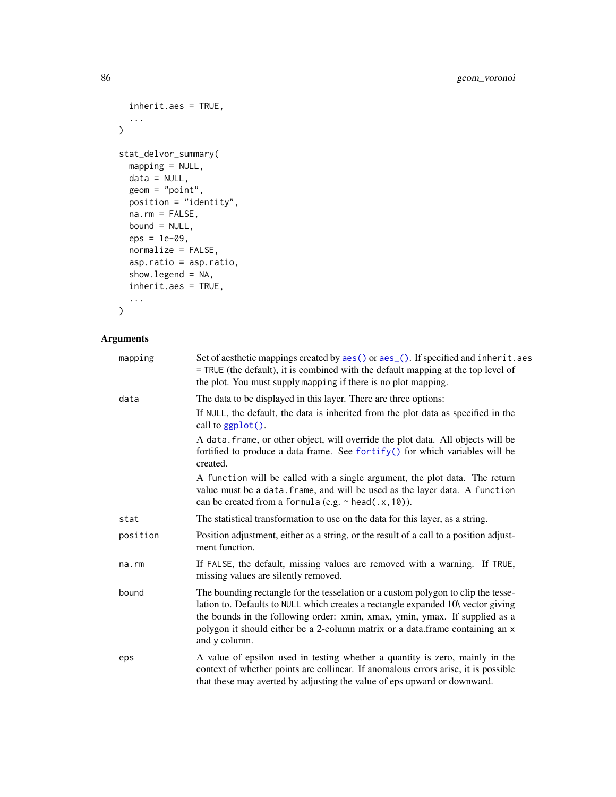```
inherit.aes = TRUE,
  ...
\lambdastat_delvor_summary(
  mapping = NULL,
  data = NULL,geom = "point",
  position = "identity",
  na.rm = FALSE,bound = NULL,
  eps = 1e-09,
  normalize = FALSE,
  asp.ratio = asp.ratio,
  show.legend = NA,
  inherit.aes = TRUE,
  ...
\mathcal{L}
```
# Arguments

| mapping  | Set of aesthetic mappings created by aes() or aes_(). If specified and inherit.aes<br>= TRUE (the default), it is combined with the default mapping at the top level of<br>the plot. You must supply mapping if there is no plot mapping.                                                                                                              |
|----------|--------------------------------------------------------------------------------------------------------------------------------------------------------------------------------------------------------------------------------------------------------------------------------------------------------------------------------------------------------|
| data     | The data to be displayed in this layer. There are three options:                                                                                                                                                                                                                                                                                       |
|          | If NULL, the default, the data is inherited from the plot data as specified in the<br>call to $ggplot()$ .                                                                                                                                                                                                                                             |
|          | A data. frame, or other object, will override the plot data. All objects will be<br>fortified to produce a data frame. See fortify() for which variables will be<br>created.                                                                                                                                                                           |
|          | A function will be called with a single argument, the plot data. The return<br>value must be a data. frame, and will be used as the layer data. A function<br>can be created from a formula (e.g. $\sim$ head(.x, 10)).                                                                                                                                |
| stat     | The statistical transformation to use on the data for this layer, as a string.                                                                                                                                                                                                                                                                         |
| position | Position adjustment, either as a string, or the result of a call to a position adjust-<br>ment function.                                                                                                                                                                                                                                               |
| na.rm    | If FALSE, the default, missing values are removed with a warning. If TRUE,<br>missing values are silently removed.                                                                                                                                                                                                                                     |
| bound    | The bounding rectangle for the tesselation or a custom polygon to clip the tesse-<br>lation to. Defaults to NULL which creates a rectangle expanded 10\ vector giving<br>the bounds in the following order: xmin, xmax, ymin, ymax. If supplied as a<br>polygon it should either be a 2-column matrix or a data.frame containing an x<br>and y column. |
| eps      | A value of epsilon used in testing whether a quantity is zero, mainly in the<br>context of whether points are collinear. If anomalous errors arise, it is possible<br>that these may averted by adjusting the value of eps upward or downward.                                                                                                         |

<span id="page-85-0"></span>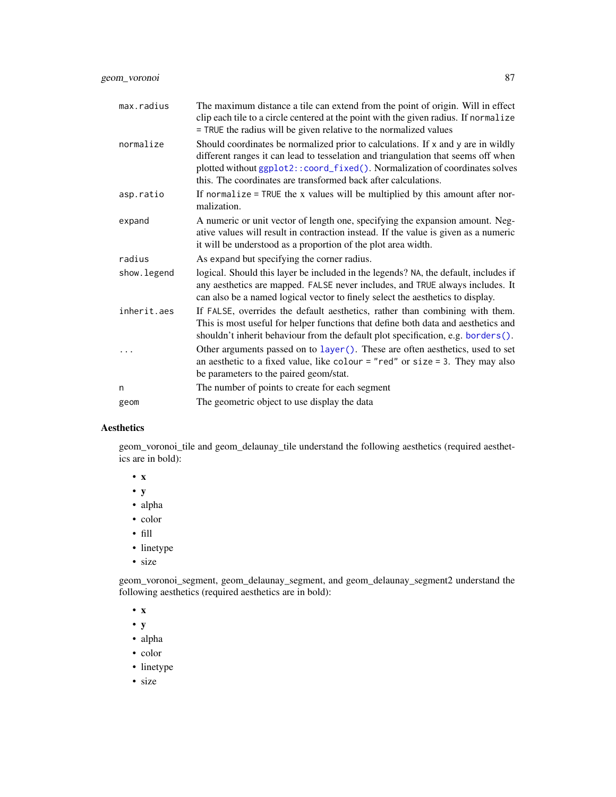<span id="page-86-0"></span>geom\_voronoi 87

| max.radius  | The maximum distance a tile can extend from the point of origin. Will in effect<br>clip each tile to a circle centered at the point with the given radius. If normalize<br>= TRUE the radius will be given relative to the normalized values                                                                            |
|-------------|-------------------------------------------------------------------------------------------------------------------------------------------------------------------------------------------------------------------------------------------------------------------------------------------------------------------------|
| normalize   | Should coordinates be normalized prior to calculations. If x and y are in wildly<br>different ranges it can lead to tesselation and triangulation that seems off when<br>plotted without ggplot2:: coord_fixed(). Normalization of coordinates solves<br>this. The coordinates are transformed back after calculations. |
| asp.ratio   | If normalize = TRUE the x values will be multiplied by this amount after nor-<br>malization.                                                                                                                                                                                                                            |
| expand      | A numeric or unit vector of length one, specifying the expansion amount. Neg-<br>ative values will result in contraction instead. If the value is given as a numeric<br>it will be understood as a proportion of the plot area width.                                                                                   |
| radius      | As expand but specifying the corner radius.                                                                                                                                                                                                                                                                             |
| show.legend | logical. Should this layer be included in the legends? NA, the default, includes if<br>any aesthetics are mapped. FALSE never includes, and TRUE always includes. It<br>can also be a named logical vector to finely select the aesthetics to display.                                                                  |
| inherit.aes | If FALSE, overrides the default aesthetics, rather than combining with them.<br>This is most useful for helper functions that define both data and aesthetics and<br>shouldn't inherit behaviour from the default plot specification, e.g. borders().                                                                   |
|             | Other arguments passed on to layer (). These are often aesthetics, used to set<br>an aesthetic to a fixed value, like colour = "red" or size = 3. They may also<br>be parameters to the paired geom/stat.                                                                                                               |
| n           | The number of points to create for each segment                                                                                                                                                                                                                                                                         |
| geom        | The geometric object to use display the data                                                                                                                                                                                                                                                                            |

# Aesthetics

geom\_voronoi\_tile and geom\_delaunay\_tile understand the following aesthetics (required aesthetics are in bold):

- x
- y
- alpha
- color
- fill
- linetype
- size

geom\_voronoi\_segment, geom\_delaunay\_segment, and geom\_delaunay\_segment2 understand the following aesthetics (required aesthetics are in bold):

• x

- y
- alpha
- color
- linetype
- size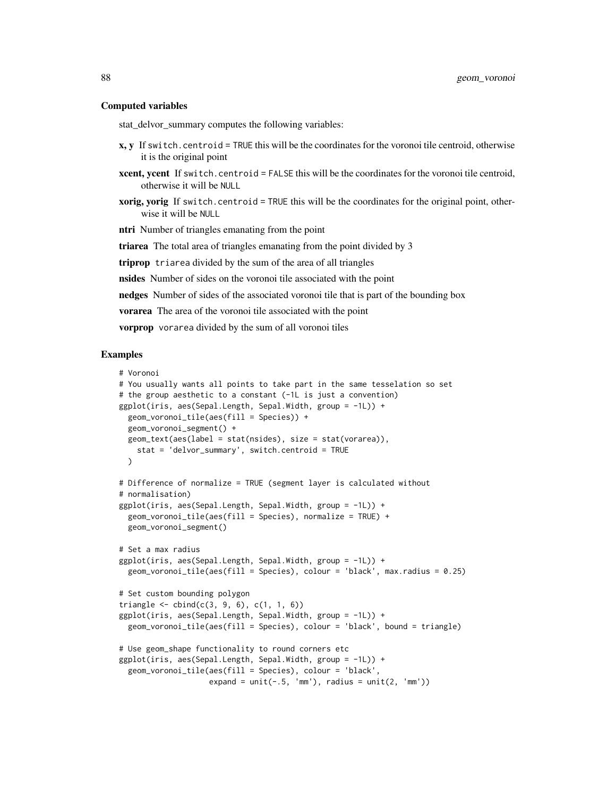#### Computed variables

stat\_delvor\_summary computes the following variables:

- x, y If switch.centroid = TRUE this will be the coordinates for the voronoi tile centroid, otherwise it is the original point
- xcent, ycent If switch.centroid = FALSE this will be the coordinates for the voronoi tile centroid, otherwise it will be NULL
- **xorig, yorig** If switch.centroid = TRUE this will be the coordinates for the original point, otherwise it will be NULL

ntri Number of triangles emanating from the point

triarea The total area of triangles emanating from the point divided by 3

triprop triarea divided by the sum of the area of all triangles

nsides Number of sides on the voronoi tile associated with the point

nedges Number of sides of the associated voronoi tile that is part of the bounding box

vorarea The area of the voronoi tile associated with the point

vorprop vorarea divided by the sum of all voronoi tiles

```
# Voronoi
# You usually wants all points to take part in the same tesselation so set
# the group aesthetic to a constant (-1L is just a convention)
ggplot(iris, aes(Sepal.Length, Sepal.Width, group = -1L)) +
 geom_voronoi_tile(aes(fill = Species)) +
 geom_voronoi_segment() +
 geom_text(aes(label = stat(nsides), size = stat(vorarea)),
   stat = 'delvor_summary', switch.centroid = TRUE
 \lambda# Difference of normalize = TRUE (segment layer is calculated without
# normalisation)
ggplot(iris, aes(Sepal.Length, Sepal.Width, group = -1L)) +
 geom_voronoi_tile(aes(fill = Species), normalize = TRUE) +
 geom_voronoi_segment()
# Set a max radius
ggplot(iris, aes(Sepal.Length, Sepal.Width, group = -1L)) +
 geom_voronoi_tile(aes(fill = Species), colour = 'black', max.radius = 0.25)
# Set custom bounding polygon
triangle \le cbind(c(3, 9, 6), c(1, 1, 6))
ggplot(iris, aes(Sepal.Length, Sepal.Width, group = -1L)) +
 geom_voronoi_tile(aes(fill = Species), colour = 'black', bound = triangle)
# Use geom_shape functionality to round corners etc
ggplot(iris, aes(Sepal.Length, Sepal.Width, group = -1L)) +
 geom_voronoi_tile(aes(fill = Species), colour = 'black',
                    expand = unit(-.5, 'mm'), radius = unit(2, 'mm'))
```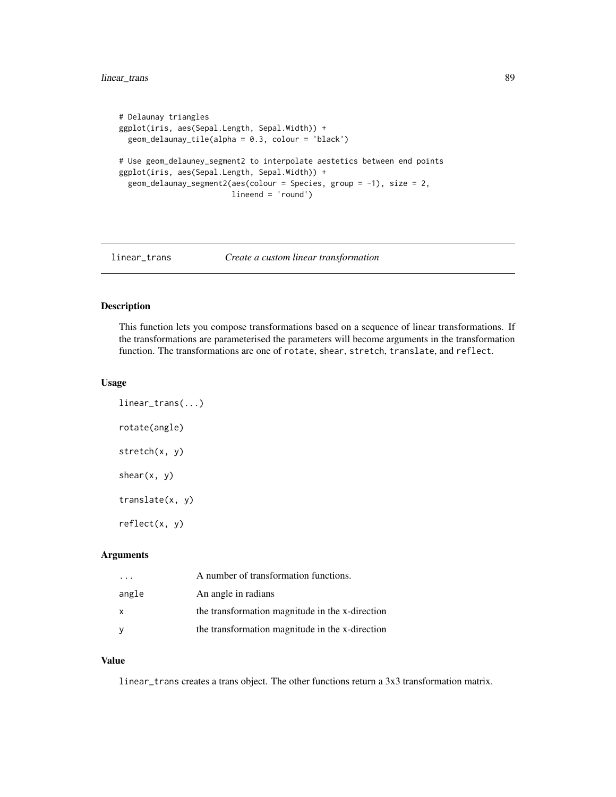# <span id="page-88-0"></span>linear\_trans 89

```
# Delaunay triangles
ggplot(iris, aes(Sepal.Length, Sepal.Width)) +
 geom_delaunay_tile(alpha = 0.3, colour = 'black')
# Use geom_delauney_segment2 to interpolate aestetics between end points
ggplot(iris, aes(Sepal.Length, Sepal.Width)) +
 geom\_delaunay\_segment2(aes(colour = Species, group = -1), size = 2,lineend = 'round')
```
#### linear\_trans *Create a custom linear transformation*

# Description

This function lets you compose transformations based on a sequence of linear transformations. If the transformations are parameterised the parameters will become arguments in the transformation function. The transformations are one of rotate, shear, stretch, translate, and reflect.

#### Usage

```
linear_trans(...)
rotate(angle)
stretch(x, y)
shear(x, y)translate(x, y)
reflect(x, y)
```
#### Arguments

|       | A number of transformation functions.           |
|-------|-------------------------------------------------|
| angle | An angle in radians                             |
| x     | the transformation magnitude in the x-direction |
| у     | the transformation magnitude in the x-direction |

#### Value

linear\_trans creates a trans object. The other functions return a 3x3 transformation matrix.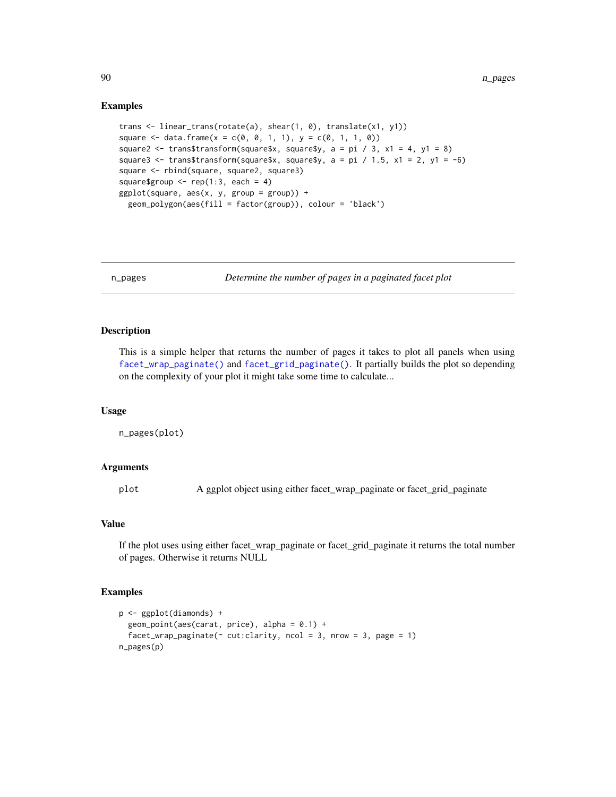#### Examples

```
trans <- linear_trans(rotate(a), shear(1, 0), translate(x1, y1))
square \leq data.frame(x = c(0, 0, 1, 1), y = c(0, 1, 1, 0))
square2 <- trans$transform(square$x, square$y, a = pi / 3, x1 = 4, y1 = 8)
square3 <- trans$transform(square$x, square$y, a = pi / 1.5, x1 = 2, y1 = -6)
square <- rbind(square, square2, square3)
square$group \leq rep(1:3, each = 4)
ggplot(square, aes(x, y, group = group)) +
 geom_polygon(aes(fill = factor(group)), colour = 'black')
```
n\_pages *Determine the number of pages in a paginated facet plot*

#### Description

This is a simple helper that returns the number of pages it takes to plot all panels when using [facet\\_wrap\\_paginate\(\)](#page-10-0) and [facet\\_grid\\_paginate\(\)](#page-3-0). It partially builds the plot so depending on the complexity of your plot it might take some time to calculate...

#### Usage

n\_pages(plot)

# Arguments

plot A ggplot object using either facet\_wrap\_paginate or facet\_grid\_paginate

#### Value

If the plot uses using either facet\_wrap\_paginate or facet\_grid\_paginate it returns the total number of pages. Otherwise it returns NULL

```
p <- ggplot(diamonds) +
 geom\_point(aes(carat, price), alpha = 0.1) +facet_wrap_paginate(\sim cut:clarity, ncol = 3, nrow = 3, page = 1)
n_pages(p)
```
<span id="page-89-0"></span>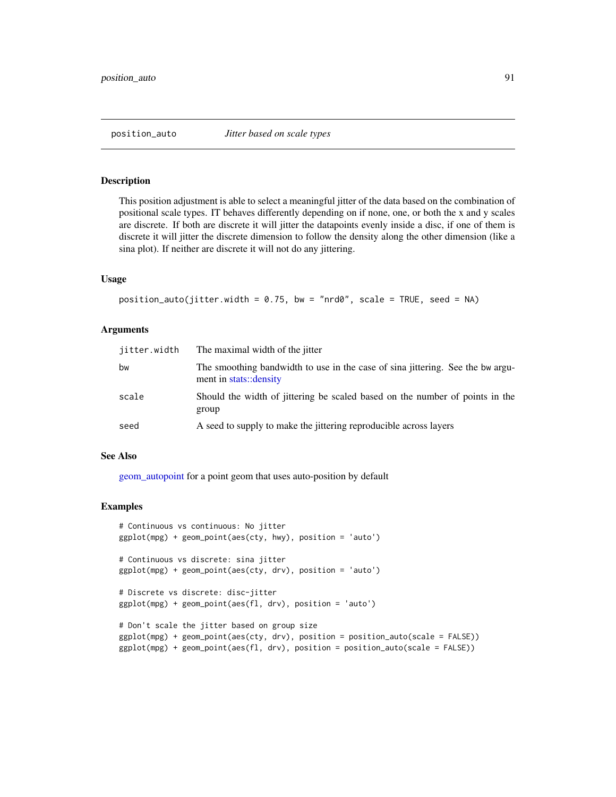#### <span id="page-90-0"></span>Description

This position adjustment is able to select a meaningful jitter of the data based on the combination of positional scale types. IT behaves differently depending on if none, one, or both the x and y scales are discrete. If both are discrete it will jitter the datapoints evenly inside a disc, if one of them is discrete it will jitter the discrete dimension to follow the density along the other dimension (like a sina plot). If neither are discrete it will not do any jittering.

#### Usage

```
position_auto(jitter.width = 0.75, bw = "nrd0", scale = TRUE, seed = NA)
```
#### Arguments

| jitter.width | The maximal width of the jitter                                                                          |
|--------------|----------------------------------------------------------------------------------------------------------|
| bw           | The smoothing bandwidth to use in the case of sina jittering. See the bw argu-<br>ment in stats::density |
| scale        | Should the width of jittering be scaled based on the number of points in the<br>group                    |
| seed         | A seed to supply to make the jittering reproducible across layers                                        |

#### See Also

[geom\\_autopoint](#page-25-0) for a point geom that uses auto-position by default

```
# Continuous vs continuous: No jitter
ggplot(mpg) + geom_point(aes(cty, hwy), position = 'auto')
# Continuous vs discrete: sina jitter
ggplot(mpg) + geom_point(aes(cty, drv), position = 'auto')
# Discrete vs discrete: disc-jitter
ggplot(mpg) + geom_point(aes(fl, drv), position = 'auto')
# Don't scale the jitter based on group size
ggplot(mpg) + geom_point(aes(cty, drv), position = position_auto(scale = FALSE))
ggplot(mpg) + geom_point(aes(fl, drv), position = position_auto(scale = FALSE))
```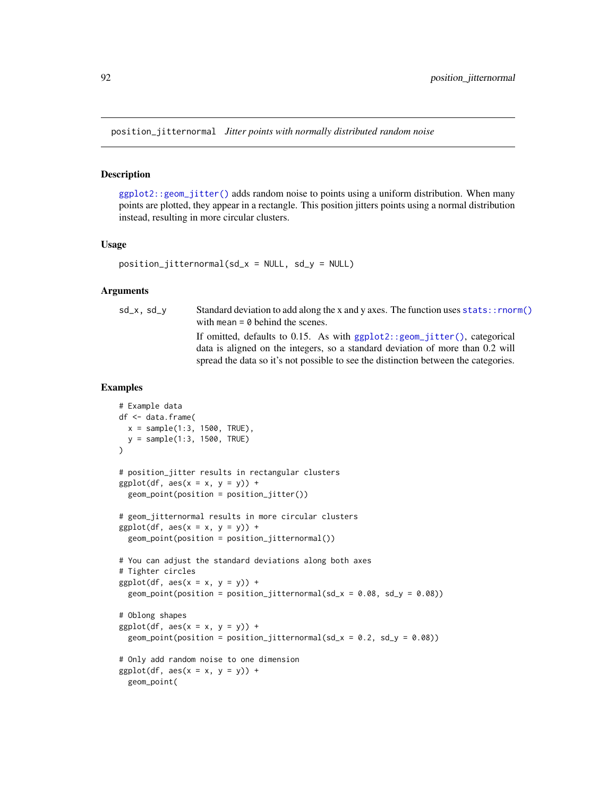<span id="page-91-0"></span>position\_jitternormal *Jitter points with normally distributed random noise*

#### Description

[ggplot2::geom\\_jitter\(\)](#page-0-0) adds random noise to points using a uniform distribution. When many points are plotted, they appear in a rectangle. This position jitters points using a normal distribution instead, resulting in more circular clusters.

#### Usage

```
position\_jitternormal(sd_x = NULL, sd_y = NULL)
```
#### Arguments

 $sd_x$ ,  $sd_y$  Standard deviation to add along the x and y axes. The function uses stats:: rnorm() with mean  $= 0$  behind the scenes. If omitted, defaults to 0.15. As with [ggplot2::geom\\_jitter\(\)](#page-0-0), categorical data is aligned on the integers, so a standard deviation of more than 0.2 will spread the data so it's not possible to see the distinction between the categories.

```
# Example data
df <- data.frame(
  x = sample(1:3, 1500, TRUE),y = sample(1:3, 1500, TRUE)
\lambda# position_jitter results in rectangular clusters
ggplot(df, aes(x = x, y = y)) +geom_point(position = position_jitter())
# geom_jitternormal results in more circular clusters
ggplot(df, aes(x = x, y = y)) +geom_point(position = position_jitternormal())
# You can adjust the standard deviations along both axes
# Tighter circles
ggplot(df, aes(x = x, y = y)) +geom_point(position = position_jitternormal(sd_x = 0.08, sd_y = 0.08))
# Oblong shapes
ggplot(df, aes(x = x, y = y)) +geom_point(position = position_jitternormal(sd_x = 0.2, sd_y = 0.08))
# Only add random noise to one dimension
ggplot(df, aes(x = x, y = y)) +
  geom_point(
```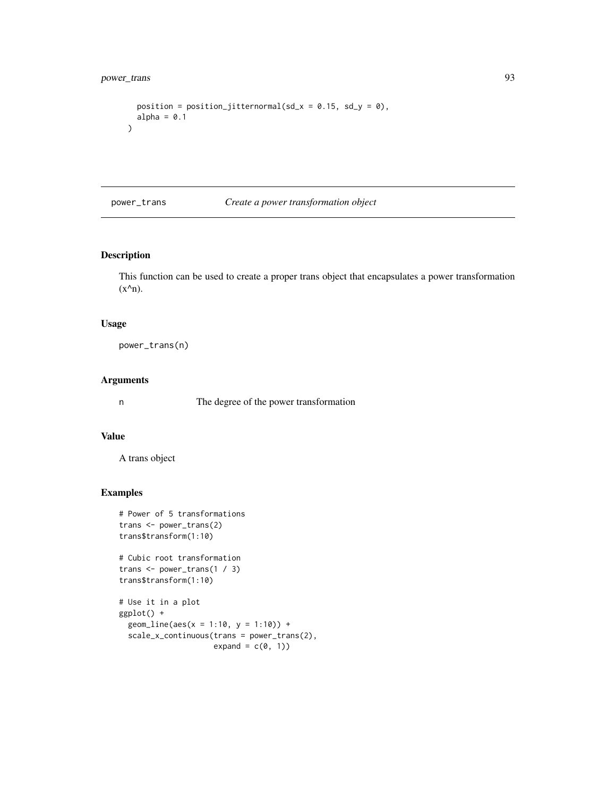```
position = position_jitternormal(sd_x = 0.15, sd_y = 0),
 alpha = 0.1)
```
#### power\_trans *Create a power transformation object*

# Description

This function can be used to create a proper trans object that encapsulates a power transformation  $(x^{\wedge}n)$ .

#### Usage

power\_trans(n)

#### Arguments

n The degree of the power transformation

#### Value

A trans object

# Examples

```
# Power of 5 transformations
trans <- power_trans(2)
trans$transform(1:10)
```
# Cubic root transformation trans <- power\_trans(1 / 3) trans\$transform(1:10)

```
# Use it in a plot
ggplot() +
 geom_line(aes(x = 1:10, y = 1:10)) +
 scale_x_continuous(trans = power_trans(2),
                      expand = c(\emptyset, 1))
```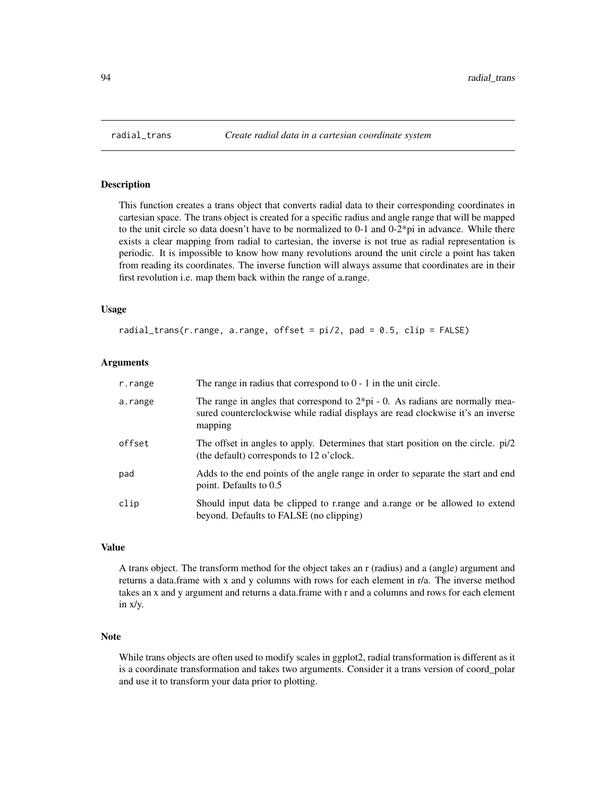<span id="page-93-0"></span>

#### Description

This function creates a trans object that converts radial data to their corresponding coordinates in cartesian space. The trans object is created for a specific radius and angle range that will be mapped to the unit circle so data doesn't have to be normalized to  $0-1$  and  $0-2^*p$  in advance. While there exists a clear mapping from radial to cartesian, the inverse is not true as radial representation is periodic. It is impossible to know how many revolutions around the unit circle a point has taken from reading its coordinates. The inverse function will always assume that coordinates are in their first revolution i.e. map them back within the range of a.range.

#### Usage

radial\_trans(r.range, a.range, offset = pi/2, pad = 0.5, clip = FALSE)

#### Arguments

| r.range | The range in radius that correspond to $0 - 1$ in the unit circle.                                                                                                                    |
|---------|---------------------------------------------------------------------------------------------------------------------------------------------------------------------------------------|
| a.range | The range in angles that correspond to $2 \times pi - 0$ . As radians are normally mea-<br>sured counterclockwise while radial displays are read clockwise it's an inverse<br>mapping |
| offset  | The offset in angles to apply. Determines that start position on the circle. pi/2<br>(the default) corresponds to 12 o'clock.                                                         |
| pad     | Adds to the end points of the angle range in order to separate the start and end<br>point. Defaults to 0.5                                                                            |
| clip    | Should input data be clipped to range and a range or be allowed to extend<br>beyond. Defaults to FALSE (no clipping)                                                                  |

### Value

A trans object. The transform method for the object takes an r (radius) and a (angle) argument and returns a data.frame with x and y columns with rows for each element in r/a. The inverse method takes an x and y argument and returns a data.frame with r and a columns and rows for each element in x/y.

### Note

While trans objects are often used to modify scales in ggplot2, radial transformation is different as it is a coordinate transformation and takes two arguments. Consider it a trans version of coord\_polar and use it to transform your data prior to plotting.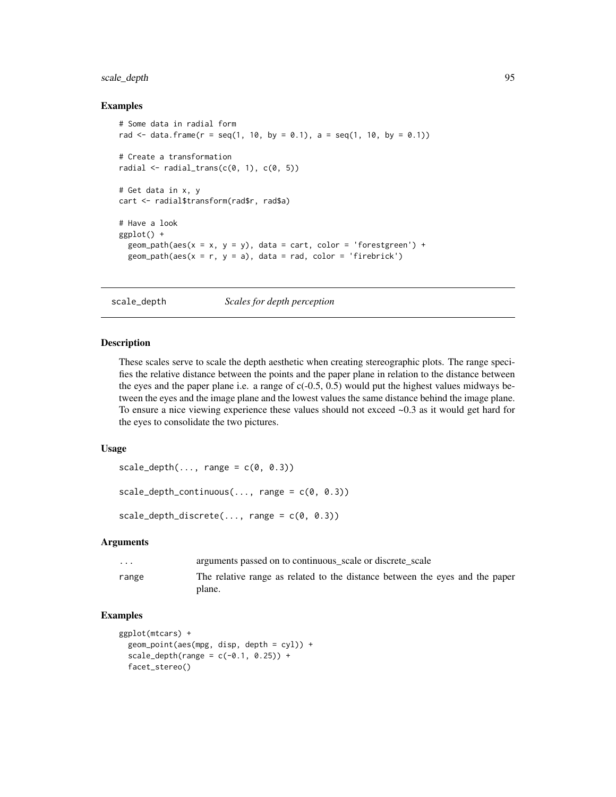# <span id="page-94-0"></span>scale\_depth 95

#### Examples

```
# Some data in radial form
rad \le data.frame(r = seq(1, 10, by = 0.1), a = seq(1, 10, by = 0.1))
# Create a transformation
radial \le radial_trans(c(0, 1), c(0, 5))
# Get data in x, y
cart <- radial$transform(rad$r, rad$a)
# Have a look
ggplot() +
  geom_path(aes(x = x, y = y), data = cart, color = 'forestgreen') +
  geom_path(aes(x = r, y = a), data = rad, color = 'firebrick')
```
scale\_depth *Scales for depth perception*

# Description

These scales serve to scale the depth aesthetic when creating stereographic plots. The range specifies the relative distance between the points and the paper plane in relation to the distance between the eyes and the paper plane i.e. a range of  $c(-0.5, 0.5)$  would put the highest values midways between the eyes and the image plane and the lowest values the same distance behind the image plane. To ensure a nice viewing experience these values should not exceed ~0.3 as it would get hard for the eyes to consolidate the two pictures.

### Usage

```
scale\_depth(..., range = c(0, 0.3))scale\_depth\_continuous(..., range = c(0, 0.3))scale\_depth\_discrete(..., range = c(0, 0.3))
```
# Arguments

| $\cdots$ | arguments passed on to continuous scale or discrete scale                              |
|----------|----------------------------------------------------------------------------------------|
| range    | The relative range as related to the distance between the eyes and the paper<br>plane. |

```
ggplot(mtcars) +
 geom_point(aes(mpg, disp, depth = cyl)) +
 scale\_depth(range = c(-0.1, 0.25)) +facet_stereo()
```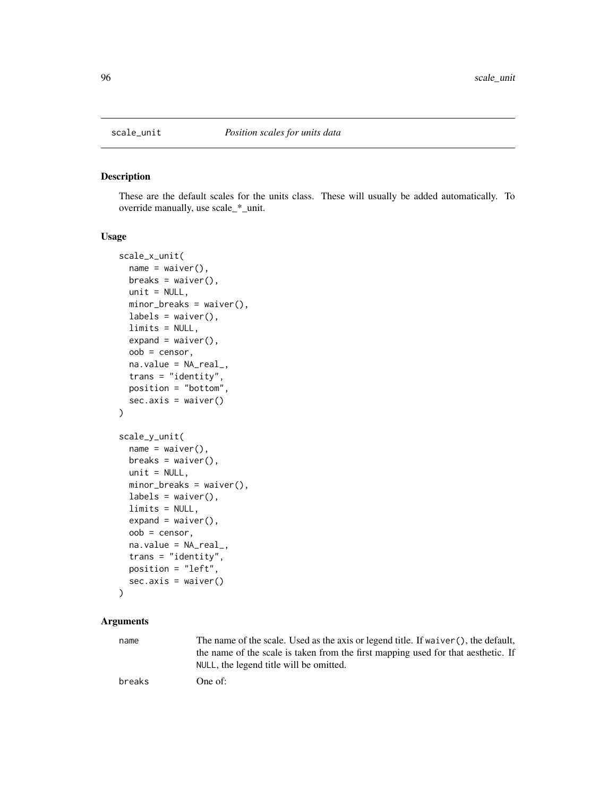<span id="page-95-0"></span>

# Description

These are the default scales for the units class. These will usually be added automatically. To override manually, use scale\_\*\_unit.

# Usage

```
scale_x_unit(
  name = waiver(),
 breaks = waiver(),
 unit = NULL,minor_breaks = waiver(),
  labels = \text{waiver}(),limits = NULL,
  expand = waire(),
  oob = censor,
  na.value = NA_real_,
  trans = "identity",
 position = "bottom",
  sec. axis = waire())
scale_y_unit(
 name = waire(),breaks = waiver(),
  unit = NULL,minor_breaks = waiver(),
  labels = \text{waiver}(),limits = NULL,
  expand = waire(),
  oob = censor,
  na.value = NA_real_,
  trans = "identity",
 position = "left",
  sec.axis = waiver()
\mathcal{L}
```
# Arguments

name The name of the scale. Used as the axis or legend title. If waiver(), the default, the name of the scale is taken from the first mapping used for that aesthetic. If NULL, the legend title will be omitted.

breaks One of: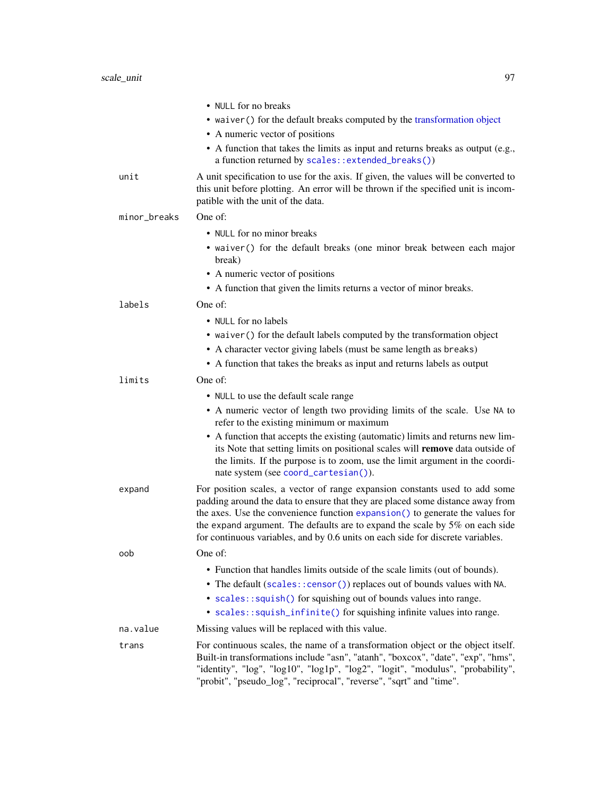<span id="page-96-0"></span>

|              | • NULL for no breaks                                                                                                                                                                                                                                                                                                                                                                                              |
|--------------|-------------------------------------------------------------------------------------------------------------------------------------------------------------------------------------------------------------------------------------------------------------------------------------------------------------------------------------------------------------------------------------------------------------------|
|              | • waiver () for the default breaks computed by the transformation object                                                                                                                                                                                                                                                                                                                                          |
|              | • A numeric vector of positions                                                                                                                                                                                                                                                                                                                                                                                   |
|              | • A function that takes the limits as input and returns breaks as output (e.g.,<br>a function returned by scales::extended_breaks())                                                                                                                                                                                                                                                                              |
| unit         | A unit specification to use for the axis. If given, the values will be converted to<br>this unit before plotting. An error will be thrown if the specified unit is incom-<br>patible with the unit of the data.                                                                                                                                                                                                   |
| minor_breaks | One of:                                                                                                                                                                                                                                                                                                                                                                                                           |
|              | • NULL for no minor breaks                                                                                                                                                                                                                                                                                                                                                                                        |
|              | • waiver () for the default breaks (one minor break between each major<br>break)                                                                                                                                                                                                                                                                                                                                  |
|              | • A numeric vector of positions                                                                                                                                                                                                                                                                                                                                                                                   |
|              | • A function that given the limits returns a vector of minor breaks.                                                                                                                                                                                                                                                                                                                                              |
| labels       | One of:                                                                                                                                                                                                                                                                                                                                                                                                           |
|              | • NULL for no labels                                                                                                                                                                                                                                                                                                                                                                                              |
|              | • waiver () for the default labels computed by the transformation object                                                                                                                                                                                                                                                                                                                                          |
|              | • A character vector giving labels (must be same length as breaks)                                                                                                                                                                                                                                                                                                                                                |
|              | • A function that takes the breaks as input and returns labels as output                                                                                                                                                                                                                                                                                                                                          |
| limits       | One of:                                                                                                                                                                                                                                                                                                                                                                                                           |
|              | • NULL to use the default scale range                                                                                                                                                                                                                                                                                                                                                                             |
|              | • A numeric vector of length two providing limits of the scale. Use NA to<br>refer to the existing minimum or maximum                                                                                                                                                                                                                                                                                             |
|              | • A function that accepts the existing (automatic) limits and returns new lim-<br>its Note that setting limits on positional scales will remove data outside of<br>the limits. If the purpose is to zoom, use the limit argument in the coordi-<br>nate system (see coord_cartesian()).                                                                                                                           |
| expand       | For position scales, a vector of range expansion constants used to add some<br>padding around the data to ensure that they are placed some distance away from<br>the axes. Use the convenience function expansion() to generate the values for<br>the expand argument. The defaults are to expand the scale by 5% on each side<br>for continuous variables, and by 0.6 units on each side for discrete variables. |
| oob          | One of:                                                                                                                                                                                                                                                                                                                                                                                                           |
|              | • Function that handles limits outside of the scale limits (out of bounds).                                                                                                                                                                                                                                                                                                                                       |
|              | • The default (scales:: censor()) replaces out of bounds values with NA.                                                                                                                                                                                                                                                                                                                                          |
|              | • scales::squish() for squishing out of bounds values into range.                                                                                                                                                                                                                                                                                                                                                 |
|              | • scales::squish_infinite() for squishing infinite values into range.                                                                                                                                                                                                                                                                                                                                             |
| na.value     | Missing values will be replaced with this value.                                                                                                                                                                                                                                                                                                                                                                  |
| trans        | For continuous scales, the name of a transformation object or the object itself.<br>Built-in transformations include "asn", "atanh", "boxcox", "date", "exp", "hms",<br>"identity", "log", "log10", "log1p", "log2", "logit", "modulus", "probability",<br>"probit", "pseudo_log", "reciprocal", "reverse", "sqrt" and "time".                                                                                    |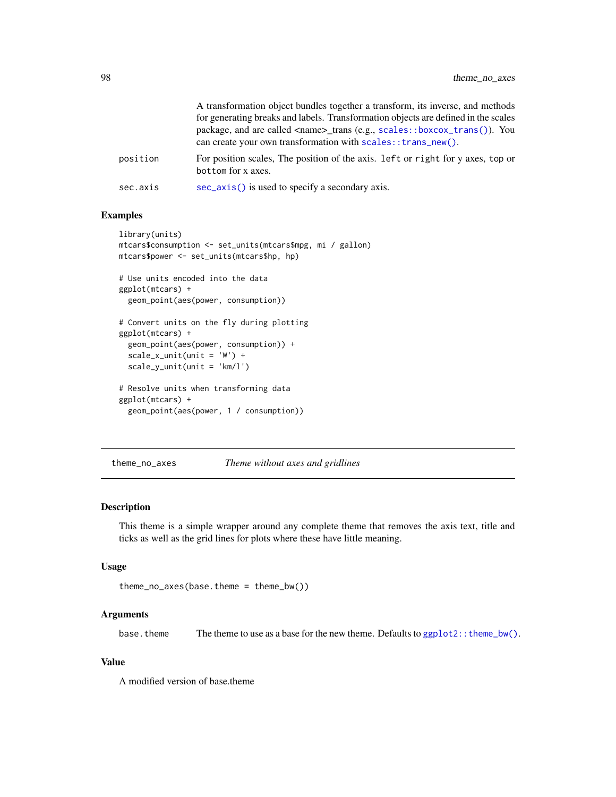<span id="page-97-0"></span>

|          | A transformation object bundles together a transform, its inverse, and methods<br>for generating breaks and labels. Transformation objects are defined in the scales<br>package, and are called <name>_trans (e.g., scales::boxcox_trans()). You<br/>can create your own transformation with scales::trans_new().</name> |
|----------|--------------------------------------------------------------------------------------------------------------------------------------------------------------------------------------------------------------------------------------------------------------------------------------------------------------------------|
| position | For position scales, The position of the axis. Left or right for y axes, top or<br>bottom for x axes.                                                                                                                                                                                                                    |
| sec.axis | sec_axis() is used to specify a secondary axis.                                                                                                                                                                                                                                                                          |

# Examples

```
library(units)
mtcars$consumption <- set_units(mtcars$mpg, mi / gallon)
mtcars$power <- set_units(mtcars$hp, hp)
# Use units encoded into the data
ggplot(mtcars) +
  geom_point(aes(power, consumption))
# Convert units on the fly during plotting
ggplot(mtcars) +
  geom_point(aes(power, consumption)) +
  scale_x-unit(unit = 'W') +scale_y_unit(unit = 'km/l')
# Resolve units when transforming data
ggplot(mtcars) +
  geom_point(aes(power, 1 / consumption))
```
theme\_no\_axes *Theme without axes and gridlines*

#### Description

This theme is a simple wrapper around any complete theme that removes the axis text, title and ticks as well as the grid lines for plots where these have little meaning.

#### Usage

```
theme_no_axes(base.theme = theme_bw())
```
# Arguments

base. theme The theme to use as a base for the new theme. Defaults to  $ggplot2::them\_bw()$ .

#### Value

A modified version of base.theme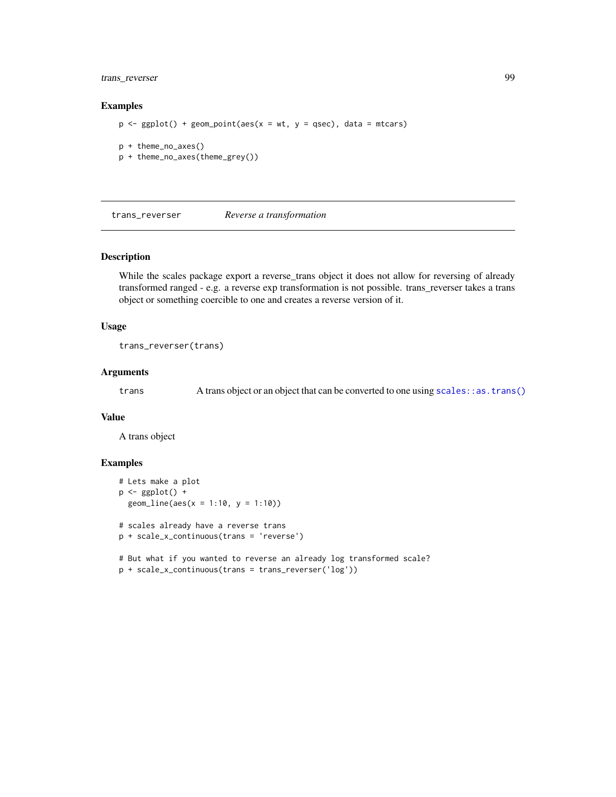# <span id="page-98-0"></span>trans\_reverser 99

#### Examples

```
p \leq-ggplot() + geom\_point(aes(x = wt, y = qsec), data = mtcars)p + theme_no_axes()
p + theme_no_axes(theme_grey())
```
trans\_reverser *Reverse a transformation*

#### Description

While the scales package export a reverse\_trans object it does not allow for reversing of already transformed ranged - e.g. a reverse exp transformation is not possible. trans\_reverser takes a trans object or something coercible to one and creates a reverse version of it.

#### Usage

trans\_reverser(trans)

#### Arguments

trans A trans object or an object that can be converted to one using [scales::as.trans\(\)](#page-0-0)

# Value

A trans object

```
# Lets make a plot
p \leftarrow ggplot() +
 geom_line(aes(x = 1:10, y = 1:10))
# scales already have a reverse trans
p + scale_x_continuous(trans = 'reverse')
# But what if you wanted to reverse an already log transformed scale?
```

```
p + scale_x_continuous(trans = trans_reverser('log'))
```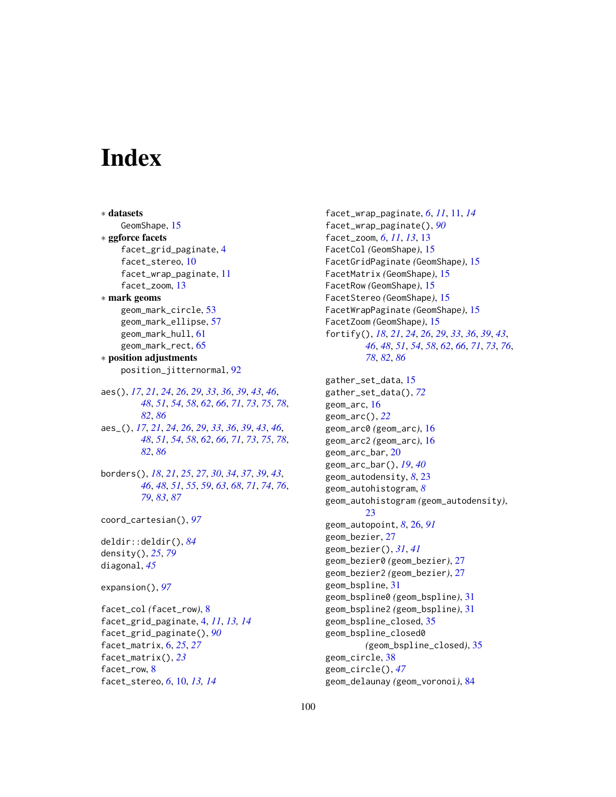# **Index**

∗ datasets GeomShape, [15](#page-14-0) ∗ ggforce facets facet\_grid\_paginate, [4](#page-3-1) facet\_stereo, [10](#page-9-0) facet\_wrap\_paginate, [11](#page-10-1) facet\_zoom, [13](#page-12-0) ∗ mark geoms geom\_mark\_circle, [53](#page-52-0) geom\_mark\_ellipse, [57](#page-56-0) geom\_mark\_hull, [61](#page-60-0) geom\_mark\_rect, [65](#page-64-0) ∗ position adjustments position\_jitternormal, [92](#page-91-0) aes(), *[17](#page-16-0)*, *[21](#page-20-0)*, *[24](#page-23-0)*, *[26](#page-25-1)*, *[29](#page-28-0)*, *[33](#page-32-0)*, *[36](#page-35-0)*, *[39](#page-38-0)*, *[43](#page-42-0)*, *[46](#page-45-0)*, *[48](#page-47-0)*, *[51](#page-50-0)*, *[54](#page-53-0)*, *[58](#page-57-0)*, *[62](#page-61-0)*, *[66](#page-65-0)*, *[71](#page-70-0)*, *[73](#page-72-0)*, *[75](#page-74-0)*, *[78](#page-77-0)*, *[82](#page-81-0)*, *[86](#page-85-0)* aes\_(), *[17](#page-16-0)*, *[21](#page-20-0)*, *[24](#page-23-0)*, *[26](#page-25-1)*, *[29](#page-28-0)*, *[33](#page-32-0)*, *[36](#page-35-0)*, *[39](#page-38-0)*, *[43](#page-42-0)*, *[46](#page-45-0)*, *[48](#page-47-0)*, *[51](#page-50-0)*, *[54](#page-53-0)*, *[58](#page-57-0)*, *[62](#page-61-0)*, *[66](#page-65-0)*, *[71](#page-70-0)*, *[73](#page-72-0)*, *[75](#page-74-0)*, *[78](#page-77-0)*, *[82](#page-81-0)*, *[86](#page-85-0)* borders(), *[18](#page-17-0)*, *[21](#page-20-0)*, *[25](#page-24-0)*, *[27](#page-26-0)*, *[30](#page-29-0)*, *[34](#page-33-0)*, *[37](#page-36-0)*, *[39](#page-38-0)*, *[43](#page-42-0)*, *[46](#page-45-0)*, *[48](#page-47-0)*, *[51](#page-50-0)*, *[55](#page-54-0)*, *[59](#page-58-0)*, *[63](#page-62-0)*, *[68](#page-67-0)*, *[71](#page-70-0)*, *[74](#page-73-0)*, *[76](#page-75-0)*, *[79](#page-78-0)*, *[83](#page-82-0)*, *[87](#page-86-0)* coord\_cartesian(), *[97](#page-96-0)* deldir::deldir(), *[84](#page-83-0)* density(), *[25](#page-24-0)*, *[79](#page-78-0)* diagonal, *[45](#page-44-0)* expansion(), *[97](#page-96-0)* facet\_col *(*facet\_row*)*, [8](#page-7-0) facet\_grid\_paginate, [4,](#page-3-1) *[11](#page-10-1)*, *[13,](#page-12-0) [14](#page-13-0)* facet\_grid\_paginate(), *[90](#page-89-0)* facet\_matrix, [6,](#page-5-0) *[25](#page-24-0)*, *[27](#page-26-0)* facet\_matrix(), *[23](#page-22-0)* facet\_row, [8](#page-7-0)

facet\_stereo, *[6](#page-5-0)*, [10,](#page-9-0) *[13,](#page-12-0) [14](#page-13-0)*

facet\_wrap\_paginate, *[6](#page-5-0)*, *[11](#page-10-1)*, [11,](#page-10-1) *[14](#page-13-0)* facet\_wrap\_paginate(), *[90](#page-89-0)* facet\_zoom, *[6](#page-5-0)*, *[11](#page-10-1)*, *[13](#page-12-0)*, [13](#page-12-0) FacetCol *(*GeomShape*)*, [15](#page-14-0) FacetGridPaginate *(*GeomShape*)*, [15](#page-14-0) FacetMatrix *(*GeomShape*)*, [15](#page-14-0) FacetRow *(*GeomShape*)*, [15](#page-14-0) FacetStereo *(*GeomShape*)*, [15](#page-14-0) FacetWrapPaginate *(*GeomShape*)*, [15](#page-14-0) FacetZoom *(*GeomShape*)*, [15](#page-14-0) fortify(), *[18](#page-17-0)*, *[21](#page-20-0)*, *[24](#page-23-0)*, *[26](#page-25-1)*, *[29](#page-28-0)*, *[33](#page-32-0)*, *[36](#page-35-0)*, *[39](#page-38-0)*, *[43](#page-42-0)*, *[46](#page-45-0)*, *[48](#page-47-0)*, *[51](#page-50-0)*, *[54](#page-53-0)*, *[58](#page-57-0)*, *[62](#page-61-0)*, *[66](#page-65-0)*, *[71](#page-70-0)*, *[73](#page-72-0)*, *[76](#page-75-0)*, *[78](#page-77-0)*, *[82](#page-81-0)*, *[86](#page-85-0)* gather\_set\_data, [15](#page-14-0) gather\_set\_data(), *[72](#page-71-0)* geom\_arc, [16](#page-15-0) geom\_arc(), *[22](#page-21-0)* geom\_arc0 *(*geom\_arc*)*, [16](#page-15-0) geom\_arc2 *(*geom\_arc*)*, [16](#page-15-0) geom\_arc\_bar, [20](#page-19-0) geom\_arc\_bar(), *[19](#page-18-0)*, *[40](#page-39-0)* geom\_autodensity, *[8](#page-7-0)*, [23](#page-22-0) geom\_autohistogram, *[8](#page-7-0)* geom\_autohistogram *(*geom\_autodensity*)*, [23](#page-22-0) geom\_autopoint, *[8](#page-7-0)*, [26,](#page-25-1) *[91](#page-90-0)* geom\_bezier, [27](#page-26-0) geom\_bezier(), *[31](#page-30-0)*, *[41](#page-40-0)* geom\_bezier0 *(*geom\_bezier*)*, [27](#page-26-0) geom\_bezier2 *(*geom\_bezier*)*, [27](#page-26-0) geom\_bspline, [31](#page-30-0)

geom\_bspline0 *(*geom\_bspline*)*, [31](#page-30-0) geom\_bspline2 *(*geom\_bspline*)*, [31](#page-30-0)

geom\_delaunay *(*geom\_voronoi*)*, [84](#page-83-0)

*(*geom\_bspline\_closed*)*, [35](#page-34-0)

geom\_bspline\_closed, [35](#page-34-0) geom\_bspline\_closed0

geom\_circle, [38](#page-37-0) geom\_circle(), *[47](#page-46-0)*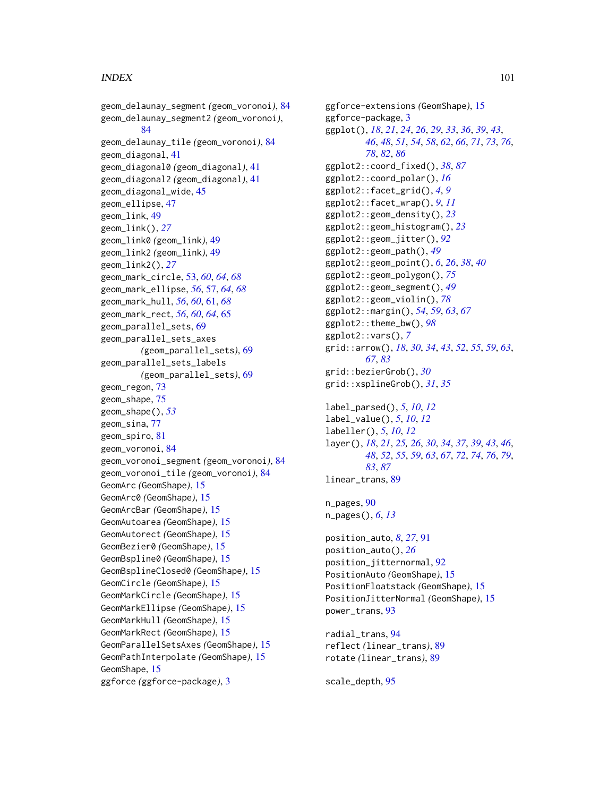# $I$ NDEX  $101$

```
geom_delaunay_segment (geom_voronoi), 84
geom_delaunay_segment2 (geom_voronoi),
        84
geom_delaunay_tile (geom_voronoi), 84
geom_diagonal, 41
geom_diagonal0 (geom_diagonal), 41
geom_diagonal2 (geom_diagonal), 41
geom_diagonal_wide, 45
geom_ellipse, 47
geom_link, 49
geom_link(), 27
geom_link0 (geom_link), 49
geom_link2 (geom_link), 49
geom_link2(), 27
geom_mark_circle, 53, 60, 64, 68
geom_mark_ellipse, 56, 57, 64, 68
geom_mark_hull, 56, 60, 61, 68
geom_mark_rect, 56, 60, 64, 65
geom_parallel_sets, 69
geom_parallel_sets_axes
        (geom_parallel_sets), 69
geom_parallel_sets_labels
        (geom_parallel_sets), 69
geom_regon, 73
geom_shape, 75
geom_shape(), 53
geom_sina, 77
geom_spiro, 81
geom_voronoi, 84
geom_voronoi_segment (geom_voronoi), 84
geom_voronoi_tile (geom_voronoi), 84
GeomArc (GeomShape), 15
GeomArc0 (GeomShape), 15
GeomArcBar (GeomShape), 15
GeomAutoarea (GeomShape), 15
GeomAutorect (GeomShape), 15
GeomBezier0 (GeomShape), 15
GeomBspline0 (GeomShape), 15
GeomBsplineClosed0 (GeomShape), 15
GeomCircle (GeomShape), 15
GeomMarkCircle (GeomShape), 15
GeomMarkEllipse (GeomShape), 15
GeomMarkHull (GeomShape), 15
GeomMarkRect (GeomShape), 15
GeomParallelSetsAxes (GeomShape), 15
GeomPathInterpolate (GeomShape), 15
GeomShape, 15
ggforce (ggforce-package), 3
```

```
ggforce-extensions (GeomShape), 15
ggforce-package, 3
ggplot(), 18, 21, 24, 26, 29, 33, 36, 39, 43,
         46, 48, 51, 54, 58, 62, 66, 71, 73, 76,
         78, 82, 86
ggplot2::coord_fixed(), 38, 87
ggplot2::coord_polar(), 16
ggplot2::facet_grid(), 4, 9
ggplot2::facet_wrap(), 9, 11
ggplot2::geom_density(), 23
ggplot2::geom_histogram(), 23
ggplot2::geom_jitter(), 92
ggplot2::geom_path(), 49
ggplot2::geom_point(), 6, 26, 38, 40
ggplot2::geom_polygon(), 75
ggplot2::geom_segment(), 49
ggplot2::geom_violin(), 78
ggplot2::margin(), 54, 59, 63, 67
ggplot2::theme_bw(), 98
ggplot2::vars(), 7
grid::arrow(), 18, 30, 34, 43, 52, 55, 59, 63,
         67, 83
grid::bezierGrob(), 30
grid::xsplineGrob(), 31, 35
```

```
label_parsed(), 5, 10, 12
label_value(), 5, 10, 12
labeller(), 5, 10, 12
layer(), 18, 21, 25, 26, 30, 34, 37, 39, 43, 46,
         48, 52, 55, 59, 63, 67, 72, 74, 76, 79,
         83, 87
linear_trans, 89
```

```
n_pages, 90
n_pages(), 6, 13
```

```
position_auto, 8, 27, 91
position_auto(), 26
position_jitternormal, 92
PositionAuto (GeomShape), 15
PositionFloatstack (GeomShape), 15
PositionJitterNormal (GeomShape), 15
power_trans, 93
```

```
radial_trans, 94
reflect (linear_trans), 89
rotate (linear_trans), 89
```

```
scale_depth, 95
```